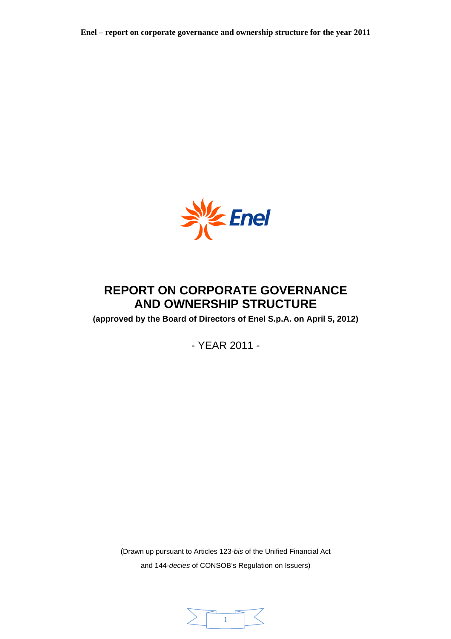

# **REPORT ON CORPORATE GOVERNANCE AND OWNERSHIP STRUCTURE**

**(approved by the Board of Directors of Enel S.p.A. on April 5, 2012)** 

- YEAR 2011 -

(Drawn up pursuant to Articles 123-*bis* of the Unified Financial Act and 144-*decies* of CONSOB's Regulation on Issuers)

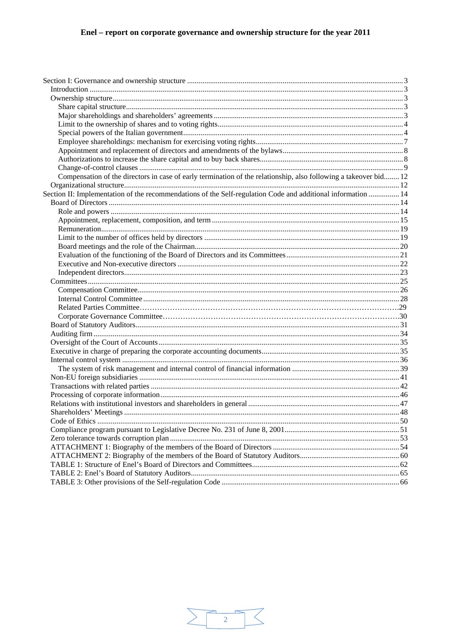| Compensation of the directors in case of early termination of the relationship, also following a takeover bid 12 |  |
|------------------------------------------------------------------------------------------------------------------|--|
|                                                                                                                  |  |
| Section II: Implementation of the recommendations of the Self-regulation Code and additional information  14     |  |
|                                                                                                                  |  |
|                                                                                                                  |  |
|                                                                                                                  |  |
|                                                                                                                  |  |
|                                                                                                                  |  |
|                                                                                                                  |  |
|                                                                                                                  |  |
|                                                                                                                  |  |
|                                                                                                                  |  |
|                                                                                                                  |  |
|                                                                                                                  |  |
|                                                                                                                  |  |
|                                                                                                                  |  |
|                                                                                                                  |  |
|                                                                                                                  |  |
|                                                                                                                  |  |
|                                                                                                                  |  |
|                                                                                                                  |  |
|                                                                                                                  |  |
|                                                                                                                  |  |
|                                                                                                                  |  |
|                                                                                                                  |  |
|                                                                                                                  |  |
|                                                                                                                  |  |
|                                                                                                                  |  |
|                                                                                                                  |  |
|                                                                                                                  |  |
|                                                                                                                  |  |
|                                                                                                                  |  |
|                                                                                                                  |  |
|                                                                                                                  |  |
|                                                                                                                  |  |
|                                                                                                                  |  |

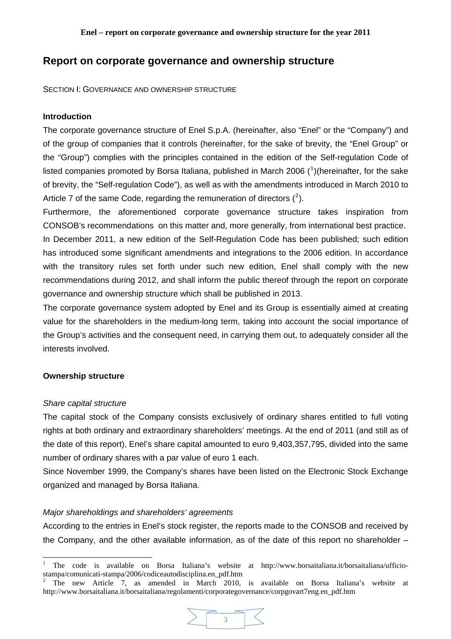# <span id="page-2-0"></span>**Report on corporate governance and ownership structure**

SECTION I: GOVERNANCE AND OWNERSHIP STRUCTURE

### **Introduction**

The corporate governance structure of Enel S.p.A. (hereinafter, also "Enel" or the "Company") and of the group of companies that it controls (hereinafter, for the sake of brevity, the "Enel Group" or the "Group") complies with the principles contained in the edition of the Self-regulation Code of listed companies promoted by Borsa Italiana, published in March 2006 ( $1$ )(hereinafter, for the sake of brevity, the "Self-regulation Code"), as well as with the amendments introduced in March 2010 to Article 7 of the same Code, regarding the remuneration of directors  $(^2)$  $(^2)$  $(^2)$ .

Furthermore, the aforementioned corporate governance structure takes inspiration from CONSOB's recommendations on this matter and, more generally, from international best practice.

In December 2011, a new edition of the Self-Regulation Code has been published; such edition has introduced some significant amendments and integrations to the 2006 edition. In accordance with the transitory rules set forth under such new edition, Enel shall comply with the new recommendations during 2012, and shall inform the public thereof through the report on corporate governance and ownership structure which shall be published in 2013.

The corporate governance system adopted by Enel and its Group is essentially aimed at creating value for the shareholders in the medium-long term, taking into account the social importance of the Group's activities and the consequent need, in carrying them out, to adequately consider all the interests involved.

# **Ownership structure**

### *Share capital structure*

The capital stock of the Company consists exclusively of ordinary shares entitled to full voting rights at both ordinary and extraordinary shareholders' meetings. At the end of 2011 (and still as of the date of this report), Enel's share capital amounted to euro 9,403,357,795, divided into the same number of ordinary shares with a par value of euro 1 each.

Since November 1999, the Company's shares have been listed on the Electronic Stock Exchange organized and managed by Borsa Italiana.

# *Major shareholdings and shareholders' agreements*

According to the entries in Enel's stock register, the reports made to the CONSOB and received by the Company, and the other available information, as of the date of this report no shareholder –

3

<span id="page-2-1"></span><sup>|&</sup>lt;br>|<br>| The code is available on Borsa Italiana's website at http://www.borsaitaliana.it/borsaitaliana/ufficiostampa/comunicati-stampa/2006/codiceautodisciplina.en\_pdf.htm

<span id="page-2-2"></span><sup>2</sup> The new Article 7, as amended in March 2010, is available on Borsa Italiana's website at http://www.borsaitaliana.it/borsaitaliana/regolamenti/corporategovernance/corpgovart7eng.en\_pdf.htm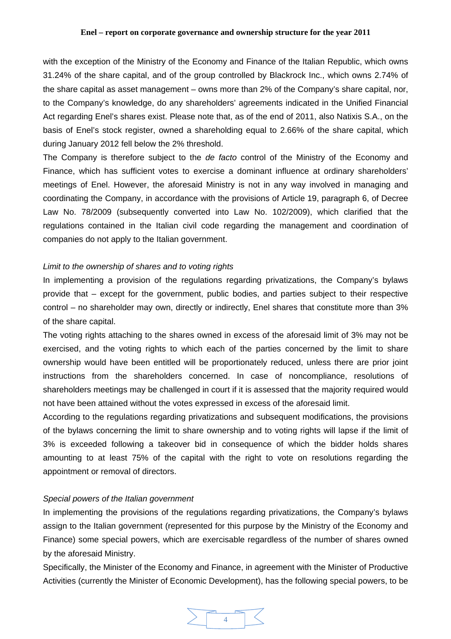<span id="page-3-0"></span>with the exception of the Ministry of the Economy and Finance of the Italian Republic, which owns 31.24% of the share capital, and of the group controlled by Blackrock Inc., which owns 2.74% of the share capital as asset management – owns more than 2% of the Company's share capital, nor, to the Company's knowledge, do any shareholders' agreements indicated in the Unified Financial Act regarding Enel's shares exist. Please note that, as of the end of 2011, also Natixis S.A., on the basis of Enel's stock register, owned a shareholding equal to 2.66% of the share capital, which during January 2012 fell below the 2% threshold.

The Company is therefore subject to the *de facto* control of the Ministry of the Economy and Finance, which has sufficient votes to exercise a dominant influence at ordinary shareholders' meetings of Enel. However, the aforesaid Ministry is not in any way involved in managing and coordinating the Company, in accordance with the provisions of Article 19, paragraph 6, of Decree Law No. 78/2009 (subsequently converted into Law No. 102/2009), which clarified that the regulations contained in the Italian civil code regarding the management and coordination of companies do not apply to the Italian government.

### *Limit to the ownership of shares and to voting rights*

In implementing a provision of the regulations regarding privatizations, the Company's bylaws provide that – except for the government, public bodies, and parties subject to their respective control – no shareholder may own, directly or indirectly, Enel shares that constitute more than 3% of the share capital.

The voting rights attaching to the shares owned in excess of the aforesaid limit of 3% may not be exercised, and the voting rights to which each of the parties concerned by the limit to share ownership would have been entitled will be proportionately reduced, unless there are prior joint instructions from the shareholders concerned. In case of noncompliance, resolutions of shareholders meetings may be challenged in court if it is assessed that the majority required would not have been attained without the votes expressed in excess of the aforesaid limit.

According to the regulations regarding privatizations and subsequent modifications, the provisions of the bylaws concerning the limit to share ownership and to voting rights will lapse if the limit of 3% is exceeded following a takeover bid in consequence of which the bidder holds shares amounting to at least 75% of the capital with the right to vote on resolutions regarding the appointment or removal of directors.

# *Special powers of the Italian government*

In implementing the provisions of the regulations regarding privatizations, the Company's bylaws assign to the Italian government (represented for this purpose by the Ministry of the Economy and Finance) some special powers, which are exercisable regardless of the number of shares owned by the aforesaid Ministry.

Specifically, the Minister of the Economy and Finance, in agreement with the Minister of Productive Activities (currently the Minister of Economic Development), has the following special powers, to be

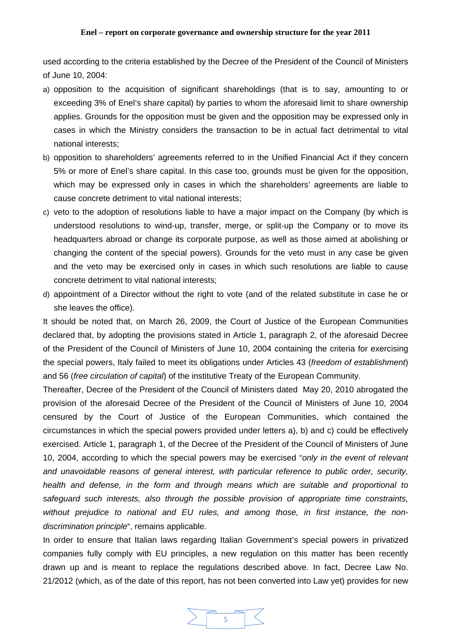used according to the criteria established by the Decree of the President of the Council of Ministers of June 10, 2004:

- a) opposition to the acquisition of significant shareholdings (that is to say, amounting to or exceeding 3% of Enel's share capital) by parties to whom the aforesaid limit to share ownership applies. Grounds for the opposition must be given and the opposition may be expressed only in cases in which the Ministry considers the transaction to be in actual fact detrimental to vital national interests;
- b) opposition to shareholders' agreements referred to in the Unified Financial Act if they concern 5% or more of Enel's share capital. In this case too, grounds must be given for the opposition, which may be expressed only in cases in which the shareholders' agreements are liable to cause concrete detriment to vital national interests;
- c) veto to the adoption of resolutions liable to have a major impact on the Company (by which is understood resolutions to wind-up, transfer, merge, or split-up the Company or to move its headquarters abroad or change its corporate purpose, as well as those aimed at abolishing or changing the content of the special powers). Grounds for the veto must in any case be given and the veto may be exercised only in cases in which such resolutions are liable to cause concrete detriment to vital national interests;
- d) appointment of a Director without the right to vote (and of the related substitute in case he or she leaves the office).

It should be noted that, on March 26, 2009, the Court of Justice of the European Communities declared that, by adopting the provisions stated in Article 1, paragraph 2, of the aforesaid Decree of the President of the Council of Ministers of June 10, 2004 containing the criteria for exercising the special powers, Italy failed to meet its obligations under Articles 43 (*freedom of establishment*) and 56 (*free circulation of capital*) of the institutive Treaty of the European Community.

Thereafter, Decree of the President of the Council of Ministers dated May 20, 2010 abrogated the provision of the aforesaid Decree of the President of the Council of Ministers of June 10, 2004 censured by the Court of Justice of the European Communities, which contained the circumstances in which the special powers provided under letters a), b) and c) could be effectively exercised. Article 1, paragraph 1, of the Decree of the President of the Council of Ministers of June 10, 2004, according to which the special powers may be exercised "*only in the event of relevant and unavoidable reasons of general interest, with particular reference to public order, security, health and defense, in the form and through means which are suitable and proportional to safeguard such interests, also through the possible provision of appropriate time constraints, without prejudice to national and EU rules, and among those, in first instance, the nondiscrimination principle*", remains applicable.

In order to ensure that Italian laws regarding Italian Government's special powers in privatized companies fully comply with EU principles, a new regulation on this matter has been recently drawn up and is meant to replace the regulations described above. In fact, Decree Law No. 21/2012 (which, as of the date of this report, has not been converted into Law yet) provides for new

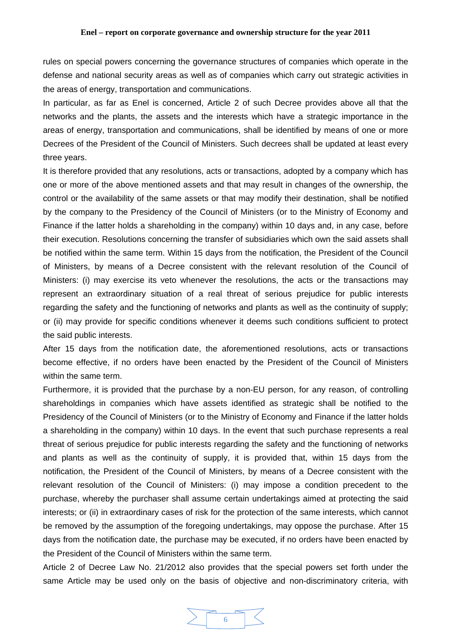rules on special powers concerning the governance structures of companies which operate in the defense and national security areas as well as of companies which carry out strategic activities in the areas of energy, transportation and communications.

In particular, as far as Enel is concerned, Article 2 of such Decree provides above all that the networks and the plants, the assets and the interests which have a strategic importance in the areas of energy, transportation and communications, shall be identified by means of one or more Decrees of the President of the Council of Ministers. Such decrees shall be updated at least every three years.

It is therefore provided that any resolutions, acts or transactions, adopted by a company which has one or more of the above mentioned assets and that may result in changes of the ownership, the control or the availability of the same assets or that may modify their destination, shall be notified by the company to the Presidency of the Council of Ministers (or to the Ministry of Economy and Finance if the latter holds a shareholding in the company) within 10 days and, in any case, before their execution. Resolutions concerning the transfer of subsidiaries which own the said assets shall be notified within the same term. Within 15 days from the notification, the President of the Council of Ministers, by means of a Decree consistent with the relevant resolution of the Council of Ministers: (i) may exercise its veto whenever the resolutions, the acts or the transactions may represent an extraordinary situation of a real threat of serious prejudice for public interests regarding the safety and the functioning of networks and plants as well as the continuity of supply; or (ii) may provide for specific conditions whenever it deems such conditions sufficient to protect the said public interests.

After 15 days from the notification date, the aforementioned resolutions, acts or transactions become effective, if no orders have been enacted by the President of the Council of Ministers within the same term.

Furthermore, it is provided that the purchase by a non-EU person, for any reason, of controlling shareholdings in companies which have assets identified as strategic shall be notified to the Presidency of the Council of Ministers (or to the Ministry of Economy and Finance if the latter holds a shareholding in the company) within 10 days. In the event that such purchase represents a real threat of serious prejudice for public interests regarding the safety and the functioning of networks and plants as well as the continuity of supply, it is provided that, within 15 days from the notification, the President of the Council of Ministers, by means of a Decree consistent with the relevant resolution of the Council of Ministers: (i) may impose a condition precedent to the purchase, whereby the purchaser shall assume certain undertakings aimed at protecting the said interests; or (ii) in extraordinary cases of risk for the protection of the same interests, which cannot be removed by the assumption of the foregoing undertakings, may oppose the purchase. After 15 days from the notification date, the purchase may be executed, if no orders have been enacted by the President of the Council of Ministers within the same term.

Article 2 of Decree Law No. 21/2012 also provides that the special powers set forth under the same Article may be used only on the basis of objective and non-discriminatory criteria, with

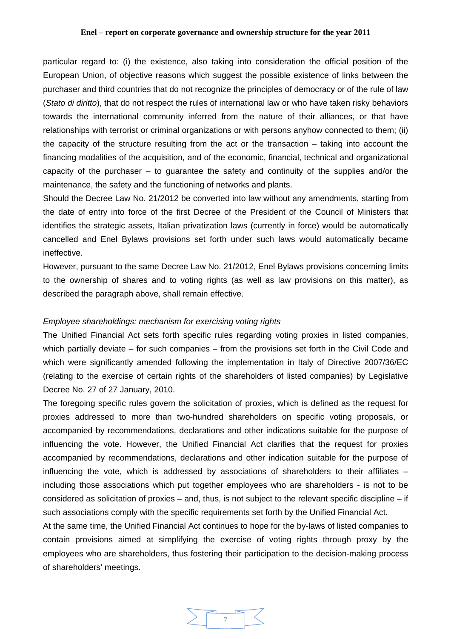<span id="page-6-0"></span>particular regard to: (i) the existence, also taking into consideration the official position of the European Union, of objective reasons which suggest the possible existence of links between the purchaser and third countries that do not recognize the principles of democracy or of the rule of law (*Stato di diritto*), that do not respect the rules of international law or who have taken risky behaviors towards the international community inferred from the nature of their alliances, or that have relationships with terrorist or criminal organizations or with persons anyhow connected to them; (ii) the capacity of the structure resulting from the act or the transaction – taking into account the financing modalities of the acquisition, and of the economic, financial, technical and organizational capacity of the purchaser  $-$  to quarantee the safety and continuity of the supplies and/or the maintenance, the safety and the functioning of networks and plants.

Should the Decree Law No. 21/2012 be converted into law without any amendments, starting from the date of entry into force of the first Decree of the President of the Council of Ministers that identifies the strategic assets, Italian privatization laws (currently in force) would be automatically cancelled and Enel Bylaws provisions set forth under such laws would automatically became ineffective.

However, pursuant to the same Decree Law No. 21/2012, Enel Bylaws provisions concerning limits to the ownership of shares and to voting rights (as well as law provisions on this matter), as described the paragraph above, shall remain effective.

### *Employee shareholdings: mechanism for exercising voting rights*

The Unified Financial Act sets forth specific rules regarding voting proxies in listed companies, which partially deviate – for such companies – from the provisions set forth in the Civil Code and which were significantly amended following the implementation in Italy of Directive 2007/36/EC (relating to the exercise of certain rights of the shareholders of listed companies) by Legislative Decree No. 27 of 27 January, 2010.

The foregoing specific rules govern the solicitation of proxies, which is defined as the request for proxies addressed to more than two-hundred shareholders on specific voting proposals, or accompanied by recommendations, declarations and other indications suitable for the purpose of influencing the vote. However, the Unified Financial Act clarifies that the request for proxies accompanied by recommendations, declarations and other indication suitable for the purpose of influencing the vote, which is addressed by associations of shareholders to their affiliates – including those associations which put together employees who are shareholders - is not to be considered as solicitation of proxies – and, thus, is not subject to the relevant specific discipline – if such associations comply with the specific requirements set forth by the Unified Financial Act.

At the same time, the Unified Financial Act continues to hope for the by-laws of listed companies to contain provisions aimed at simplifying the exercise of voting rights through proxy by the employees who are shareholders, thus fostering their participation to the decision-making process of shareholders' meetings.

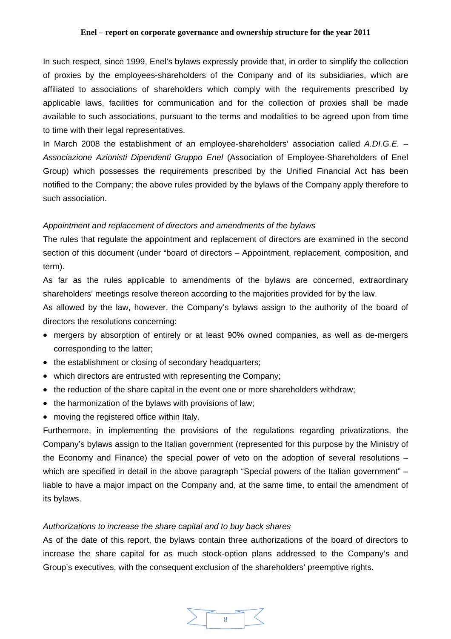<span id="page-7-0"></span>In such respect, since 1999, Enel's bylaws expressly provide that, in order to simplify the collection of proxies by the employees-shareholders of the Company and of its subsidiaries, which are affiliated to associations of shareholders which comply with the requirements prescribed by applicable laws, facilities for communication and for the collection of proxies shall be made available to such associations, pursuant to the terms and modalities to be agreed upon from time to time with their legal representatives.

In March 2008 the establishment of an employee-shareholders' association called *A.DI.G.E. – Associazione Azionisti Dipendenti Gruppo Enel* (Association of Employee-Shareholders of Enel Group) which possesses the requirements prescribed by the Unified Financial Act has been notified to the Company; the above rules provided by the bylaws of the Company apply therefore to such association.

### *Appointment and replacement of directors and amendments of the bylaws*

The rules that regulate the appointment and replacement of directors are examined in the second section of this document (under "board of directors – Appointment, replacement, composition, and term).

As far as the rules applicable to amendments of the bylaws are concerned, extraordinary shareholders' meetings resolve thereon according to the majorities provided for by the law.

As allowed by the law, however, the Company's bylaws assign to the authority of the board of directors the resolutions concerning:

- mergers by absorption of entirely or at least 90% owned companies, as well as de-mergers corresponding to the latter;
- the establishment or closing of secondary headquarters;
- which directors are entrusted with representing the Company;
- the reduction of the share capital in the event one or more shareholders withdraw;
- the harmonization of the bylaws with provisions of law;
- moving the registered office within Italy.

Furthermore, in implementing the provisions of the regulations regarding privatizations, the Company's bylaws assign to the Italian government (represented for this purpose by the Ministry of the Economy and Finance) the special power of veto on the adoption of several resolutions – which are specified in detail in the above paragraph "Special powers of the Italian government" – liable to have a major impact on the Company and, at the same time, to entail the amendment of its bylaws.

### *Authorizations to increase the share capital and to buy back shares*

As of the date of this report, the bylaws contain three authorizations of the board of directors to increase the share capital for as much stock-option plans addressed to the Company's and Group's executives, with the consequent exclusion of the shareholders' preemptive rights.

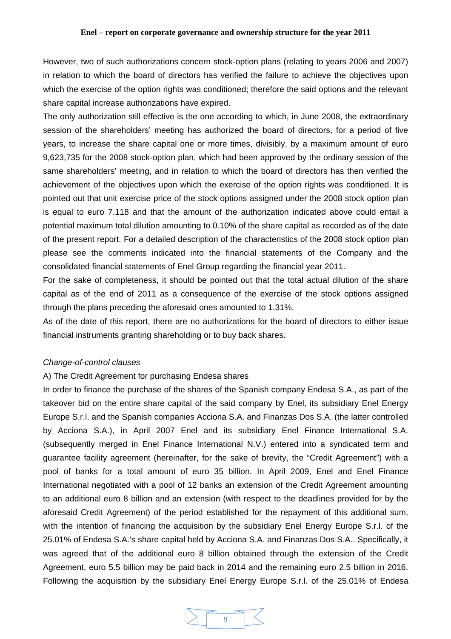<span id="page-8-0"></span>However, two of such authorizations concern stock-option plans (relating to years 2006 and 2007) in relation to which the board of directors has verified the failure to achieve the objectives upon which the exercise of the option rights was conditioned; therefore the said options and the relevant share capital increase authorizations have expired.

The only authorization still effective is the one according to which, in June 2008, the extraordinary session of the shareholders' meeting has authorized the board of directors, for a period of five years, to increase the share capital one or more times, divisibly, by a maximum amount of euro 9,623,735 for the 2008 stock-option plan, which had been approved by the ordinary session of the same shareholders' meeting, and in relation to which the board of directors has then verified the achievement of the objectives upon which the exercise of the option rights was conditioned. It is pointed out that unit exercise price of the stock options assigned under the 2008 stock option plan is equal to euro 7.118 and that the amount of the authorization indicated above could entail a potential maximum total dilution amounting to 0.10% of the share capital as recorded as of the date of the present report. For a detailed description of the characteristics of the 2008 stock option plan please see the comments indicated into the financial statements of the Company and the consolidated financial statements of Enel Group regarding the financial year 2011.

For the sake of completeness, it should be pointed out that the total actual dilution of the share capital as of the end of 2011 as a consequence of the exercise of the stock options assigned through the plans preceding the aforesaid ones amounted to 1.31%.

As of the date of this report, there are no authorizations for the board of directors to either issue financial instruments granting shareholding or to buy back shares.

#### *Change-of-control clauses*

### A) The Credit Agreement for purchasing Endesa shares

In order to finance the purchase of the shares of the Spanish company Endesa S.A., as part of the takeover bid on the entire share capital of the said company by Enel, its subsidiary Enel Energy Europe S.r.l. and the Spanish companies Acciona S.A. and Finanzas Dos S.A. (the latter controlled by Acciona S.A.), in April 2007 Enel and its subsidiary Enel Finance International S.A. (subsequently merged in Enel Finance International N.V.) entered into a syndicated term and guarantee facility agreement (hereinafter, for the sake of brevity, the "Credit Agreement") with a pool of banks for a total amount of euro 35 billion. In April 2009, Enel and Enel Finance International negotiated with a pool of 12 banks an extension of the Credit Agreement amounting to an additional euro 8 billion and an extension (with respect to the deadlines provided for by the aforesaid Credit Agreement) of the period established for the repayment of this additional sum, with the intention of financing the acquisition by the subsidiary Enel Energy Europe S.r.l. of the 25.01% of Endesa S.A.'s share capital held by Acciona S.A. and Finanzas Dos S.A.. Specifically, it was agreed that of the additional euro 8 billion obtained through the extension of the Credit Agreement, euro 5.5 billion may be paid back in 2014 and the remaining euro 2.5 billion in 2016. Following the acquisition by the subsidiary Enel Energy Europe S.r.l. of the 25.01% of Endesa

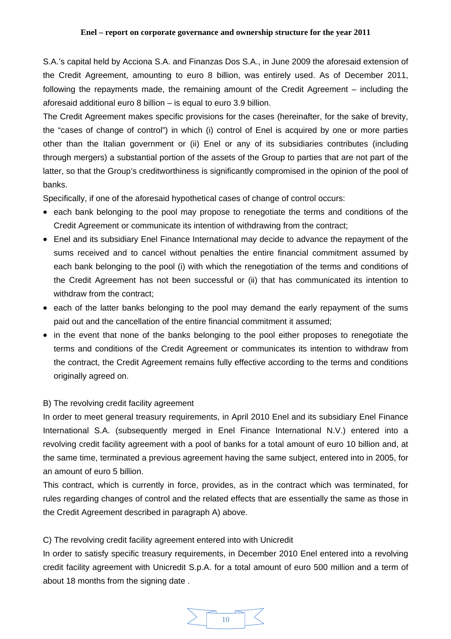S.A.'s capital held by Acciona S.A. and Finanzas Dos S.A., in June 2009 the aforesaid extension of the Credit Agreement, amounting to euro 8 billion, was entirely used. As of December 2011, following the repayments made, the remaining amount of the Credit Agreement – including the aforesaid additional euro 8 billion – is equal to euro 3.9 billion.

The Credit Agreement makes specific provisions for the cases (hereinafter, for the sake of brevity, the "cases of change of control") in which (i) control of Enel is acquired by one or more parties other than the Italian government or (ii) Enel or any of its subsidiaries contributes (including through mergers) a substantial portion of the assets of the Group to parties that are not part of the latter, so that the Group's creditworthiness is significantly compromised in the opinion of the pool of banks.

Specifically, if one of the aforesaid hypothetical cases of change of control occurs:

- each bank belonging to the pool may propose to renegotiate the terms and conditions of the Credit Agreement or communicate its intention of withdrawing from the contract;
- Enel and its subsidiary Enel Finance International may decide to advance the repayment of the sums received and to cancel without penalties the entire financial commitment assumed by each bank belonging to the pool (i) with which the renegotiation of the terms and conditions of the Credit Agreement has not been successful or (ii) that has communicated its intention to withdraw from the contract;
- each of the latter banks belonging to the pool may demand the early repayment of the sums paid out and the cancellation of the entire financial commitment it assumed;
- in the event that none of the banks belonging to the pool either proposes to renegotiate the terms and conditions of the Credit Agreement or communicates its intention to withdraw from the contract, the Credit Agreement remains fully effective according to the terms and conditions originally agreed on.

# B) The revolving credit facility agreement

In order to meet general treasury requirements, in April 2010 Enel and its subsidiary Enel Finance International S.A. (subsequently merged in Enel Finance International N.V.) entered into a revolving credit facility agreement with a pool of banks for a total amount of euro 10 billion and, at the same time, terminated a previous agreement having the same subject, entered into in 2005, for an amount of euro 5 billion.

This contract, which is currently in force, provides, as in the contract which was terminated, for rules regarding changes of control and the related effects that are essentially the same as those in the Credit Agreement described in paragraph A) above.

# C) The revolving credit facility agreement entered into with Unicredit

In order to satisfy specific treasury requirements, in December 2010 Enel entered into a revolving credit facility agreement with Unicredit S.p.A. for a total amount of euro 500 million and a term of about 18 months from the signing date .

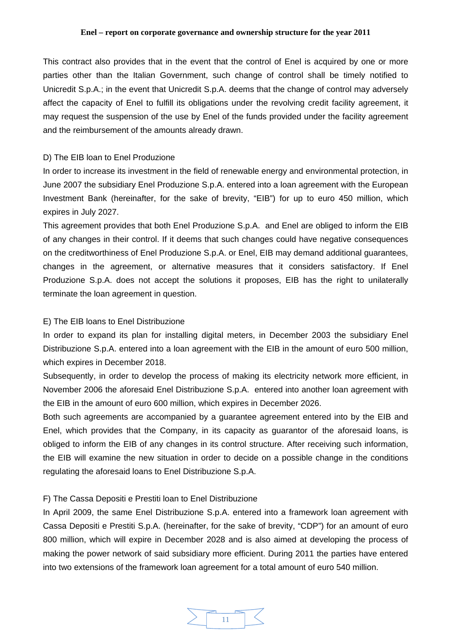This contract also provides that in the event that the control of Enel is acquired by one or more parties other than the Italian Government, such change of control shall be timely notified to Unicredit S.p.A.; in the event that Unicredit S.p.A. deems that the change of control may adversely affect the capacity of Enel to fulfill its obligations under the revolving credit facility agreement, it may request the suspension of the use by Enel of the funds provided under the facility agreement and the reimbursement of the amounts already drawn.

### D) The EIB loan to Enel Produzione

In order to increase its investment in the field of renewable energy and environmental protection, in June 2007 the subsidiary Enel Produzione S.p.A. entered into a loan agreement with the European Investment Bank (hereinafter, for the sake of brevity, "EIB") for up to euro 450 million, which expires in July 2027.

This agreement provides that both Enel Produzione S.p.A. and Enel are obliged to inform the EIB of any changes in their control. If it deems that such changes could have negative consequences on the creditworthiness of Enel Produzione S.p.A. or Enel, EIB may demand additional guarantees, changes in the agreement, or alternative measures that it considers satisfactory. If Enel Produzione S.p.A. does not accept the solutions it proposes, EIB has the right to unilaterally terminate the loan agreement in question.

### E) The EIB loans to Enel Distribuzione

In order to expand its plan for installing digital meters, in December 2003 the subsidiary Enel Distribuzione S.p.A. entered into a loan agreement with the EIB in the amount of euro 500 million, which expires in December 2018.

Subsequently, in order to develop the process of making its electricity network more efficient, in November 2006 the aforesaid Enel Distribuzione S.p.A. entered into another loan agreement with the EIB in the amount of euro 600 million, which expires in December 2026.

Both such agreements are accompanied by a guarantee agreement entered into by the EIB and Enel, which provides that the Company, in its capacity as guarantor of the aforesaid loans, is obliged to inform the EIB of any changes in its control structure. After receiving such information, the EIB will examine the new situation in order to decide on a possible change in the conditions regulating the aforesaid loans to Enel Distribuzione S.p.A.

# F) The Cassa Depositi e Prestiti loan to Enel Distribuzione

In April 2009, the same Enel Distribuzione S.p.A. entered into a framework loan agreement with Cassa Depositi e Prestiti S.p.A. (hereinafter, for the sake of brevity, "CDP") for an amount of euro 800 million, which will expire in December 2028 and is also aimed at developing the process of making the power network of said subsidiary more efficient. During 2011 the parties have entered into two extensions of the framework loan agreement for a total amount of euro 540 million.

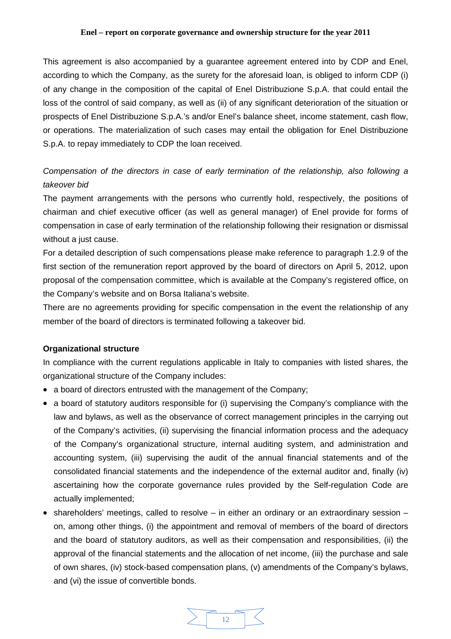<span id="page-11-0"></span>This agreement is also accompanied by a guarantee agreement entered into by CDP and Enel, according to which the Company, as the surety for the aforesaid loan, is obliged to inform CDP (i) of any change in the composition of the capital of Enel Distribuzione S.p.A. that could entail the loss of the control of said company, as well as (ii) of any significant deterioration of the situation or prospects of Enel Distribuzione S.p.A.'s and/or Enel's balance sheet, income statement, cash flow, or operations. The materialization of such cases may entail the obligation for Enel Distribuzione S.p.A. to repay immediately to CDP the loan received.

# *Compensation of the directors in case of early termination of the relationship, also following a takeover bid*

The payment arrangements with the persons who currently hold, respectively, the positions of chairman and chief executive officer (as well as general manager) of Enel provide for forms of compensation in case of early termination of the relationship following their resignation or dismissal without a just cause.

For a detailed description of such compensations please make reference to paragraph 1.2.9 of the first section of the remuneration report approved by the board of directors on April 5, 2012, upon proposal of the compensation committee, which is available at the Company's registered office, on the Company's website and on Borsa Italiana's website.

There are no agreements providing for specific compensation in the event the relationship of any member of the board of directors is terminated following a takeover bid.

### **Organizational structure**

In compliance with the current regulations applicable in Italy to companies with listed shares, the organizational structure of the Company includes:

- a board of directors entrusted with the management of the Company;
- a board of statutory auditors responsible for (i) supervising the Company's compliance with the law and bylaws, as well as the observance of correct management principles in the carrying out of the Company's activities, (ii) supervising the financial information process and the adequacy of the Company's organizational structure, internal auditing system, and administration and accounting system, (iii) supervising the audit of the annual financial statements and of the consolidated financial statements and the independence of the external auditor and, finally (iv) ascertaining how the corporate governance rules provided by the Self-regulation Code are actually implemented;
- shareholders' meetings, called to resolve in either an ordinary or an extraordinary session on, among other things, (i) the appointment and removal of members of the board of directors and the board of statutory auditors, as well as their compensation and responsibilities, (ii) the approval of the financial statements and the allocation of net income, (iii) the purchase and sale of own shares, (iv) stock-based compensation plans, (v) amendments of the Company's bylaws, and (vi) the issue of convertible bonds.

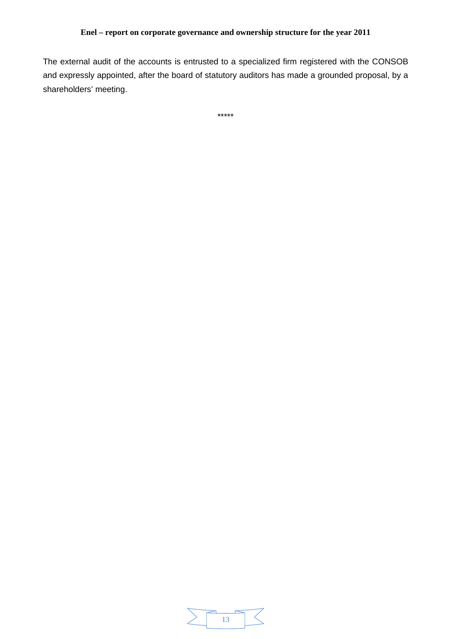The external audit of the accounts is entrusted to a specialized firm registered with the CONSOB and expressly appointed, after the board of statutory auditors has made a grounded proposal, by a shareholders' meeting.

\*\*\*\*\*

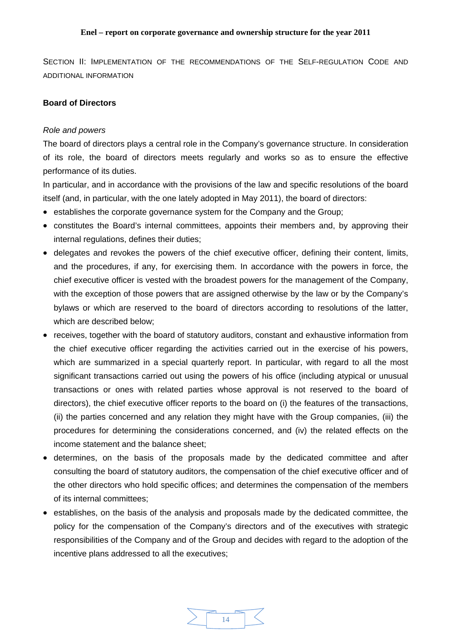<span id="page-13-0"></span>SECTION II: IMPLEMENTATION OF THE RECOMMENDATIONS OF THE SELF-REGULATION CODE AND ADDITIONAL INFORMATION

# **Board of Directors**

### *Role and powers*

The board of directors plays a central role in the Company's governance structure. In consideration of its role, the board of directors meets regularly and works so as to ensure the effective performance of its duties.

In particular, and in accordance with the provisions of the law and specific resolutions of the board itself (and, in particular, with the one lately adopted in May 2011), the board of directors:

- establishes the corporate governance system for the Company and the Group;
- constitutes the Board's internal committees, appoints their members and, by approving their internal regulations, defines their duties;
- delegates and revokes the powers of the chief executive officer, defining their content, limits, and the procedures, if any, for exercising them. In accordance with the powers in force, the chief executive officer is vested with the broadest powers for the management of the Company, with the exception of those powers that are assigned otherwise by the law or by the Company's bylaws or which are reserved to the board of directors according to resolutions of the latter, which are described below;
- receives, together with the board of statutory auditors, constant and exhaustive information from the chief executive officer regarding the activities carried out in the exercise of his powers, which are summarized in a special quarterly report. In particular, with regard to all the most significant transactions carried out using the powers of his office (including atypical or unusual transactions or ones with related parties whose approval is not reserved to the board of directors), the chief executive officer reports to the board on (i) the features of the transactions, (ii) the parties concerned and any relation they might have with the Group companies, (iii) the procedures for determining the considerations concerned, and (iv) the related effects on the income statement and the balance sheet;
- determines, on the basis of the proposals made by the dedicated committee and after consulting the board of statutory auditors, the compensation of the chief executive officer and of the other directors who hold specific offices; and determines the compensation of the members of its internal committees;
- establishes, on the basis of the analysis and proposals made by the dedicated committee, the policy for the compensation of the Company's directors and of the executives with strategic responsibilities of the Company and of the Group and decides with regard to the adoption of the incentive plans addressed to all the executives;

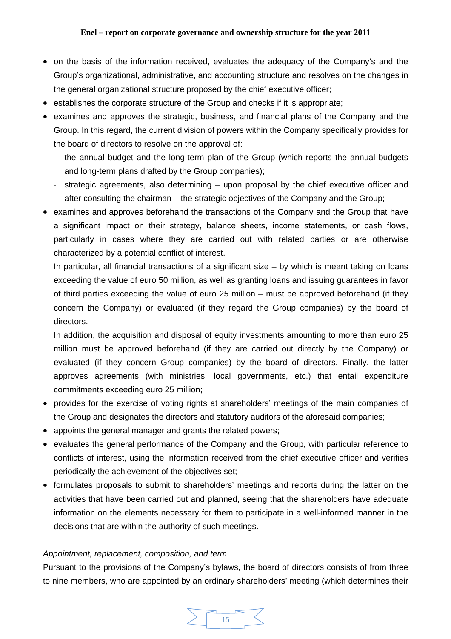- <span id="page-14-0"></span>• on the basis of the information received, evaluates the adequacy of the Company's and the Group's organizational, administrative, and accounting structure and resolves on the changes in the general organizational structure proposed by the chief executive officer;
- establishes the corporate structure of the Group and checks if it is appropriate;
- examines and approves the strategic, business, and financial plans of the Company and the Group. In this regard, the current division of powers within the Company specifically provides for the board of directors to resolve on the approval of:
	- the annual budget and the long-term plan of the Group (which reports the annual budgets and long-term plans drafted by the Group companies);
	- strategic agreements, also determining upon proposal by the chief executive officer and after consulting the chairman – the strategic objectives of the Company and the Group;
- examines and approves beforehand the transactions of the Company and the Group that have a significant impact on their strategy, balance sheets, income statements, or cash flows, particularly in cases where they are carried out with related parties or are otherwise characterized by a potential conflict of interest.

In particular, all financial transactions of a significant size – by which is meant taking on loans exceeding the value of euro 50 million, as well as granting loans and issuing guarantees in favor of third parties exceeding the value of euro 25 million – must be approved beforehand (if they concern the Company) or evaluated (if they regard the Group companies) by the board of directors.

In addition, the acquisition and disposal of equity investments amounting to more than euro 25 million must be approved beforehand (if they are carried out directly by the Company) or evaluated (if they concern Group companies) by the board of directors. Finally, the latter approves agreements (with ministries, local governments, etc.) that entail expenditure commitments exceeding euro 25 million;

- provides for the exercise of voting rights at shareholders' meetings of the main companies of the Group and designates the directors and statutory auditors of the aforesaid companies;
- appoints the general manager and grants the related powers;
- evaluates the general performance of the Company and the Group, with particular reference to conflicts of interest, using the information received from the chief executive officer and verifies periodically the achievement of the objectives set;
- formulates proposals to submit to shareholders' meetings and reports during the latter on the activities that have been carried out and planned, seeing that the shareholders have adequate information on the elements necessary for them to participate in a well-informed manner in the decisions that are within the authority of such meetings.

### *Appointment, replacement, composition, and term*

Pursuant to the provisions of the Company's bylaws, the board of directors consists of from three to nine members, who are appointed by an ordinary shareholders' meeting (which determines their

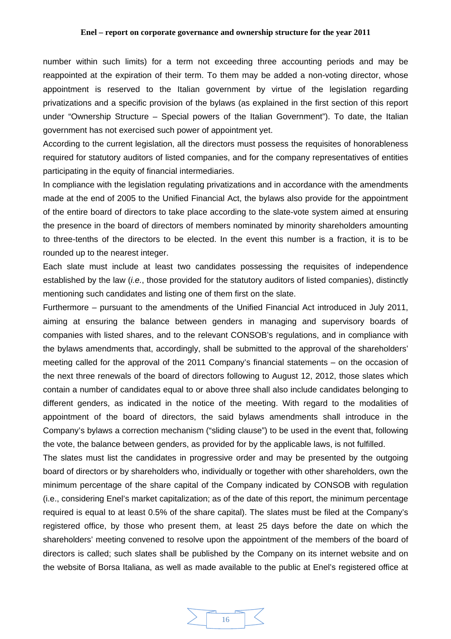number within such limits) for a term not exceeding three accounting periods and may be reappointed at the expiration of their term. To them may be added a non-voting director, whose appointment is reserved to the Italian government by virtue of the legislation regarding privatizations and a specific provision of the bylaws (as explained in the first section of this report under "Ownership Structure – Special powers of the Italian Government"). To date, the Italian government has not exercised such power of appointment yet.

According to the current legislation, all the directors must possess the requisites of honorableness required for statutory auditors of listed companies, and for the company representatives of entities participating in the equity of financial intermediaries.

In compliance with the legislation regulating privatizations and in accordance with the amendments made at the end of 2005 to the Unified Financial Act, the bylaws also provide for the appointment of the entire board of directors to take place according to the slate-vote system aimed at ensuring the presence in the board of directors of members nominated by minority shareholders amounting to three-tenths of the directors to be elected. In the event this number is a fraction, it is to be rounded up to the nearest integer.

Each slate must include at least two candidates possessing the requisites of independence established by the law (*i.e.*, those provided for the statutory auditors of listed companies), distinctly mentioning such candidates and listing one of them first on the slate.

Furthermore – pursuant to the amendments of the Unified Financial Act introduced in July 2011, aiming at ensuring the balance between genders in managing and supervisory boards of companies with listed shares, and to the relevant CONSOB's regulations, and in compliance with the bylaws amendments that, accordingly, shall be submitted to the approval of the shareholders' meeting called for the approval of the 2011 Company's financial statements – on the occasion of the next three renewals of the board of directors following to August 12, 2012, those slates which contain a number of candidates equal to or above three shall also include candidates belonging to different genders, as indicated in the notice of the meeting. With regard to the modalities of appointment of the board of directors, the said bylaws amendments shall introduce in the Company's bylaws a correction mechanism ("sliding clause") to be used in the event that, following the vote, the balance between genders, as provided for by the applicable laws, is not fulfilled.

The slates must list the candidates in progressive order and may be presented by the outgoing board of directors or by shareholders who, individually or together with other shareholders, own the minimum percentage of the share capital of the Company indicated by CONSOB with regulation (i.e., considering Enel's market capitalization; as of the date of this report, the minimum percentage required is equal to at least 0.5% of the share capital). The slates must be filed at the Company's registered office, by those who present them, at least 25 days before the date on which the shareholders' meeting convened to resolve upon the appointment of the members of the board of directors is called; such slates shall be published by the Company on its internet website and on the website of Borsa Italiana, as well as made available to the public at Enel's registered office at

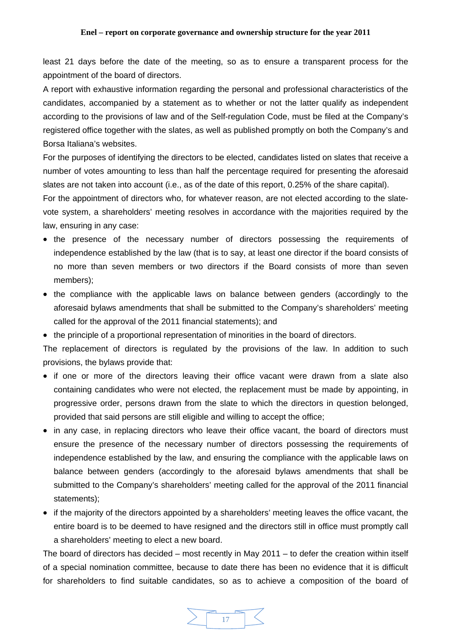least 21 days before the date of the meeting, so as to ensure a transparent process for the appointment of the board of directors.

A report with exhaustive information regarding the personal and professional characteristics of the candidates, accompanied by a statement as to whether or not the latter qualify as independent according to the provisions of law and of the Self-regulation Code, must be filed at the Company's registered office together with the slates, as well as published promptly on both the Company's and Borsa Italiana's websites.

For the purposes of identifying the directors to be elected, candidates listed on slates that receive a number of votes amounting to less than half the percentage required for presenting the aforesaid slates are not taken into account (i.e., as of the date of this report, 0.25% of the share capital).

For the appointment of directors who, for whatever reason, are not elected according to the slatevote system, a shareholders' meeting resolves in accordance with the majorities required by the law, ensuring in any case:

- the presence of the necessary number of directors possessing the requirements of independence established by the law (that is to say, at least one director if the board consists of no more than seven members or two directors if the Board consists of more than seven members);
- the compliance with the applicable laws on balance between genders (accordingly to the aforesaid bylaws amendments that shall be submitted to the Company's shareholders' meeting called for the approval of the 2011 financial statements); and
- the principle of a proportional representation of minorities in the board of directors.

The replacement of directors is regulated by the provisions of the law. In addition to such provisions, the bylaws provide that:

- if one or more of the directors leaving their office vacant were drawn from a slate also containing candidates who were not elected, the replacement must be made by appointing, in progressive order, persons drawn from the slate to which the directors in question belonged, provided that said persons are still eligible and willing to accept the office;
- in any case, in replacing directors who leave their office vacant, the board of directors must ensure the presence of the necessary number of directors possessing the requirements of independence established by the law, and ensuring the compliance with the applicable laws on balance between genders (accordingly to the aforesaid bylaws amendments that shall be submitted to the Company's shareholders' meeting called for the approval of the 2011 financial statements);
- if the majority of the directors appointed by a shareholders' meeting leaves the office vacant, the entire board is to be deemed to have resigned and the directors still in office must promptly call a shareholders' meeting to elect a new board.

The board of directors has decided – most recently in May 2011 – to defer the creation within itself of a special nomination committee, because to date there has been no evidence that it is difficult for shareholders to find suitable candidates, so as to achieve a composition of the board of

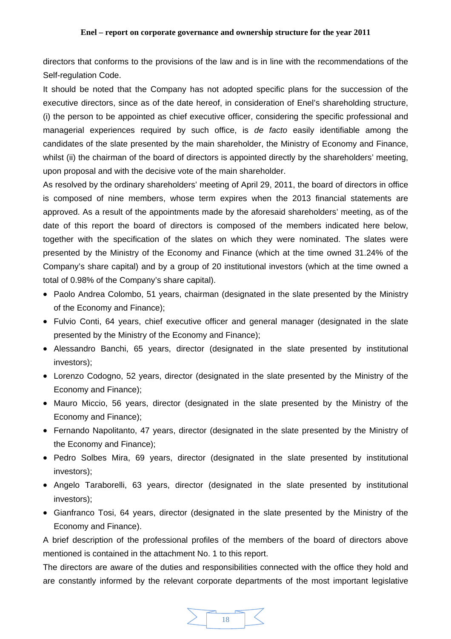directors that conforms to the provisions of the law and is in line with the recommendations of the Self-regulation Code.

It should be noted that the Company has not adopted specific plans for the succession of the executive directors, since as of the date hereof, in consideration of Enel's shareholding structure, (i) the person to be appointed as chief executive officer, considering the specific professional and managerial experiences required by such office, is *de facto* easily identifiable among the candidates of the slate presented by the main shareholder, the Ministry of Economy and Finance, whilst (ii) the chairman of the board of directors is appointed directly by the shareholders' meeting, upon proposal and with the decisive vote of the main shareholder.

As resolved by the ordinary shareholders' meeting of April 29, 2011, the board of directors in office is composed of nine members, whose term expires when the 2013 financial statements are approved. As a result of the appointments made by the aforesaid shareholders' meeting, as of the date of this report the board of directors is composed of the members indicated here below, together with the specification of the slates on which they were nominated. The slates were presented by the Ministry of the Economy and Finance (which at the time owned 31.24% of the Company's share capital) and by a group of 20 institutional investors (which at the time owned a total of 0.98% of the Company's share capital).

- Paolo Andrea Colombo, 51 years, chairman (designated in the slate presented by the Ministry of the Economy and Finance);
- Fulvio Conti, 64 years, chief executive officer and general manager (designated in the slate presented by the Ministry of the Economy and Finance);
- Alessandro Banchi, 65 years, director (designated in the slate presented by institutional investors);
- Lorenzo Codogno, 52 years, director (designated in the slate presented by the Ministry of the Economy and Finance);
- Mauro Miccio, 56 years, director (designated in the slate presented by the Ministry of the Economy and Finance);
- Fernando Napolitanto, 47 years, director (designated in the slate presented by the Ministry of the Economy and Finance);
- Pedro Solbes Mira, 69 years, director (designated in the slate presented by institutional investors);
- Angelo Taraborelli, 63 years, director (designated in the slate presented by institutional investors);
- Gianfranco Tosi, 64 years, director (designated in the slate presented by the Ministry of the Economy and Finance).

A brief description of the professional profiles of the members of the board of directors above mentioned is contained in the attachment No. 1 to this report.

The directors are aware of the duties and responsibilities connected with the office they hold and are constantly informed by the relevant corporate departments of the most important legislative

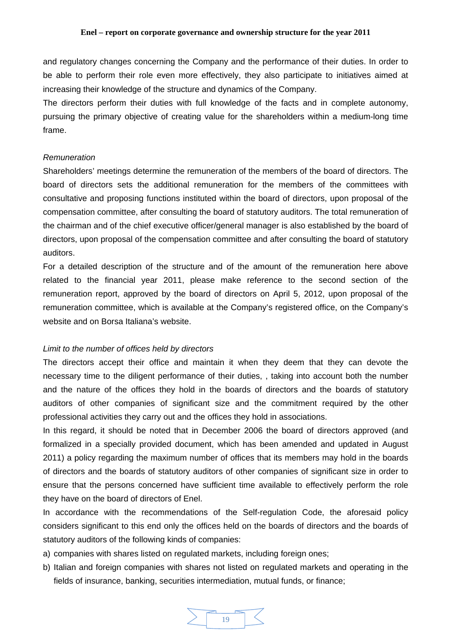<span id="page-18-0"></span>and regulatory changes concerning the Company and the performance of their duties. In order to be able to perform their role even more effectively, they also participate to initiatives aimed at increasing their knowledge of the structure and dynamics of the Company.

The directors perform their duties with full knowledge of the facts and in complete autonomy, pursuing the primary objective of creating value for the shareholders within a medium-long time frame.

### *Remuneration*

Shareholders' meetings determine the remuneration of the members of the board of directors. The board of directors sets the additional remuneration for the members of the committees with consultative and proposing functions instituted within the board of directors, upon proposal of the compensation committee, after consulting the board of statutory auditors. The total remuneration of the chairman and of the chief executive officer/general manager is also established by the board of directors, upon proposal of the compensation committee and after consulting the board of statutory auditors.

For a detailed description of the structure and of the amount of the remuneration here above related to the financial year 2011, please make reference to the second section of the remuneration report, approved by the board of directors on April 5, 2012, upon proposal of the remuneration committee, which is available at the Company's registered office, on the Company's website and on Borsa Italiana's website.

### *Limit to the number of offices held by directors*

The directors accept their office and maintain it when they deem that they can devote the necessary time to the diligent performance of their duties, , taking into account both the number and the nature of the offices they hold in the boards of directors and the boards of statutory auditors of other companies of significant size and the commitment required by the other professional activities they carry out and the offices they hold in associations.

In this regard, it should be noted that in December 2006 the board of directors approved (and formalized in a specially provided document, which has been amended and updated in August 2011) a policy regarding the maximum number of offices that its members may hold in the boards of directors and the boards of statutory auditors of other companies of significant size in order to ensure that the persons concerned have sufficient time available to effectively perform the role they have on the board of directors of Enel.

In accordance with the recommendations of the Self-regulation Code, the aforesaid policy considers significant to this end only the offices held on the boards of directors and the boards of statutory auditors of the following kinds of companies:

- a) companies with shares listed on regulated markets, including foreign ones;
- b) Italian and foreign companies with shares not listed on regulated markets and operating in the fields of insurance, banking, securities intermediation, mutual funds, or finance;

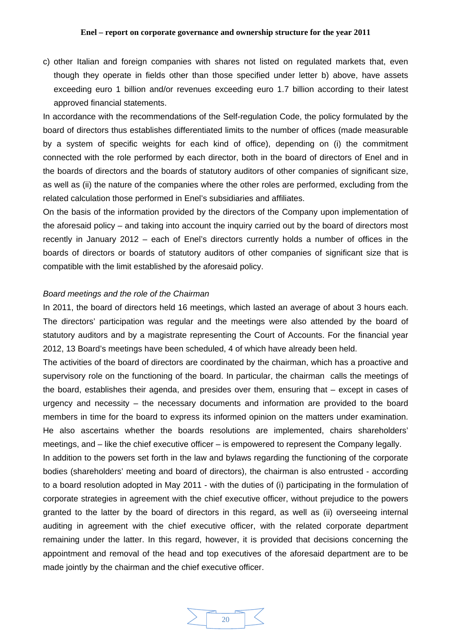<span id="page-19-0"></span>c) other Italian and foreign companies with shares not listed on regulated markets that, even though they operate in fields other than those specified under letter b) above, have assets exceeding euro 1 billion and/or revenues exceeding euro 1.7 billion according to their latest approved financial statements.

In accordance with the recommendations of the Self-regulation Code, the policy formulated by the board of directors thus establishes differentiated limits to the number of offices (made measurable by a system of specific weights for each kind of office), depending on (i) the commitment connected with the role performed by each director, both in the board of directors of Enel and in the boards of directors and the boards of statutory auditors of other companies of significant size, as well as (ii) the nature of the companies where the other roles are performed, excluding from the related calculation those performed in Enel's subsidiaries and affiliates.

On the basis of the information provided by the directors of the Company upon implementation of the aforesaid policy – and taking into account the inquiry carried out by the board of directors most recently in January 2012 – each of Enel's directors currently holds a number of offices in the boards of directors or boards of statutory auditors of other companies of significant size that is compatible with the limit established by the aforesaid policy.

### *Board meetings and the role of the Chairman*

In 2011, the board of directors held 16 meetings, which lasted an average of about 3 hours each. The directors' participation was regular and the meetings were also attended by the board of statutory auditors and by a magistrate representing the Court of Accounts. For the financial year 2012, 13 Board's meetings have been scheduled, 4 of which have already been held.

The activities of the board of directors are coordinated by the chairman, which has a proactive and supervisory role on the functioning of the board. In particular, the chairman calls the meetings of the board, establishes their agenda, and presides over them, ensuring that – except in cases of urgency and necessity – the necessary documents and information are provided to the board members in time for the board to express its informed opinion on the matters under examination. He also ascertains whether the boards resolutions are implemented, chairs shareholders' meetings, and – like the chief executive officer – is empowered to represent the Company legally.

In addition to the powers set forth in the law and bylaws regarding the functioning of the corporate bodies (shareholders' meeting and board of directors), the chairman is also entrusted - according to a board resolution adopted in May 2011 - with the duties of (i) participating in the formulation of corporate strategies in agreement with the chief executive officer, without prejudice to the powers granted to the latter by the board of directors in this regard, as well as (ii) overseeing internal auditing in agreement with the chief executive officer, with the related corporate department remaining under the latter. In this regard, however, it is provided that decisions concerning the appointment and removal of the head and top executives of the aforesaid department are to be made jointly by the chairman and the chief executive officer.

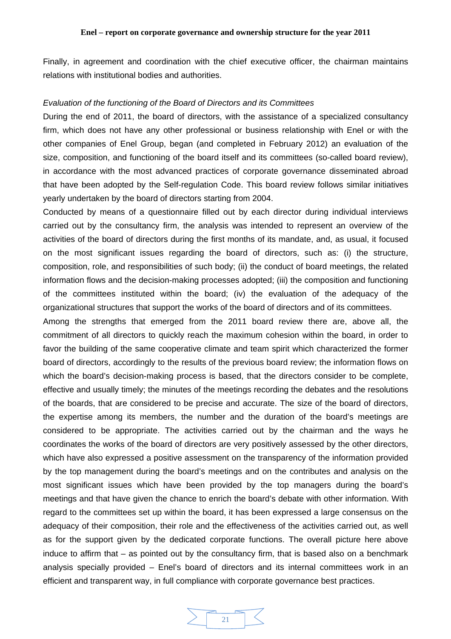<span id="page-20-0"></span>Finally, in agreement and coordination with the chief executive officer, the chairman maintains relations with institutional bodies and authorities.

#### *Evaluation of the functioning of the Board of Directors and its Committees*

During the end of 2011, the board of directors, with the assistance of a specialized consultancy firm, which does not have any other professional or business relationship with Enel or with the other companies of Enel Group, began (and completed in February 2012) an evaluation of the size, composition, and functioning of the board itself and its committees (so-called board review), in accordance with the most advanced practices of corporate governance disseminated abroad that have been adopted by the Self-regulation Code. This board review follows similar initiatives yearly undertaken by the board of directors starting from 2004.

Conducted by means of a questionnaire filled out by each director during individual interviews carried out by the consultancy firm, the analysis was intended to represent an overview of the activities of the board of directors during the first months of its mandate, and, as usual, it focused on the most significant issues regarding the board of directors, such as: (i) the structure, composition, role, and responsibilities of such body; (ii) the conduct of board meetings, the related information flows and the decision-making processes adopted; (iii) the composition and functioning of the committees instituted within the board; (iv) the evaluation of the adequacy of the organizational structures that support the works of the board of directors and of its committees.

Among the strengths that emerged from the 2011 board review there are, above all, the commitment of all directors to quickly reach the maximum cohesion within the board, in order to favor the building of the same cooperative climate and team spirit which characterized the former board of directors, accordingly to the results of the previous board review; the information flows on which the board's decision-making process is based, that the directors consider to be complete, effective and usually timely; the minutes of the meetings recording the debates and the resolutions of the boards, that are considered to be precise and accurate. The size of the board of directors, the expertise among its members, the number and the duration of the board's meetings are considered to be appropriate. The activities carried out by the chairman and the ways he coordinates the works of the board of directors are very positively assessed by the other directors, which have also expressed a positive assessment on the transparency of the information provided by the top management during the board's meetings and on the contributes and analysis on the most significant issues which have been provided by the top managers during the board's meetings and that have given the chance to enrich the board's debate with other information. With regard to the committees set up within the board, it has been expressed a large consensus on the adequacy of their composition, their role and the effectiveness of the activities carried out, as well as for the support given by the dedicated corporate functions. The overall picture here above induce to affirm that – as pointed out by the consultancy firm, that is based also on a benchmark analysis specially provided – Enel's board of directors and its internal committees work in an efficient and transparent way, in full compliance with corporate governance best practices.

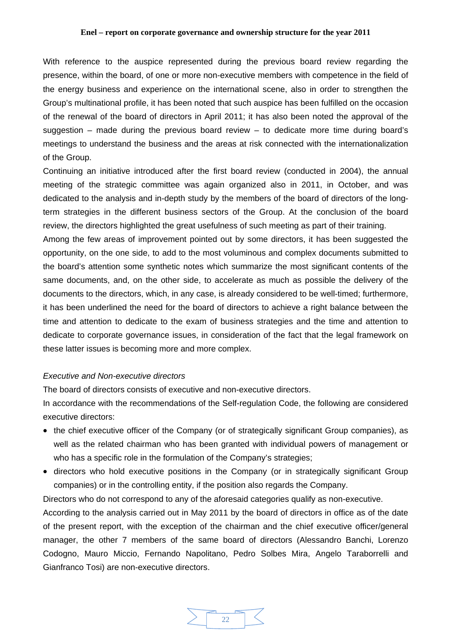<span id="page-21-0"></span>With reference to the auspice represented during the previous board review regarding the presence, within the board, of one or more non-executive members with competence in the field of the energy business and experience on the international scene, also in order to strengthen the Group's multinational profile, it has been noted that such auspice has been fulfilled on the occasion of the renewal of the board of directors in April 2011; it has also been noted the approval of the suggestion – made during the previous board review – to dedicate more time during board's meetings to understand the business and the areas at risk connected with the internationalization of the Group.

Continuing an initiative introduced after the first board review (conducted in 2004), the annual meeting of the strategic committee was again organized also in 2011, in October, and was dedicated to the analysis and in-depth study by the members of the board of directors of the longterm strategies in the different business sectors of the Group. At the conclusion of the board review, the directors highlighted the great usefulness of such meeting as part of their training.

Among the few areas of improvement pointed out by some directors, it has been suggested the opportunity, on the one side, to add to the most voluminous and complex documents submitted to the board's attention some synthetic notes which summarize the most significant contents of the same documents, and, on the other side, to accelerate as much as possible the delivery of the documents to the directors, which, in any case, is already considered to be well-timed; furthermore, it has been underlined the need for the board of directors to achieve a right balance between the time and attention to dedicate to the exam of business strategies and the time and attention to dedicate to corporate governance issues, in consideration of the fact that the legal framework on these latter issues is becoming more and more complex.

### *Executive and Non-executive directors*

The board of directors consists of executive and non-executive directors.

In accordance with the recommendations of the Self-regulation Code, the following are considered executive directors:

- the chief executive officer of the Company (or of strategically significant Group companies), as well as the related chairman who has been granted with individual powers of management or who has a specific role in the formulation of the Company's strategies;
- directors who hold executive positions in the Company (or in strategically significant Group companies) or in the controlling entity, if the position also regards the Company.

Directors who do not correspond to any of the aforesaid categories qualify as non-executive.

According to the analysis carried out in May 2011 by the board of directors in office as of the date of the present report, with the exception of the chairman and the chief executive officer/general manager, the other 7 members of the same board of directors (Alessandro Banchi, Lorenzo Codogno, Mauro Miccio, Fernando Napolitano, Pedro Solbes Mira, Angelo Taraborrelli and Gianfranco Tosi) are non-executive directors.

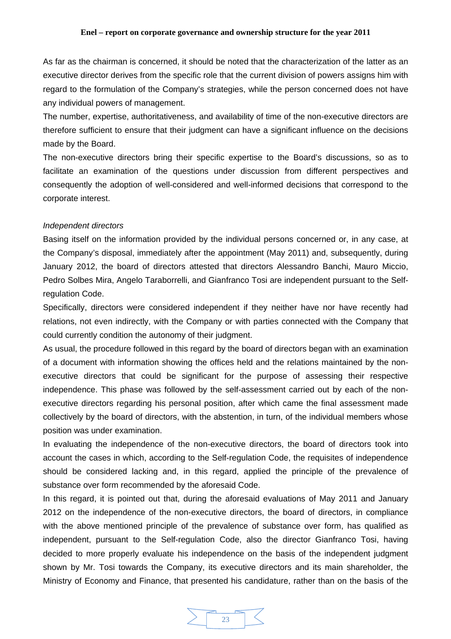<span id="page-22-0"></span>As far as the chairman is concerned, it should be noted that the characterization of the latter as an executive director derives from the specific role that the current division of powers assigns him with regard to the formulation of the Company's strategies, while the person concerned does not have any individual powers of management.

The number, expertise, authoritativeness, and availability of time of the non-executive directors are therefore sufficient to ensure that their judgment can have a significant influence on the decisions made by the Board.

The non-executive directors bring their specific expertise to the Board's discussions, so as to facilitate an examination of the questions under discussion from different perspectives and consequently the adoption of well-considered and well-informed decisions that correspond to the corporate interest.

### *Independent directors*

Basing itself on the information provided by the individual persons concerned or, in any case, at the Company's disposal, immediately after the appointment (May 2011) and, subsequently, during January 2012, the board of directors attested that directors Alessandro Banchi, Mauro Miccio, Pedro Solbes Mira, Angelo Taraborrelli, and Gianfranco Tosi are independent pursuant to the Selfregulation Code.

Specifically, directors were considered independent if they neither have nor have recently had relations, not even indirectly, with the Company or with parties connected with the Company that could currently condition the autonomy of their judgment.

As usual, the procedure followed in this regard by the board of directors began with an examination of a document with information showing the offices held and the relations maintained by the nonexecutive directors that could be significant for the purpose of assessing their respective independence. This phase was followed by the self-assessment carried out by each of the nonexecutive directors regarding his personal position, after which came the final assessment made collectively by the board of directors, with the abstention, in turn, of the individual members whose position was under examination.

In evaluating the independence of the non-executive directors, the board of directors took into account the cases in which, according to the Self-regulation Code, the requisites of independence should be considered lacking and, in this regard, applied the principle of the prevalence of substance over form recommended by the aforesaid Code.

In this regard, it is pointed out that, during the aforesaid evaluations of May 2011 and January 2012 on the independence of the non-executive directors, the board of directors, in compliance with the above mentioned principle of the prevalence of substance over form, has qualified as independent, pursuant to the Self-regulation Code, also the director Gianfranco Tosi, having decided to more properly evaluate his independence on the basis of the independent judgment shown by Mr. Tosi towards the Company, its executive directors and its main shareholder, the Ministry of Economy and Finance, that presented his candidature, rather than on the basis of the

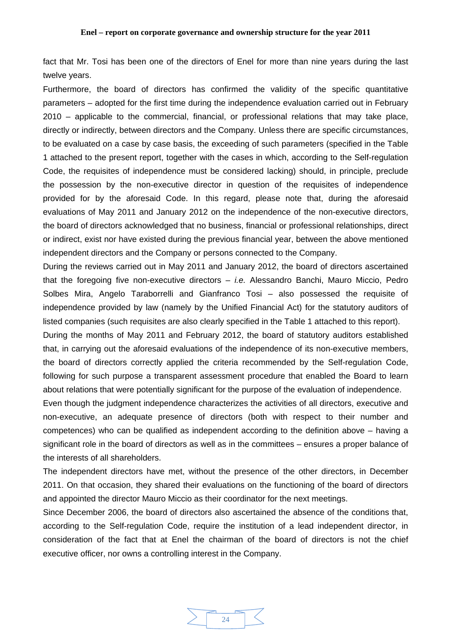fact that Mr. Tosi has been one of the directors of Enel for more than nine years during the last twelve years.

Furthermore, the board of directors has confirmed the validity of the specific quantitative parameters – adopted for the first time during the independence evaluation carried out in February 2010 – applicable to the commercial, financial, or professional relations that may take place, directly or indirectly, between directors and the Company. Unless there are specific circumstances, to be evaluated on a case by case basis, the exceeding of such parameters (specified in the Table 1 attached to the present report, together with the cases in which, according to the Self-regulation Code, the requisites of independence must be considered lacking) should, in principle, preclude the possession by the non-executive director in question of the requisites of independence provided for by the aforesaid Code. In this regard, please note that, during the aforesaid evaluations of May 2011 and January 2012 on the independence of the non-executive directors, the board of directors acknowledged that no business, financial or professional relationships, direct or indirect, exist nor have existed during the previous financial year, between the above mentioned independent directors and the Company or persons connected to the Company.

During the reviews carried out in May 2011 and January 2012, the board of directors ascertained that the foregoing five non-executive directors – *i.e.* Alessandro Banchi, Mauro Miccio, Pedro Solbes Mira, Angelo Taraborrelli and Gianfranco Tosi – also possessed the requisite of independence provided by law (namely by the Unified Financial Act) for the statutory auditors of listed companies (such requisites are also clearly specified in the Table 1 attached to this report).

During the months of May 2011 and February 2012, the board of statutory auditors established that, in carrying out the aforesaid evaluations of the independence of its non-executive members, the board of directors correctly applied the criteria recommended by the Self-regulation Code, following for such purpose a transparent assessment procedure that enabled the Board to learn about relations that were potentially significant for the purpose of the evaluation of independence.

Even though the judgment independence characterizes the activities of all directors, executive and non-executive, an adequate presence of directors (both with respect to their number and competences) who can be qualified as independent according to the definition above – having a significant role in the board of directors as well as in the committees – ensures a proper balance of the interests of all shareholders.

The independent directors have met, without the presence of the other directors, in December 2011. On that occasion, they shared their evaluations on the functioning of the board of directors and appointed the director Mauro Miccio as their coordinator for the next meetings.

Since December 2006, the board of directors also ascertained the absence of the conditions that, according to the Self-regulation Code, require the institution of a lead independent director, in consideration of the fact that at Enel the chairman of the board of directors is not the chief executive officer, nor owns a controlling interest in the Company.

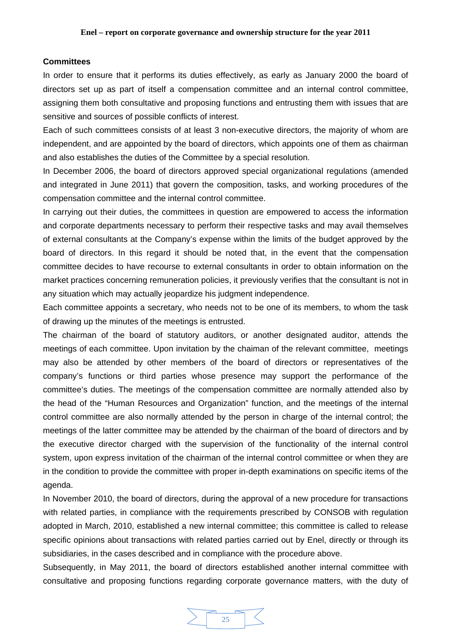### <span id="page-24-0"></span>**Committees**

In order to ensure that it performs its duties effectively, as early as January 2000 the board of directors set up as part of itself a compensation committee and an internal control committee, assigning them both consultative and proposing functions and entrusting them with issues that are sensitive and sources of possible conflicts of interest.

Each of such committees consists of at least 3 non-executive directors, the majority of whom are independent, and are appointed by the board of directors, which appoints one of them as chairman and also establishes the duties of the Committee by a special resolution.

In December 2006, the board of directors approved special organizational regulations (amended and integrated in June 2011) that govern the composition, tasks, and working procedures of the compensation committee and the internal control committee.

In carrying out their duties, the committees in question are empowered to access the information and corporate departments necessary to perform their respective tasks and may avail themselves of external consultants at the Company's expense within the limits of the budget approved by the board of directors. In this regard it should be noted that, in the event that the compensation committee decides to have recourse to external consultants in order to obtain information on the market practices concerning remuneration policies, it previously verifies that the consultant is not in any situation which may actually jeopardize his judgment independence.

Each committee appoints a secretary, who needs not to be one of its members, to whom the task of drawing up the minutes of the meetings is entrusted.

The chairman of the board of statutory auditors, or another designated auditor, attends the meetings of each committee. Upon invitation by the chaiman of the relevant committee, meetings may also be attended by other members of the board of directors or representatives of the company's functions or third parties whose presence may support the performance of the committee's duties. The meetings of the compensation committee are normally attended also by the head of the "Human Resources and Organization" function, and the meetings of the internal control committee are also normally attended by the person in charge of the internal control; the meetings of the latter committee may be attended by the chairman of the board of directors and by the executive director charged with the supervision of the functionality of the internal control system, upon express invitation of the chairman of the internal control committee or when they are in the condition to provide the committee with proper in-depth examinations on specific items of the agenda.

In November 2010, the board of directors, during the approval of a new procedure for transactions with related parties, in compliance with the requirements prescribed by CONSOB with regulation adopted in March, 2010, established a new internal committee; this committee is called to release specific opinions about transactions with related parties carried out by Enel, directly or through its subsidiaries, in the cases described and in compliance with the procedure above.

Subsequently, in May 2011, the board of directors established another internal committee with consultative and proposing functions regarding corporate governance matters, with the duty of

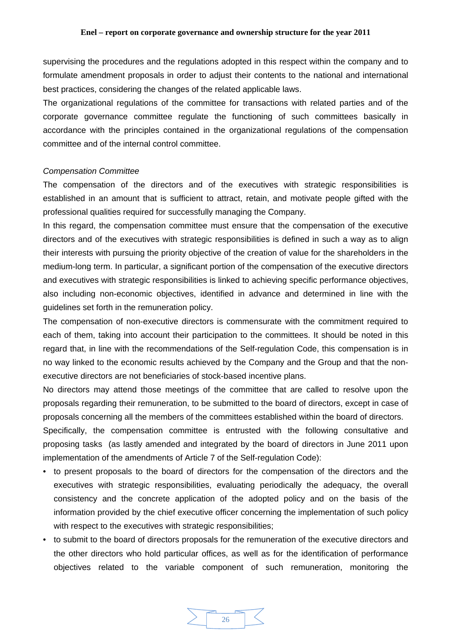<span id="page-25-0"></span>supervising the procedures and the regulations adopted in this respect within the company and to formulate amendment proposals in order to adjust their contents to the national and international best practices, considering the changes of the related applicable laws.

The organizational regulations of the committee for transactions with related parties and of the corporate governance committee regulate the functioning of such committees basically in accordance with the principles contained in the organizational regulations of the compensation committee and of the internal control committee.

#### *Compensation Committee*

The compensation of the directors and of the executives with strategic responsibilities is established in an amount that is sufficient to attract, retain, and motivate people gifted with the professional qualities required for successfully managing the Company.

In this regard, the compensation committee must ensure that the compensation of the executive directors and of the executives with strategic responsibilities is defined in such a way as to align their interests with pursuing the priority objective of the creation of value for the shareholders in the medium-long term. In particular, a significant portion of the compensation of the executive directors and executives with strategic responsibilities is linked to achieving specific performance objectives, also including non-economic objectives, identified in advance and determined in line with the guidelines set forth in the remuneration policy.

The compensation of non-executive directors is commensurate with the commitment required to each of them, taking into account their participation to the committees. It should be noted in this regard that, in line with the recommendations of the Self-regulation Code, this compensation is in no way linked to the economic results achieved by the Company and the Group and that the nonexecutive directors are not beneficiaries of stock-based incentive plans.

No directors may attend those meetings of the committee that are called to resolve upon the proposals regarding their remuneration, to be submitted to the board of directors, except in case of proposals concerning all the members of the committees established within the board of directors.

Specifically, the compensation committee is entrusted with the following consultative and proposing tasks (as lastly amended and integrated by the board of directors in June 2011 upon implementation of the amendments of Article 7 of the Self-regulation Code):

- to present proposals to the board of directors for the compensation of the directors and the executives with strategic responsibilities, evaluating periodically the adequacy, the overall consistency and the concrete application of the adopted policy and on the basis of the information provided by the chief executive officer concerning the implementation of such policy with respect to the executives with strategic responsibilities;
- to submit to the board of directors proposals for the remuneration of the executive directors and the other directors who hold particular offices, as well as for the identification of performance objectives related to the variable component of such remuneration, monitoring the

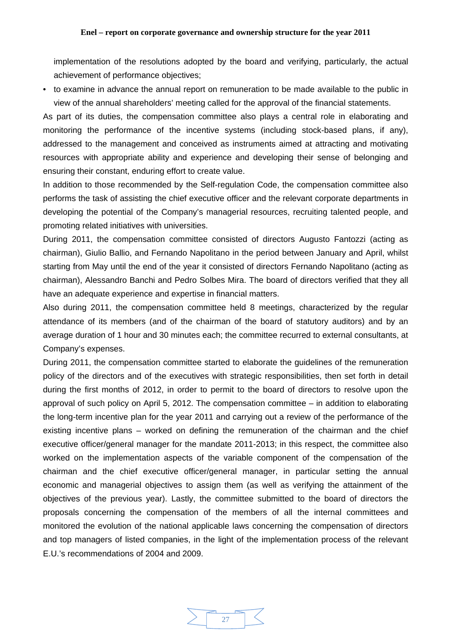implementation of the resolutions adopted by the board and verifying, particularly, the actual achievement of performance objectives;

• to examine in advance the annual report on remuneration to be made available to the public in view of the annual shareholders' meeting called for the approval of the financial statements.

As part of its duties, the compensation committee also plays a central role in elaborating and monitoring the performance of the incentive systems (including stock-based plans, if any), addressed to the management and conceived as instruments aimed at attracting and motivating resources with appropriate ability and experience and developing their sense of belonging and ensuring their constant, enduring effort to create value.

In addition to those recommended by the Self-regulation Code, the compensation committee also performs the task of assisting the chief executive officer and the relevant corporate departments in developing the potential of the Company's managerial resources, recruiting talented people, and promoting related initiatives with universities.

During 2011, the compensation committee consisted of directors Augusto Fantozzi (acting as chairman), Giulio Ballio, and Fernando Napolitano in the period between January and April, whilst starting from May until the end of the year it consisted of directors Fernando Napolitano (acting as chairman), Alessandro Banchi and Pedro Solbes Mira. The board of directors verified that they all have an adequate experience and expertise in financial matters.

Also during 2011, the compensation committee held 8 meetings, characterized by the regular attendance of its members (and of the chairman of the board of statutory auditors) and by an average duration of 1 hour and 30 minutes each; the committee recurred to external consultants, at Company's expenses.

During 2011, the compensation committee started to elaborate the guidelines of the remuneration policy of the directors and of the executives with strategic responsibilities, then set forth in detail during the first months of 2012, in order to permit to the board of directors to resolve upon the approval of such policy on April 5, 2012. The compensation committee – in addition to elaborating the long-term incentive plan for the year 2011 and carrying out a review of the performance of the existing incentive plans – worked on defining the remuneration of the chairman and the chief executive officer/general manager for the mandate 2011-2013; in this respect, the committee also worked on the implementation aspects of the variable component of the compensation of the chairman and the chief executive officer/general manager, in particular setting the annual economic and managerial objectives to assign them (as well as verifying the attainment of the objectives of the previous year). Lastly, the committee submitted to the board of directors the proposals concerning the compensation of the members of all the internal committees and monitored the evolution of the national applicable laws concerning the compensation of directors and top managers of listed companies, in the light of the implementation process of the relevant E.U.'s recommendations of 2004 and 2009.

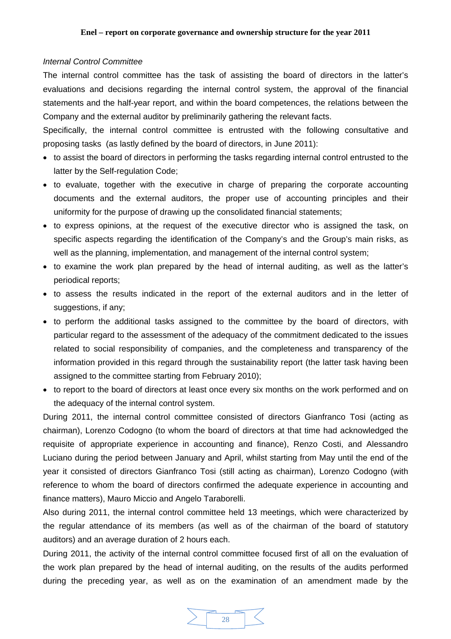### <span id="page-27-0"></span>*Internal Control Committee*

The internal control committee has the task of assisting the board of directors in the latter's evaluations and decisions regarding the internal control system, the approval of the financial statements and the half-year report, and within the board competences, the relations between the Company and the external auditor by preliminarily gathering the relevant facts.

Specifically, the internal control committee is entrusted with the following consultative and proposing tasks (as lastly defined by the board of directors, in June 2011):

- to assist the board of directors in performing the tasks regarding internal control entrusted to the latter by the Self-regulation Code;
- to evaluate, together with the executive in charge of preparing the corporate accounting documents and the external auditors, the proper use of accounting principles and their uniformity for the purpose of drawing up the consolidated financial statements;
- to express opinions, at the request of the executive director who is assigned the task, on specific aspects regarding the identification of the Company's and the Group's main risks, as well as the planning, implementation, and management of the internal control system;
- to examine the work plan prepared by the head of internal auditing, as well as the latter's periodical reports;
- to assess the results indicated in the report of the external auditors and in the letter of suggestions, if any;
- to perform the additional tasks assigned to the committee by the board of directors, with particular regard to the assessment of the adequacy of the commitment dedicated to the issues related to social responsibility of companies, and the completeness and transparency of the information provided in this regard through the sustainability report (the latter task having been assigned to the committee starting from February 2010);
- to report to the board of directors at least once every six months on the work performed and on the adequacy of the internal control system.

During 2011, the internal control committee consisted of directors Gianfranco Tosi (acting as chairman), Lorenzo Codogno (to whom the board of directors at that time had acknowledged the requisite of appropriate experience in accounting and finance), Renzo Costi, and Alessandro Luciano during the period between January and April, whilst starting from May until the end of the year it consisted of directors Gianfranco Tosi (still acting as chairman), Lorenzo Codogno (with reference to whom the board of directors confirmed the adequate experience in accounting and finance matters), Mauro Miccio and Angelo Taraborelli.

Also during 2011, the internal control committee held 13 meetings, which were characterized by the regular attendance of its members (as well as of the chairman of the board of statutory auditors) and an average duration of 2 hours each.

During 2011, the activity of the internal control committee focused first of all on the evaluation of the work plan prepared by the head of internal auditing, on the results of the audits performed during the preceding year, as well as on the examination of an amendment made by the

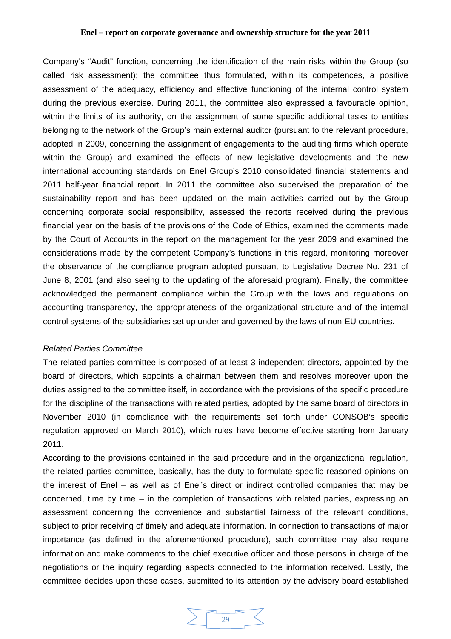Company's "Audit" function, concerning the identification of the main risks within the Group (so called risk assessment); the committee thus formulated, within its competences, a positive assessment of the adequacy, efficiency and effective functioning of the internal control system during the previous exercise. During 2011, the committee also expressed a favourable opinion, within the limits of its authority, on the assignment of some specific additional tasks to entities belonging to the network of the Group's main external auditor (pursuant to the relevant procedure, adopted in 2009, concerning the assignment of engagements to the auditing firms which operate within the Group) and examined the effects of new legislative developments and the new international accounting standards on Enel Group's 2010 consolidated financial statements and 2011 half-year financial report. In 2011 the committee also supervised the preparation of the sustainability report and has been updated on the main activities carried out by the Group concerning corporate social responsibility, assessed the reports received during the previous financial year on the basis of the provisions of the Code of Ethics, examined the comments made by the Court of Accounts in the report on the management for the year 2009 and examined the considerations made by the competent Company's functions in this regard, monitoring moreover the observance of the compliance program adopted pursuant to Legislative Decree No. 231 of June 8, 2001 (and also seeing to the updating of the aforesaid program). Finally, the committee acknowledged the permanent compliance within the Group with the laws and regulations on accounting transparency, the appropriateness of the organizational structure and of the internal control systems of the subsidiaries set up under and governed by the laws of non-EU countries.

### *Related Parties Committee*

The related parties committee is composed of at least 3 independent directors, appointed by the board of directors, which appoints a chairman between them and resolves moreover upon the duties assigned to the committee itself, in accordance with the provisions of the specific procedure for the discipline of the transactions with related parties, adopted by the same board of directors in November 2010 (in compliance with the requirements set forth under CONSOB's specific regulation approved on March 2010), which rules have become effective starting from January 2011.

According to the provisions contained in the said procedure and in the organizational regulation, the related parties committee, basically, has the duty to formulate specific reasoned opinions on the interest of Enel – as well as of Enel's direct or indirect controlled companies that may be concerned, time by time – in the completion of transactions with related parties, expressing an assessment concerning the convenience and substantial fairness of the relevant conditions, subject to prior receiving of timely and adequate information. In connection to transactions of major importance (as defined in the aforementioned procedure), such committee may also require information and make comments to the chief executive officer and those persons in charge of the negotiations or the inquiry regarding aspects connected to the information received. Lastly, the committee decides upon those cases, submitted to its attention by the advisory board established

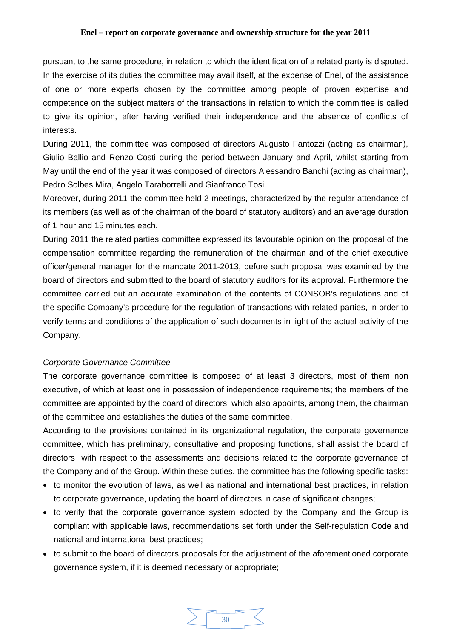pursuant to the same procedure, in relation to which the identification of a related party is disputed. In the exercise of its duties the committee may avail itself, at the expense of Enel, of the assistance of one or more experts chosen by the committee among people of proven expertise and competence on the subject matters of the transactions in relation to which the committee is called to give its opinion, after having verified their independence and the absence of conflicts of interests.

During 2011, the committee was composed of directors Augusto Fantozzi (acting as chairman), Giulio Ballio and Renzo Costi during the period between January and April, whilst starting from May until the end of the year it was composed of directors Alessandro Banchi (acting as chairman), Pedro Solbes Mira, Angelo Taraborrelli and Gianfranco Tosi.

Moreover, during 2011 the committee held 2 meetings, characterized by the regular attendance of its members (as well as of the chairman of the board of statutory auditors) and an average duration of 1 hour and 15 minutes each.

During 2011 the related parties committee expressed its favourable opinion on the proposal of the compensation committee regarding the remuneration of the chairman and of the chief executive officer/general manager for the mandate 2011-2013, before such proposal was examined by the board of directors and submitted to the board of statutory auditors for its approval. Furthermore the committee carried out an accurate examination of the contents of CONSOB's regulations and of the specific Company's procedure for the regulation of transactions with related parties, in order to verify terms and conditions of the application of such documents in light of the actual activity of the Company.

### *Corporate Governance Committee*

The corporate governance committee is composed of at least 3 directors, most of them non executive, of which at least one in possession of independence requirements; the members of the committee are appointed by the board of directors, which also appoints, among them, the chairman of the committee and establishes the duties of the same committee.

According to the provisions contained in its organizational regulation, the corporate governance committee, which has preliminary, consultative and proposing functions, shall assist the board of directors with respect to the assessments and decisions related to the corporate governance of the Company and of the Group. Within these duties, the committee has the following specific tasks:

- to monitor the evolution of laws, as well as national and international best practices, in relation to corporate governance, updating the board of directors in case of significant changes;
- to verify that the corporate governance system adopted by the Company and the Group is compliant with applicable laws, recommendations set forth under the Self-regulation Code and national and international best practices;
- to submit to the board of directors proposals for the adjustment of the aforementioned corporate governance system, if it is deemed necessary or appropriate;

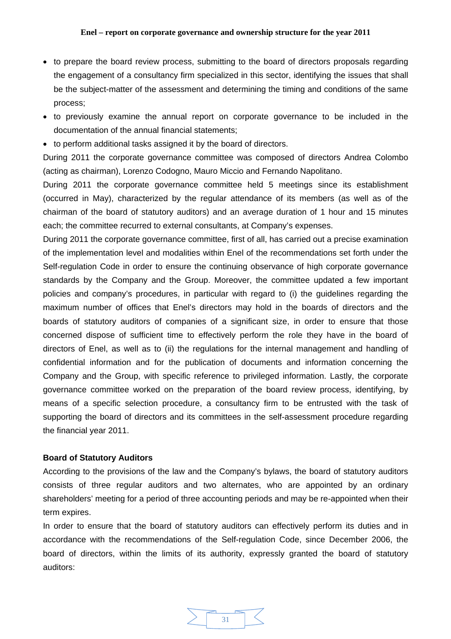- <span id="page-30-0"></span>• to prepare the board review process, submitting to the board of directors proposals regarding the engagement of a consultancy firm specialized in this sector, identifying the issues that shall be the subject-matter of the assessment and determining the timing and conditions of the same process;
- to previously examine the annual report on corporate governance to be included in the documentation of the annual financial statements;
- to perform additional tasks assigned it by the board of directors.

During 2011 the corporate governance committee was composed of directors Andrea Colombo (acting as chairman), Lorenzo Codogno, Mauro Miccio and Fernando Napolitano.

During 2011 the corporate governance committee held 5 meetings since its establishment (occurred in May), characterized by the regular attendance of its members (as well as of the chairman of the board of statutory auditors) and an average duration of 1 hour and 15 minutes each; the committee recurred to external consultants, at Company's expenses.

During 2011 the corporate governance committee, first of all, has carried out a precise examination of the implementation level and modalities within Enel of the recommendations set forth under the Self-regulation Code in order to ensure the continuing observance of high corporate governance standards by the Company and the Group. Moreover, the committee updated a few important policies and company's procedures, in particular with regard to (i) the guidelines regarding the maximum number of offices that Enel's directors may hold in the boards of directors and the boards of statutory auditors of companies of a significant size, in order to ensure that those concerned dispose of sufficient time to effectively perform the role they have in the board of directors of Enel, as well as to (ii) the regulations for the internal management and handling of confidential information and for the publication of documents and information concerning the Company and the Group, with specific reference to privileged information. Lastly, the corporate governance committee worked on the preparation of the board review process, identifying, by means of a specific selection procedure, a consultancy firm to be entrusted with the task of supporting the board of directors and its committees in the self-assessment procedure regarding the financial year 2011.

# **Board of Statutory Auditors**

According to the provisions of the law and the Company's bylaws, the board of statutory auditors consists of three regular auditors and two alternates, who are appointed by an ordinary shareholders' meeting for a period of three accounting periods and may be re-appointed when their term expires.

In order to ensure that the board of statutory auditors can effectively perform its duties and in accordance with the recommendations of the Self-regulation Code, since December 2006, the board of directors, within the limits of its authority, expressly granted the board of statutory auditors:

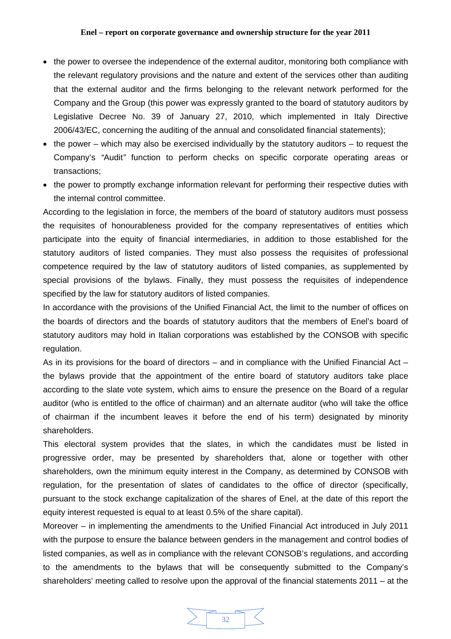- the power to oversee the independence of the external auditor, monitoring both compliance with the relevant regulatory provisions and the nature and extent of the services other than auditing that the external auditor and the firms belonging to the relevant network performed for the Company and the Group (this power was expressly granted to the board of statutory auditors by Legislative Decree No. 39 of January 27, 2010, which implemented in Italy Directive 2006/43/EC, concerning the auditing of the annual and consolidated financial statements);
- the power which may also be exercised individually by the statutory auditors to request the Company's *"*Audit*"* function to perform checks on specific corporate operating areas or transactions;
- the power to promptly exchange information relevant for performing their respective duties with the internal control committee.

According to the legislation in force, the members of the board of statutory auditors must possess the requisites of honourableness provided for the company representatives of entities which participate into the equity of financial intermediaries, in addition to those established for the statutory auditors of listed companies. They must also possess the requisites of professional competence required by the law of statutory auditors of listed companies, as supplemented by special provisions of the bylaws. Finally, they must possess the requisites of independence specified by the law for statutory auditors of listed companies.

In accordance with the provisions of the Unified Financial Act, the limit to the number of offices on the boards of directors and the boards of statutory auditors that the members of Enel's board of statutory auditors may hold in Italian corporations was established by the CONSOB with specific regulation.

As in its provisions for the board of directors – and in compliance with the Unified Financial Act – the bylaws provide that the appointment of the entire board of statutory auditors take place according to the slate vote system, which aims to ensure the presence on the Board of a regular auditor (who is entitled to the office of chairman) and an alternate auditor (who will take the office of chairman if the incumbent leaves it before the end of his term) designated by minority shareholders.

This electoral system provides that the slates, in which the candidates must be listed in progressive order, may be presented by shareholders that, alone or together with other shareholders, own the minimum equity interest in the Company, as determined by CONSOB with regulation, for the presentation of slates of candidates to the office of director (specifically, pursuant to the stock exchange capitalization of the shares of Enel, at the date of this report the equity interest requested is equal to at least 0.5% of the share capital).

Moreover – in implementing the amendments to the Unified Financial Act introduced in July 2011 with the purpose to ensure the balance between genders in the management and control bodies of listed companies, as well as in compliance with the relevant CONSOB's regulations, and according to the amendments to the bylaws that will be consequently submitted to the Company's shareholders' meeting called to resolve upon the approval of the financial statements 2011 – at the

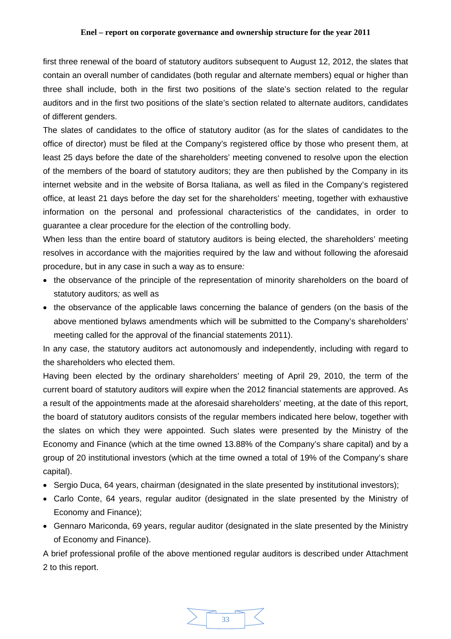first three renewal of the board of statutory auditors subsequent to August 12, 2012, the slates that contain an overall number of candidates (both regular and alternate members) equal or higher than three shall include, both in the first two positions of the slate's section related to the regular auditors and in the first two positions of the slate's section related to alternate auditors, candidates of different genders.

The slates of candidates to the office of statutory auditor (as for the slates of candidates to the office of director) must be filed at the Company's registered office by those who present them, at least 25 days before the date of the shareholders' meeting convened to resolve upon the election of the members of the board of statutory auditors; they are then published by the Company in its internet website and in the website of Borsa Italiana, as well as filed in the Company's registered office, at least 21 days before the day set for the shareholders' meeting, together with exhaustive information on the personal and professional characteristics of the candidates, in order to guarantee a clear procedure for the election of the controlling body.

When less than the entire board of statutory auditors is being elected, the shareholders' meeting resolves in accordance with the majorities required by the law and without following the aforesaid procedure, but in any case in such a way as to ensure*:* 

- the observance of the principle of the representation of minority shareholders on the board of statutory auditors*;* as well as
- the observance of the applicable laws concerning the balance of genders (on the basis of the above mentioned bylaws amendments which will be submitted to the Company's shareholders' meeting called for the approval of the financial statements 2011).

In any case, the statutory auditors act autonomously and independently, including with regard to the shareholders who elected them.

Having been elected by the ordinary shareholders' meeting of April 29, 2010, the term of the current board of statutory auditors will expire when the 2012 financial statements are approved. As a result of the appointments made at the aforesaid shareholders' meeting, at the date of this report, the board of statutory auditors consists of the regular members indicated here below, together with the slates on which they were appointed. Such slates were presented by the Ministry of the Economy and Finance (which at the time owned 13.88% of the Company's share capital) and by a group of 20 institutional investors (which at the time owned a total of 19% of the Company's share capital).

- Sergio Duca, 64 years, chairman (designated in the slate presented by institutional investors);
- Carlo Conte, 64 years, regular auditor (designated in the slate presented by the Ministry of Economy and Finance);
- Gennaro Mariconda, 69 years, regular auditor (designated in the slate presented by the Ministry of Economy and Finance).

A brief professional profile of the above mentioned regular auditors is described under Attachment 2 to this report.

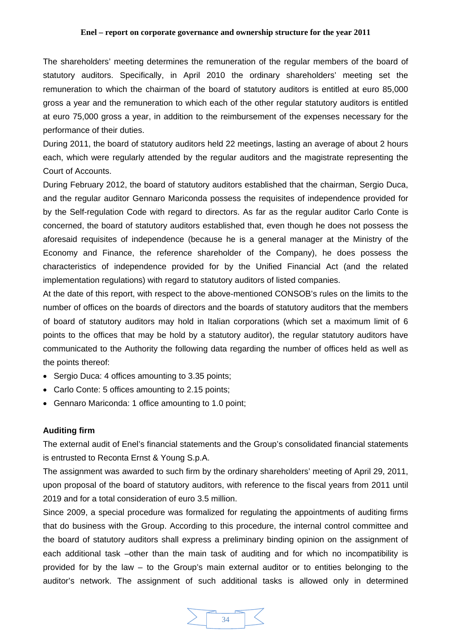<span id="page-33-0"></span>The shareholders' meeting determines the remuneration of the regular members of the board of statutory auditors. Specifically, in April 2010 the ordinary shareholders' meeting set the remuneration to which the chairman of the board of statutory auditors is entitled at euro 85,000 gross a year and the remuneration to which each of the other regular statutory auditors is entitled at euro 75,000 gross a year, in addition to the reimbursement of the expenses necessary for the performance of their duties.

During 2011, the board of statutory auditors held 22 meetings, lasting an average of about 2 hours each, which were regularly attended by the regular auditors and the magistrate representing the Court of Accounts.

During February 2012, the board of statutory auditors established that the chairman, Sergio Duca, and the regular auditor Gennaro Mariconda possess the requisites of independence provided for by the Self-regulation Code with regard to directors. As far as the regular auditor Carlo Conte is concerned, the board of statutory auditors established that, even though he does not possess the aforesaid requisites of independence (because he is a general manager at the Ministry of the Economy and Finance, the reference shareholder of the Company), he does possess the characteristics of independence provided for by the Unified Financial Act (and the related implementation regulations) with regard to statutory auditors of listed companies.

At the date of this report, with respect to the above-mentioned CONSOB's rules on the limits to the number of offices on the boards of directors and the boards of statutory auditors that the members of board of statutory auditors may hold in Italian corporations (which set a maximum limit of 6 points to the offices that may be hold by a statutory auditor), the regular statutory auditors have communicated to the Authority the following data regarding the number of offices held as well as the points thereof:

- Sergio Duca: 4 offices amounting to 3.35 points;
- Carlo Conte: 5 offices amounting to 2.15 points;
- Gennaro Mariconda: 1 office amounting to 1.0 point;

# **Auditing firm**

The external audit of Enel's financial statements and the Group's consolidated financial statements is entrusted to Reconta Ernst & Young S.p.A.

The assignment was awarded to such firm by the ordinary shareholders' meeting of April 29, 2011, upon proposal of the board of statutory auditors, with reference to the fiscal years from 2011 until 2019 and for a total consideration of euro 3.5 million.

Since 2009, a special procedure was formalized for regulating the appointments of auditing firms that do business with the Group. According to this procedure, the internal control committee and the board of statutory auditors shall express a preliminary binding opinion on the assignment of each additional task –other than the main task of auditing and for which no incompatibility is provided for by the law – to the Group's main external auditor or to entities belonging to the auditor's network. The assignment of such additional tasks is allowed only in determined

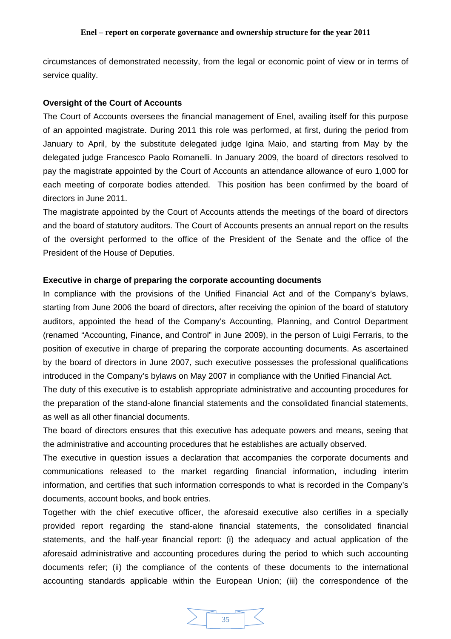<span id="page-34-0"></span>circumstances of demonstrated necessity, from the legal or economic point of view or in terms of service quality.

### **Oversight of the Court of Accounts**

The Court of Accounts oversees the financial management of Enel, availing itself for this purpose of an appointed magistrate. During 2011 this role was performed, at first, during the period from January to April, by the substitute delegated judge Igina Maio, and starting from May by the delegated judge Francesco Paolo Romanelli. In January 2009, the board of directors resolved to pay the magistrate appointed by the Court of Accounts an attendance allowance of euro 1,000 for each meeting of corporate bodies attended. This position has been confirmed by the board of directors in June 2011.

The magistrate appointed by the Court of Accounts attends the meetings of the board of directors and the board of statutory auditors. The Court of Accounts presents an annual report on the results of the oversight performed to the office of the President of the Senate and the office of the President of the House of Deputies.

### **Executive in charge of preparing the corporate accounting documents**

In compliance with the provisions of the Unified Financial Act and of the Company's bylaws, starting from June 2006 the board of directors, after receiving the opinion of the board of statutory auditors, appointed the head of the Company's Accounting, Planning, and Control Department (renamed "Accounting, Finance, and Control" in June 2009), in the person of Luigi Ferraris, to the position of executive in charge of preparing the corporate accounting documents. As ascertained by the board of directors in June 2007, such executive possesses the professional qualifications introduced in the Company's bylaws on May 2007 in compliance with the Unified Financial Act.

The duty of this executive is to establish appropriate administrative and accounting procedures for the preparation of the stand-alone financial statements and the consolidated financial statements, as well as all other financial documents.

The board of directors ensures that this executive has adequate powers and means, seeing that the administrative and accounting procedures that he establishes are actually observed.

The executive in question issues a declaration that accompanies the corporate documents and communications released to the market regarding financial information, including interim information, and certifies that such information corresponds to what is recorded in the Company's documents, account books, and book entries.

Together with the chief executive officer, the aforesaid executive also certifies in a specially provided report regarding the stand-alone financial statements, the consolidated financial statements, and the half-year financial report: (i) the adequacy and actual application of the aforesaid administrative and accounting procedures during the period to which such accounting documents refer; (ii) the compliance of the contents of these documents to the international accounting standards applicable within the European Union; (iii) the correspondence of the

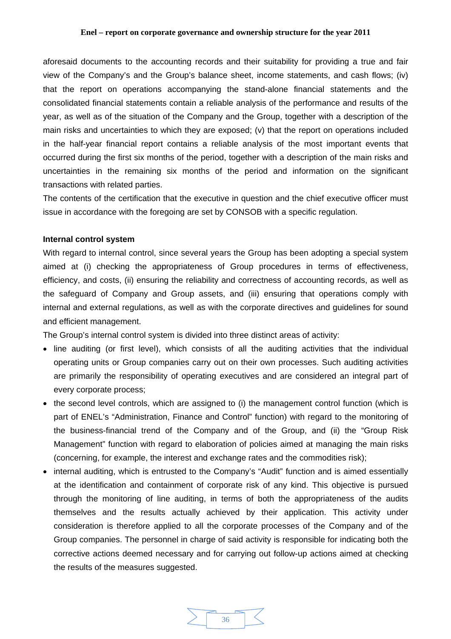<span id="page-35-0"></span>aforesaid documents to the accounting records and their suitability for providing a true and fair view of the Company's and the Group's balance sheet, income statements, and cash flows; (iv) that the report on operations accompanying the stand-alone financial statements and the consolidated financial statements contain a reliable analysis of the performance and results of the year, as well as of the situation of the Company and the Group, together with a description of the main risks and uncertainties to which they are exposed; (v) that the report on operations included in the half-year financial report contains a reliable analysis of the most important events that occurred during the first six months of the period, together with a description of the main risks and uncertainties in the remaining six months of the period and information on the significant transactions with related parties.

The contents of the certification that the executive in question and the chief executive officer must issue in accordance with the foregoing are set by CONSOB with a specific regulation.

### **Internal control system**

With regard to internal control, since several years the Group has been adopting a special system aimed at (i) checking the appropriateness of Group procedures in terms of effectiveness, efficiency, and costs, (ii) ensuring the reliability and correctness of accounting records, as well as the safeguard of Company and Group assets, and (iii) ensuring that operations comply with internal and external regulations, as well as with the corporate directives and guidelines for sound and efficient management.

The Group's internal control system is divided into three distinct areas of activity:

- line auditing (or first level), which consists of all the auditing activities that the individual operating units or Group companies carry out on their own processes. Such auditing activities are primarily the responsibility of operating executives and are considered an integral part of every corporate process;
- the second level controls, which are assigned to (i) the management control function (which is part of ENEL's "Administration, Finance and Control" function) with regard to the monitoring of the business-financial trend of the Company and of the Group, and (ii) the "Group Risk Management" function with regard to elaboration of policies aimed at managing the main risks (concerning, for example, the interest and exchange rates and the commodities risk);
- internal auditing, which is entrusted to the Company's "Audit" function and is aimed essentially at the identification and containment of corporate risk of any kind. This objective is pursued through the monitoring of line auditing, in terms of both the appropriateness of the audits themselves and the results actually achieved by their application. This activity under consideration is therefore applied to all the corporate processes of the Company and of the Group companies. The personnel in charge of said activity is responsible for indicating both the corrective actions deemed necessary and for carrying out follow-up actions aimed at checking the results of the measures suggested.

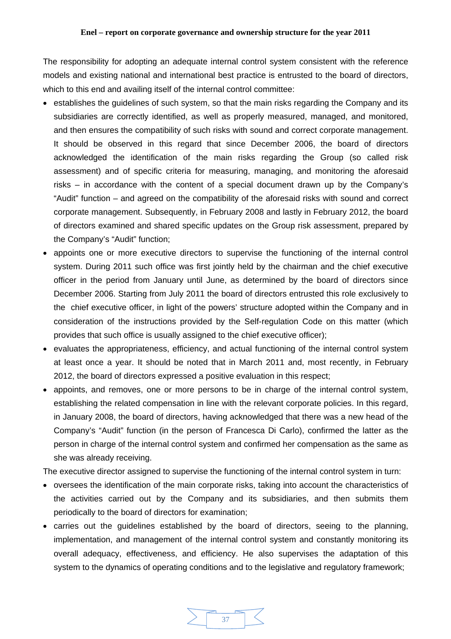The responsibility for adopting an adequate internal control system consistent with the reference models and existing national and international best practice is entrusted to the board of directors, which to this end and availing itself of the internal control committee:

- establishes the guidelines of such system, so that the main risks regarding the Company and its subsidiaries are correctly identified, as well as properly measured, managed, and monitored, and then ensures the compatibility of such risks with sound and correct corporate management. It should be observed in this regard that since December 2006, the board of directors acknowledged the identification of the main risks regarding the Group (so called risk assessment) and of specific criteria for measuring, managing, and monitoring the aforesaid risks – in accordance with the content of a special document drawn up by the Company's "Audit" function – and agreed on the compatibility of the aforesaid risks with sound and correct corporate management. Subsequently, in February 2008 and lastly in February 2012, the board of directors examined and shared specific updates on the Group risk assessment, prepared by the Company's "Audit" function;
- appoints one or more executive directors to supervise the functioning of the internal control system. During 2011 such office was first jointly held by the chairman and the chief executive officer in the period from January until June, as determined by the board of directors since December 2006. Starting from July 2011 the board of directors entrusted this role exclusively to the chief executive officer, in light of the powers' structure adopted within the Company and in consideration of the instructions provided by the Self-regulation Code on this matter (which provides that such office is usually assigned to the chief executive officer);
- evaluates the appropriateness, efficiency, and actual functioning of the internal control system at least once a year. It should be noted that in March 2011 and, most recently, in February 2012, the board of directors expressed a positive evaluation in this respect;
- appoints, and removes, one or more persons to be in charge of the internal control system, establishing the related compensation in line with the relevant corporate policies. In this regard, in January 2008, the board of directors, having acknowledged that there was a new head of the Company's "Audit" function (in the person of Francesca Di Carlo), confirmed the latter as the person in charge of the internal control system and confirmed her compensation as the same as she was already receiving.

The executive director assigned to supervise the functioning of the internal control system in turn:

- oversees the identification of the main corporate risks, taking into account the characteristics of the activities carried out by the Company and its subsidiaries, and then submits them periodically to the board of directors for examination;
- carries out the guidelines established by the board of directors, seeing to the planning, implementation, and management of the internal control system and constantly monitoring its overall adequacy, effectiveness, and efficiency. He also supervises the adaptation of this system to the dynamics of operating conditions and to the legislative and regulatory framework;

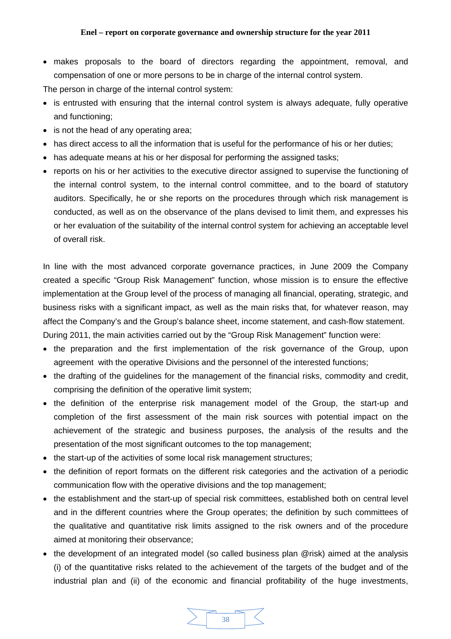• makes proposals to the board of directors regarding the appointment, removal, and compensation of one or more persons to be in charge of the internal control system.

The person in charge of the internal control system:

- is entrusted with ensuring that the internal control system is always adequate, fully operative and functioning;
- is not the head of any operating area;
- has direct access to all the information that is useful for the performance of his or her duties;
- has adequate means at his or her disposal for performing the assigned tasks;
- reports on his or her activities to the executive director assigned to supervise the functioning of the internal control system, to the internal control committee, and to the board of statutory auditors. Specifically, he or she reports on the procedures through which risk management is conducted, as well as on the observance of the plans devised to limit them, and expresses his or her evaluation of the suitability of the internal control system for achieving an acceptable level of overall risk.

In line with the most advanced corporate governance practices, in June 2009 the Company created a specific "Group Risk Management" function, whose mission is to ensure the effective implementation at the Group level of the process of managing all financial, operating, strategic, and business risks with a significant impact, as well as the main risks that, for whatever reason, may affect the Company's and the Group's balance sheet, income statement, and cash-flow statement. During 2011, the main activities carried out by the "Group Risk Management" function were:

- the preparation and the first implementation of the risk governance of the Group, upon agreement with the operative Divisions and the personnel of the interested functions;
- the drafting of the guidelines for the management of the financial risks, commodity and credit, comprising the definition of the operative limit system;
- the definition of the enterprise risk management model of the Group, the start-up and completion of the first assessment of the main risk sources with potential impact on the achievement of the strategic and business purposes, the analysis of the results and the presentation of the most significant outcomes to the top management;
- the start-up of the activities of some local risk management structures;
- the definition of report formats on the different risk categories and the activation of a periodic communication flow with the operative divisions and the top management;
- the establishment and the start-up of special risk committees, established both on central level and in the different countries where the Group operates; the definition by such committees of the qualitative and quantitative risk limits assigned to the risk owners and of the procedure aimed at monitoring their observance;
- the development of an integrated model (so called business plan @risk) aimed at the analysis (i) of the quantitative risks related to the achievement of the targets of the budget and of the industrial plan and (ii) of the economic and financial profitability of the huge investments,

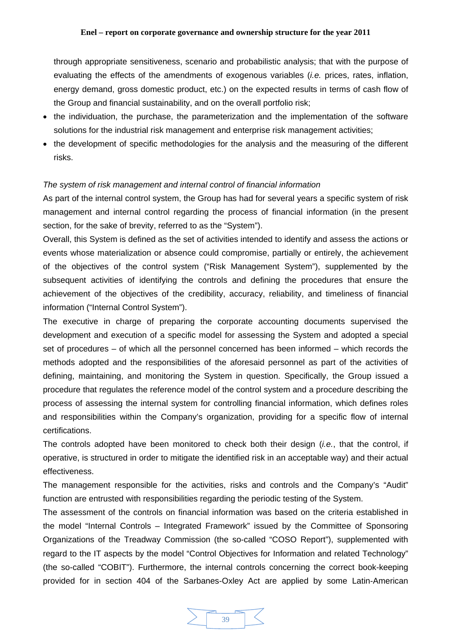<span id="page-38-0"></span>through appropriate sensitiveness, scenario and probabilistic analysis; that with the purpose of evaluating the effects of the amendments of exogenous variables (*i.e.* prices, rates, inflation, energy demand, gross domestic product, etc.) on the expected results in terms of cash flow of the Group and financial sustainability, and on the overall portfolio risk;

- the individuation, the purchase, the parameterization and the implementation of the software solutions for the industrial risk management and enterprise risk management activities;
- the development of specific methodologies for the analysis and the measuring of the different risks.

### *The system of risk management and internal control of financial information*

As part of the internal control system, the Group has had for several years a specific system of risk management and internal control regarding the process of financial information (in the present section, for the sake of brevity, referred to as the "System").

Overall, this System is defined as the set of activities intended to identify and assess the actions or events whose materialization or absence could compromise, partially or entirely, the achievement of the objectives of the control system ("Risk Management System"), supplemented by the subsequent activities of identifying the controls and defining the procedures that ensure the achievement of the objectives of the credibility, accuracy, reliability, and timeliness of financial information ("Internal Control System").

The executive in charge of preparing the corporate accounting documents supervised the development and execution of a specific model for assessing the System and adopted a special set of procedures – of which all the personnel concerned has been informed – which records the methods adopted and the responsibilities of the aforesaid personnel as part of the activities of defining, maintaining, and monitoring the System in question. Specifically, the Group issued a procedure that regulates the reference model of the control system and a procedure describing the process of assessing the internal system for controlling financial information, which defines roles and responsibilities within the Company's organization, providing for a specific flow of internal certifications.

The controls adopted have been monitored to check both their design (*i.e.*, that the control, if operative, is structured in order to mitigate the identified risk in an acceptable way) and their actual effectiveness.

The management responsible for the activities, risks and controls and the Company's "Audit" function are entrusted with responsibilities regarding the periodic testing of the System.

The assessment of the controls on financial information was based on the criteria established in the model "Internal Controls – Integrated Framework" issued by the Committee of Sponsoring Organizations of the Treadway Commission (the so-called "COSO Report"), supplemented with regard to the IT aspects by the model "Control Objectives for Information and related Technology" (the so-called "COBIT"). Furthermore, the internal controls concerning the correct book-keeping provided for in section 404 of the Sarbanes-Oxley Act are applied by some Latin-American

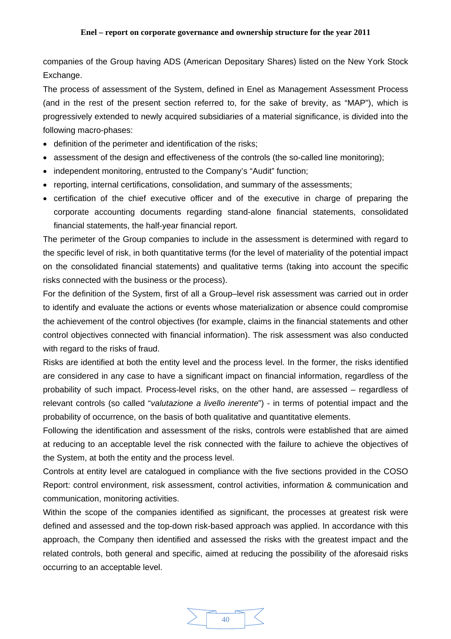companies of the Group having ADS (American Depositary Shares) listed on the New York Stock Exchange.

The process of assessment of the System, defined in Enel as Management Assessment Process (and in the rest of the present section referred to, for the sake of brevity, as "MAP"), which is progressively extended to newly acquired subsidiaries of a material significance, is divided into the following macro-phases:

- definition of the perimeter and identification of the risks;
- assessment of the design and effectiveness of the controls (the so-called line monitoring);
- independent monitoring, entrusted to the Company's "Audit" function;
- reporting, internal certifications, consolidation, and summary of the assessments;
- certification of the chief executive officer and of the executive in charge of preparing the corporate accounting documents regarding stand-alone financial statements, consolidated financial statements, the half-year financial report.

The perimeter of the Group companies to include in the assessment is determined with regard to the specific level of risk, in both quantitative terms (for the level of materiality of the potential impact on the consolidated financial statements) and qualitative terms (taking into account the specific risks connected with the business or the process).

For the definition of the System, first of all a Group–level risk assessment was carried out in order to identify and evaluate the actions or events whose materialization or absence could compromise the achievement of the control objectives (for example, claims in the financial statements and other control objectives connected with financial information). The risk assessment was also conducted with regard to the risks of fraud.

Risks are identified at both the entity level and the process level. In the former, the risks identified are considered in any case to have a significant impact on financial information, regardless of the probability of such impact. Process-level risks, on the other hand, are assessed – regardless of relevant controls (so called "*valutazione a livello inerente*") - in terms of potential impact and the probability of occurrence, on the basis of both qualitative and quantitative elements.

Following the identification and assessment of the risks, controls were established that are aimed at reducing to an acceptable level the risk connected with the failure to achieve the objectives of the System, at both the entity and the process level.

Controls at entity level are catalogued in compliance with the five sections provided in the COSO Report: control environment, risk assessment, control activities, information & communication and communication, monitoring activities.

Within the scope of the companies identified as significant, the processes at greatest risk were defined and assessed and the top-down risk-based approach was applied. In accordance with this approach, the Company then identified and assessed the risks with the greatest impact and the related controls, both general and specific, aimed at reducing the possibility of the aforesaid risks occurring to an acceptable level.

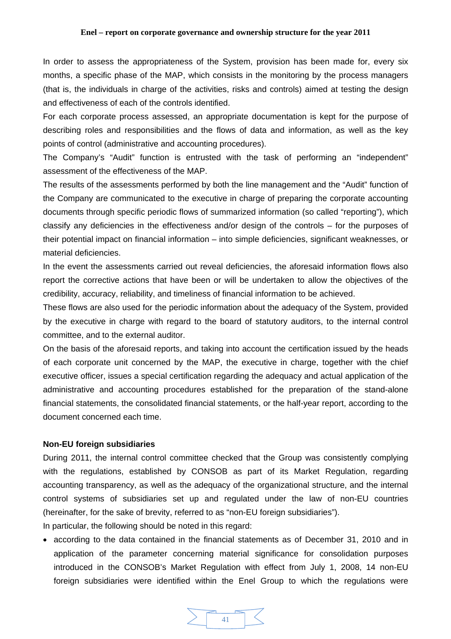<span id="page-40-0"></span>In order to assess the appropriateness of the System, provision has been made for, every six months, a specific phase of the MAP, which consists in the monitoring by the process managers (that is, the individuals in charge of the activities, risks and controls) aimed at testing the design and effectiveness of each of the controls identified.

For each corporate process assessed, an appropriate documentation is kept for the purpose of describing roles and responsibilities and the flows of data and information, as well as the key points of control (administrative and accounting procedures).

The Company's "Audit" function is entrusted with the task of performing an "independent" assessment of the effectiveness of the MAP.

The results of the assessments performed by both the line management and the "Audit" function of the Company are communicated to the executive in charge of preparing the corporate accounting documents through specific periodic flows of summarized information (so called "reporting"), which classify any deficiencies in the effectiveness and/or design of the controls – for the purposes of their potential impact on financial information – into simple deficiencies, significant weaknesses, or material deficiencies.

In the event the assessments carried out reveal deficiencies, the aforesaid information flows also report the corrective actions that have been or will be undertaken to allow the objectives of the credibility, accuracy, reliability, and timeliness of financial information to be achieved.

These flows are also used for the periodic information about the adequacy of the System, provided by the executive in charge with regard to the board of statutory auditors, to the internal control committee, and to the external auditor.

On the basis of the aforesaid reports, and taking into account the certification issued by the heads of each corporate unit concerned by the MAP, the executive in charge, together with the chief executive officer, issues a special certification regarding the adequacy and actual application of the administrative and accounting procedures established for the preparation of the stand-alone financial statements, the consolidated financial statements, or the half-year report, according to the document concerned each time.

### **Non-EU foreign subsidiaries**

During 2011, the internal control committee checked that the Group was consistently complying with the regulations, established by CONSOB as part of its Market Regulation, regarding accounting transparency, as well as the adequacy of the organizational structure, and the internal control systems of subsidiaries set up and regulated under the law of non-EU countries (hereinafter, for the sake of brevity, referred to as "non-EU foreign subsidiaries").

In particular, the following should be noted in this regard:

• according to the data contained in the financial statements as of December 31, 2010 and in application of the parameter concerning material significance for consolidation purposes introduced in the CONSOB's Market Regulation with effect from July 1, 2008, 14 non-EU foreign subsidiaries were identified within the Enel Group to which the regulations were

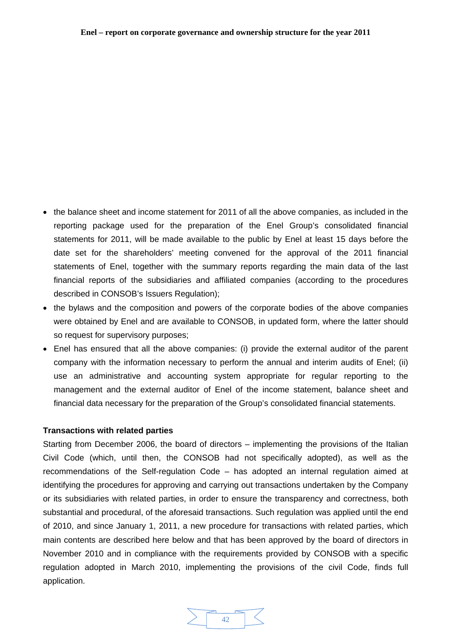- <span id="page-41-0"></span>• the balance sheet and income statement for 2011 of all the above companies, as included in the reporting package used for the preparation of the Enel Group's consolidated financial statements for 2011, will be made available to the public by Enel at least 15 days before the date set for the shareholders' meeting convened for the approval of the 2011 financial statements of Enel, together with the summary reports regarding the main data of the last financial reports of the subsidiaries and affiliated companies (according to the procedures described in CONSOB's Issuers Regulation);
- the bylaws and the composition and powers of the corporate bodies of the above companies were obtained by Enel and are available to CONSOB, in updated form, where the latter should so request for supervisory purposes;
- Enel has ensured that all the above companies: (i) provide the external auditor of the parent company with the information necessary to perform the annual and interim audits of Enel; (ii) use an administrative and accounting system appropriate for regular reporting to the management and the external auditor of Enel of the income statement, balance sheet and financial data necessary for the preparation of the Group's consolidated financial statements.

### **Transactions with related parties**

Starting from December 2006, the board of directors – implementing the provisions of the Italian Civil Code (which, until then, the CONSOB had not specifically adopted), as well as the recommendations of the Self-regulation Code – has adopted an internal regulation aimed at identifying the procedures for approving and carrying out transactions undertaken by the Company or its subsidiaries with related parties, in order to ensure the transparency and correctness, both substantial and procedural, of the aforesaid transactions. Such regulation was applied until the end of 2010, and since January 1, 2011, a new procedure for transactions with related parties, which main contents are described here below and that has been approved by the board of directors in November 2010 and in compliance with the requirements provided by CONSOB with a specific regulation adopted in March 2010, implementing the provisions of the civil Code, finds full application.

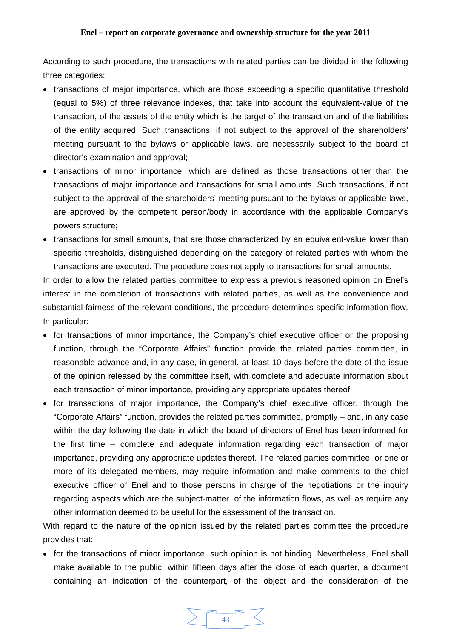According to such procedure, the transactions with related parties can be divided in the following three categories:

- transactions of major importance, which are those exceeding a specific quantitative threshold (equal to 5%) of three relevance indexes, that take into account the equivalent-value of the transaction, of the assets of the entity which is the target of the transaction and of the liabilities of the entity acquired. Such transactions, if not subject to the approval of the shareholders' meeting pursuant to the bylaws or applicable laws, are necessarily subject to the board of director's examination and approval;
- transactions of minor importance, which are defined as those transactions other than the transactions of major importance and transactions for small amounts. Such transactions, if not subject to the approval of the shareholders' meeting pursuant to the bylaws or applicable laws, are approved by the competent person/body in accordance with the applicable Company's powers structure;
- transactions for small amounts, that are those characterized by an equivalent-value lower than specific thresholds, distinguished depending on the category of related parties with whom the transactions are executed. The procedure does not apply to transactions for small amounts.

In order to allow the related parties committee to express a previous reasoned opinion on Enel's interest in the completion of transactions with related parties, as well as the convenience and substantial fairness of the relevant conditions, the procedure determines specific information flow. In particular:

- for transactions of minor importance, the Company's chief executive officer or the proposing function, through the "Corporate Affairs" function provide the related parties committee, in reasonable advance and, in any case, in general, at least 10 days before the date of the issue of the opinion released by the committee itself, with complete and adequate information about each transaction of minor importance, providing any appropriate updates thereof;
- for transactions of major importance, the Company's chief executive officer, through the "Corporate Affairs" function, provides the related parties committee, promptly – and, in any case within the day following the date in which the board of directors of Enel has been informed for the first time – complete and adequate information regarding each transaction of major importance, providing any appropriate updates thereof. The related parties committee, or one or more of its delegated members, may require information and make comments to the chief executive officer of Enel and to those persons in charge of the negotiations or the inquiry regarding aspects which are the subject-matter of the information flows, as well as require any other information deemed to be useful for the assessment of the transaction.

With regard to the nature of the opinion issued by the related parties committee the procedure provides that:

• for the transactions of minor importance, such opinion is not binding. Nevertheless, Enel shall make available to the public, within fifteen days after the close of each quarter, a document containing an indication of the counterpart, of the object and the consideration of the

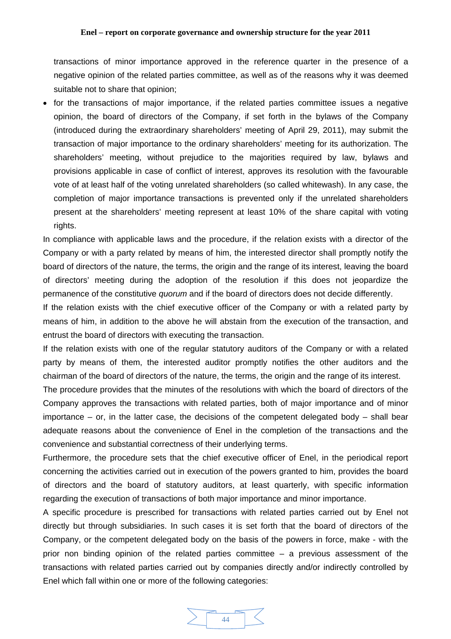transactions of minor importance approved in the reference quarter in the presence of a negative opinion of the related parties committee, as well as of the reasons why it was deemed suitable not to share that opinion;

• for the transactions of major importance, if the related parties committee issues a negative opinion, the board of directors of the Company, if set forth in the bylaws of the Company (introduced during the extraordinary shareholders' meeting of April 29, 2011), may submit the transaction of major importance to the ordinary shareholders' meeting for its authorization. The shareholders' meeting, without prejudice to the majorities required by law, bylaws and provisions applicable in case of conflict of interest, approves its resolution with the favourable vote of at least half of the voting unrelated shareholders (so called whitewash). In any case, the completion of major importance transactions is prevented only if the unrelated shareholders present at the shareholders' meeting represent at least 10% of the share capital with voting rights.

In compliance with applicable laws and the procedure, if the relation exists with a director of the Company or with a party related by means of him, the interested director shall promptly notify the board of directors of the nature, the terms, the origin and the range of its interest, leaving the board of directors' meeting during the adoption of the resolution if this does not jeopardize the permanence of the constitutive *quorum* and if the board of directors does not decide differently.

If the relation exists with the chief executive officer of the Company or with a related party by means of him, in addition to the above he will abstain from the execution of the transaction, and entrust the board of directors with executing the transaction.

If the relation exists with one of the regular statutory auditors of the Company or with a related party by means of them, the interested auditor promptly notifies the other auditors and the chairman of the board of directors of the nature, the terms, the origin and the range of its interest.

The procedure provides that the minutes of the resolutions with which the board of directors of the Company approves the transactions with related parties, both of major importance and of minor importance – or, in the latter case, the decisions of the competent delegated body – shall bear adequate reasons about the convenience of Enel in the completion of the transactions and the convenience and substantial correctness of their underlying terms.

Furthermore, the procedure sets that the chief executive officer of Enel, in the periodical report concerning the activities carried out in execution of the powers granted to him, provides the board of directors and the board of statutory auditors, at least quarterly, with specific information regarding the execution of transactions of both major importance and minor importance.

A specific procedure is prescribed for transactions with related parties carried out by Enel not directly but through subsidiaries. In such cases it is set forth that the board of directors of the Company, or the competent delegated body on the basis of the powers in force, make - with the prior non binding opinion of the related parties committee – a previous assessment of the transactions with related parties carried out by companies directly and/or indirectly controlled by Enel which fall within one or more of the following categories:

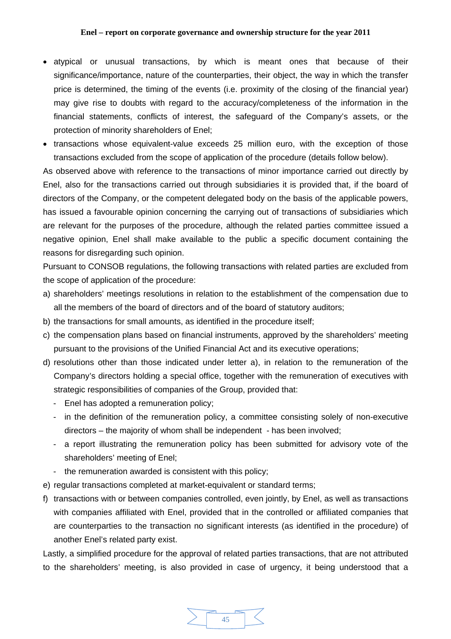- atypical or unusual transactions, by which is meant ones that because of their significance/importance, nature of the counterparties, their object, the way in which the transfer price is determined, the timing of the events (i.e. proximity of the closing of the financial year) may give rise to doubts with regard to the accuracy/completeness of the information in the financial statements, conflicts of interest, the safeguard of the Company's assets, or the protection of minority shareholders of Enel;
- transactions whose equivalent-value exceeds 25 million euro, with the exception of those transactions excluded from the scope of application of the procedure (details follow below).

As observed above with reference to the transactions of minor importance carried out directly by Enel, also for the transactions carried out through subsidiaries it is provided that, if the board of directors of the Company, or the competent delegated body on the basis of the applicable powers, has issued a favourable opinion concerning the carrying out of transactions of subsidiaries which are relevant for the purposes of the procedure, although the related parties committee issued a negative opinion, Enel shall make available to the public a specific document containing the reasons for disregarding such opinion.

Pursuant to CONSOB regulations, the following transactions with related parties are excluded from the scope of application of the procedure:

- a) shareholders' meetings resolutions in relation to the establishment of the compensation due to all the members of the board of directors and of the board of statutory auditors;
- b) the transactions for small amounts, as identified in the procedure itself;
- c) the compensation plans based on financial instruments, approved by the shareholders' meeting pursuant to the provisions of the Unified Financial Act and its executive operations;
- d) resolutions other than those indicated under letter a), in relation to the remuneration of the Company's directors holding a special office, together with the remuneration of executives with strategic responsibilities of companies of the Group, provided that:
	- Enel has adopted a remuneration policy;
	- in the definition of the remuneration policy, a committee consisting solely of non-executive directors – the majority of whom shall be independent - has been involved;
	- a report illustrating the remuneration policy has been submitted for advisory vote of the shareholders' meeting of Enel;
	- the remuneration awarded is consistent with this policy;
- e) regular transactions completed at market-equivalent or standard terms;
- f) transactions with or between companies controlled, even jointly, by Enel, as well as transactions with companies affiliated with Enel, provided that in the controlled or affiliated companies that are counterparties to the transaction no significant interests (as identified in the procedure) of another Enel's related party exist.

Lastly, a simplified procedure for the approval of related parties transactions, that are not attributed to the shareholders' meeting, is also provided in case of urgency, it being understood that a

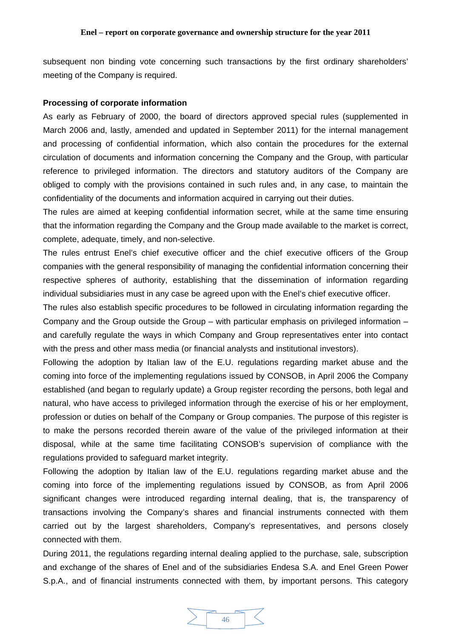<span id="page-45-0"></span>subsequent non binding vote concerning such transactions by the first ordinary shareholders' meeting of the Company is required.

### **Processing of corporate information**

As early as February of 2000, the board of directors approved special rules (supplemented in March 2006 and, lastly, amended and updated in September 2011) for the internal management and processing of confidential information, which also contain the procedures for the external circulation of documents and information concerning the Company and the Group, with particular reference to privileged information. The directors and statutory auditors of the Company are obliged to comply with the provisions contained in such rules and, in any case, to maintain the confidentiality of the documents and information acquired in carrying out their duties.

The rules are aimed at keeping confidential information secret, while at the same time ensuring that the information regarding the Company and the Group made available to the market is correct, complete, adequate, timely, and non-selective.

The rules entrust Enel's chief executive officer and the chief executive officers of the Group companies with the general responsibility of managing the confidential information concerning their respective spheres of authority, establishing that the dissemination of information regarding individual subsidiaries must in any case be agreed upon with the Enel's chief executive officer.

The rules also establish specific procedures to be followed in circulating information regarding the Company and the Group outside the Group – with particular emphasis on privileged information – and carefully regulate the ways in which Company and Group representatives enter into contact with the press and other mass media (or financial analysts and institutional investors).

Following the adoption by Italian law of the E.U. regulations regarding market abuse and the coming into force of the implementing regulations issued by CONSOB, in April 2006 the Company established (and began to regularly update) a Group register recording the persons, both legal and natural, who have access to privileged information through the exercise of his or her employment, profession or duties on behalf of the Company or Group companies. The purpose of this register is to make the persons recorded therein aware of the value of the privileged information at their disposal, while at the same time facilitating CONSOB's supervision of compliance with the regulations provided to safeguard market integrity.

Following the adoption by Italian law of the E.U. regulations regarding market abuse and the coming into force of the implementing regulations issued by CONSOB, as from April 2006 significant changes were introduced regarding internal dealing, that is, the transparency of transactions involving the Company's shares and financial instruments connected with them carried out by the largest shareholders, Company's representatives, and persons closely connected with them.

During 2011, the regulations regarding internal dealing applied to the purchase, sale, subscription and exchange of the shares of Enel and of the subsidiaries Endesa S.A. and Enel Green Power S.p.A., and of financial instruments connected with them, by important persons. This category

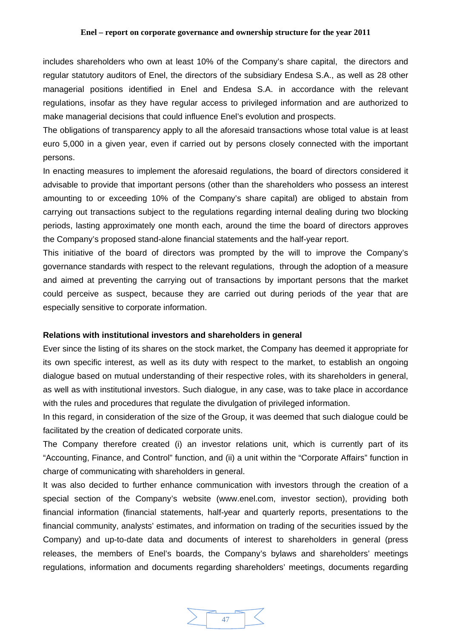<span id="page-46-0"></span>includes shareholders who own at least 10% of the Company's share capital, the directors and regular statutory auditors of Enel, the directors of the subsidiary Endesa S.A., as well as 28 other managerial positions identified in Enel and Endesa S.A. in accordance with the relevant regulations, insofar as they have regular access to privileged information and are authorized to make managerial decisions that could influence Enel's evolution and prospects.

The obligations of transparency apply to all the aforesaid transactions whose total value is at least euro 5,000 in a given year, even if carried out by persons closely connected with the important persons.

In enacting measures to implement the aforesaid regulations, the board of directors considered it advisable to provide that important persons (other than the shareholders who possess an interest amounting to or exceeding 10% of the Company's share capital) are obliged to abstain from carrying out transactions subject to the regulations regarding internal dealing during two blocking periods, lasting approximately one month each, around the time the board of directors approves the Company's proposed stand-alone financial statements and the half-year report.

This initiative of the board of directors was prompted by the will to improve the Company's governance standards with respect to the relevant regulations, through the adoption of a measure and aimed at preventing the carrying out of transactions by important persons that the market could perceive as suspect, because they are carried out during periods of the year that are especially sensitive to corporate information.

### **Relations with institutional investors and shareholders in general**

Ever since the listing of its shares on the stock market, the Company has deemed it appropriate for its own specific interest, as well as its duty with respect to the market, to establish an ongoing dialogue based on mutual understanding of their respective roles, with its shareholders in general, as well as with institutional investors. Such dialogue, in any case, was to take place in accordance with the rules and procedures that regulate the divulgation of privileged information.

In this regard, in consideration of the size of the Group, it was deemed that such dialogue could be facilitated by the creation of dedicated corporate units.

The Company therefore created (i) an investor relations unit, which is currently part of its "Accounting, Finance, and Control" function, and (ii) a unit within the "Corporate Affairs" function in charge of communicating with shareholders in general.

It was also decided to further enhance communication with investors through the creation of a special section of the Company's website (www.enel.com, investor section), providing both financial information (financial statements, half-year and quarterly reports, presentations to the financial community, analysts' estimates, and information on trading of the securities issued by the Company) and up-to-date data and documents of interest to shareholders in general (press releases, the members of Enel's boards, the Company's bylaws and shareholders' meetings regulations, information and documents regarding shareholders' meetings, documents regarding

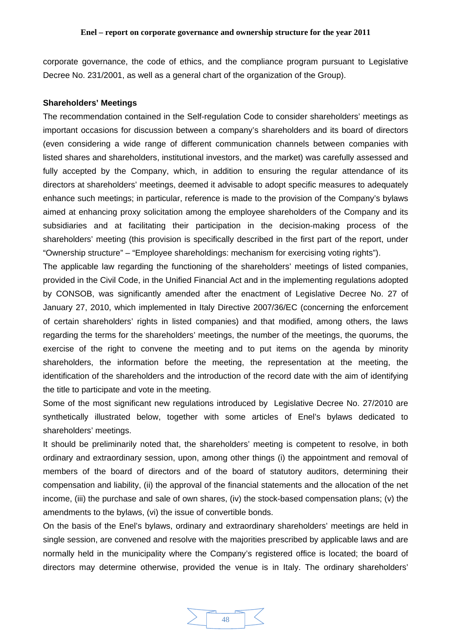<span id="page-47-0"></span>corporate governance, the code of ethics, and the compliance program pursuant to Legislative Decree No. 231/2001, as well as a general chart of the organization of the Group).

### **Shareholders' Meetings**

The recommendation contained in the Self-regulation Code to consider shareholders' meetings as important occasions for discussion between a company's shareholders and its board of directors (even considering a wide range of different communication channels between companies with listed shares and shareholders, institutional investors, and the market) was carefully assessed and fully accepted by the Company, which, in addition to ensuring the regular attendance of its directors at shareholders' meetings, deemed it advisable to adopt specific measures to adequately enhance such meetings; in particular, reference is made to the provision of the Company's bylaws aimed at enhancing proxy solicitation among the employee shareholders of the Company and its subsidiaries and at facilitating their participation in the decision-making process of the shareholders' meeting (this provision is specifically described in the first part of the report, under "Ownership structure" – "Employee shareholdings: mechanism for exercising voting rights").

The applicable law regarding the functioning of the shareholders' meetings of listed companies, provided in the Civil Code, in the Unified Financial Act and in the implementing regulations adopted by CONSOB, was significantly amended after the enactment of Legislative Decree No. 27 of January 27, 2010, which implemented in Italy Directive 2007/36/EC (concerning the enforcement of certain shareholders' rights in listed companies) and that modified, among others, the laws regarding the terms for the shareholders' meetings, the number of the meetings, the quorums, the exercise of the right to convene the meeting and to put items on the agenda by minority shareholders, the information before the meeting, the representation at the meeting, the identification of the shareholders and the introduction of the record date with the aim of identifying the title to participate and vote in the meeting.

Some of the most significant new regulations introduced by Legislative Decree No. 27/2010 are synthetically illustrated below, together with some articles of Enel's bylaws dedicated to shareholders' meetings.

It should be preliminarily noted that, the shareholders' meeting is competent to resolve, in both ordinary and extraordinary session, upon, among other things (i) the appointment and removal of members of the board of directors and of the board of statutory auditors, determining their compensation and liability, (ii) the approval of the financial statements and the allocation of the net income, (iii) the purchase and sale of own shares, (iv) the stock-based compensation plans; (v) the amendments to the bylaws, (vi) the issue of convertible bonds.

On the basis of the Enel's bylaws, ordinary and extraordinary shareholders' meetings are held in single session, are convened and resolve with the majorities prescribed by applicable laws and are normally held in the municipality where the Company's registered office is located; the board of directors may determine otherwise, provided the venue is in Italy. The ordinary shareholders'

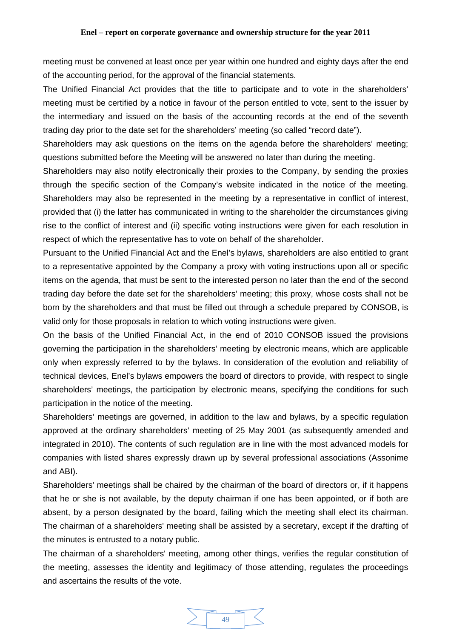meeting must be convened at least once per year within one hundred and eighty days after the end of the accounting period, for the approval of the financial statements.

The Unified Financial Act provides that the title to participate and to vote in the shareholders' meeting must be certified by a notice in favour of the person entitled to vote, sent to the issuer by the intermediary and issued on the basis of the accounting records at the end of the seventh trading day prior to the date set for the shareholders' meeting (so called "record date").

Shareholders may ask questions on the items on the agenda before the shareholders' meeting; questions submitted before the Meeting will be answered no later than during the meeting.

Shareholders may also notify electronically their proxies to the Company, by sending the proxies through the specific section of the Company's website indicated in the notice of the meeting. Shareholders may also be represented in the meeting by a representative in conflict of interest, provided that (i) the latter has communicated in writing to the shareholder the circumstances giving rise to the conflict of interest and (ii) specific voting instructions were given for each resolution in respect of which the representative has to vote on behalf of the shareholder.

Pursuant to the Unified Financial Act and the Enel's bylaws, shareholders are also entitled to grant to a representative appointed by the Company a proxy with voting instructions upon all or specific items on the agenda, that must be sent to the interested person no later than the end of the second trading day before the date set for the shareholders' meeting; this proxy, whose costs shall not be born by the shareholders and that must be filled out through a schedule prepared by CONSOB, is valid only for those proposals in relation to which voting instructions were given.

On the basis of the Unified Financial Act, in the end of 2010 CONSOB issued the provisions governing the participation in the shareholders' meeting by electronic means, which are applicable only when expressly referred to by the bylaws. In consideration of the evolution and reliability of technical devices, Enel's bylaws empowers the board of directors to provide, with respect to single shareholders' meetings, the participation by electronic means, specifying the conditions for such participation in the notice of the meeting.

Shareholders' meetings are governed, in addition to the law and bylaws, by a specific regulation approved at the ordinary shareholders' meeting of 25 May 2001 (as subsequently amended and integrated in 2010). The contents of such regulation are in line with the most advanced models for companies with listed shares expressly drawn up by several professional associations (Assonime and ABI).

Shareholders' meetings shall be chaired by the chairman of the board of directors or, if it happens that he or she is not available, by the deputy chairman if one has been appointed, or if both are absent, by a person designated by the board, failing which the meeting shall elect its chairman. The chairman of a shareholders' meeting shall be assisted by a secretary, except if the drafting of the minutes is entrusted to a notary public.

The chairman of a shareholders' meeting, among other things, verifies the regular constitution of the meeting, assesses the identity and legitimacy of those attending, regulates the proceedings and ascertains the results of the vote.

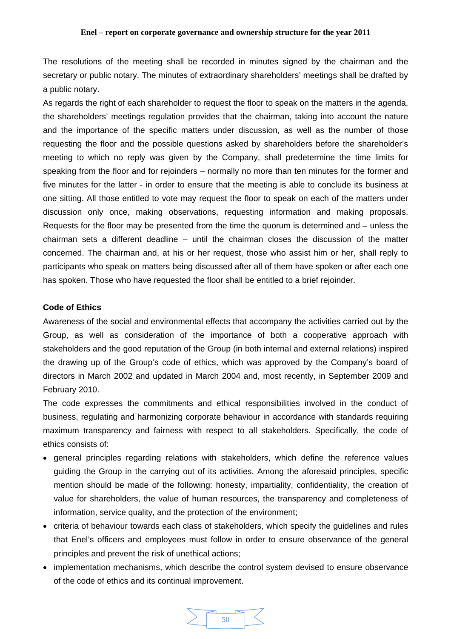<span id="page-49-0"></span>The resolutions of the meeting shall be recorded in minutes signed by the chairman and the secretary or public notary. The minutes of extraordinary shareholders' meetings shall be drafted by a public notary.

As regards the right of each shareholder to request the floor to speak on the matters in the agenda, the shareholders' meetings regulation provides that the chairman, taking into account the nature and the importance of the specific matters under discussion, as well as the number of those requesting the floor and the possible questions asked by shareholders before the shareholder's meeting to which no reply was given by the Company, shall predetermine the time limits for speaking from the floor and for rejoinders – normally no more than ten minutes for the former and five minutes for the latter - in order to ensure that the meeting is able to conclude its business at one sitting. All those entitled to vote may request the floor to speak on each of the matters under discussion only once, making observations, requesting information and making proposals. Requests for the floor may be presented from the time the quorum is determined and – unless the chairman sets a different deadline – until the chairman closes the discussion of the matter concerned. The chairman and, at his or her request, those who assist him or her, shall reply to participants who speak on matters being discussed after all of them have spoken or after each one has spoken. Those who have requested the floor shall be entitled to a brief rejoinder.

### **Code of Ethics**

Awareness of the social and environmental effects that accompany the activities carried out by the Group, as well as consideration of the importance of both a cooperative approach with stakeholders and the good reputation of the Group (in both internal and external relations) inspired the drawing up of the Group's code of ethics, which was approved by the Company's board of directors in March 2002 and updated in March 2004 and, most recently, in September 2009 and February 2010.

The code expresses the commitments and ethical responsibilities involved in the conduct of business, regulating and harmonizing corporate behaviour in accordance with standards requiring maximum transparency and fairness with respect to all stakeholders. Specifically, the code of ethics consists of:

- general principles regarding relations with stakeholders, which define the reference values guiding the Group in the carrying out of its activities. Among the aforesaid principles, specific mention should be made of the following: honesty, impartiality, confidentiality, the creation of value for shareholders, the value of human resources, the transparency and completeness of information, service quality, and the protection of the environment;
- criteria of behaviour towards each class of stakeholders, which specify the guidelines and rules that Enel's officers and employees must follow in order to ensure observance of the general principles and prevent the risk of unethical actions;
- implementation mechanisms, which describe the control system devised to ensure observance of the code of ethics and its continual improvement.

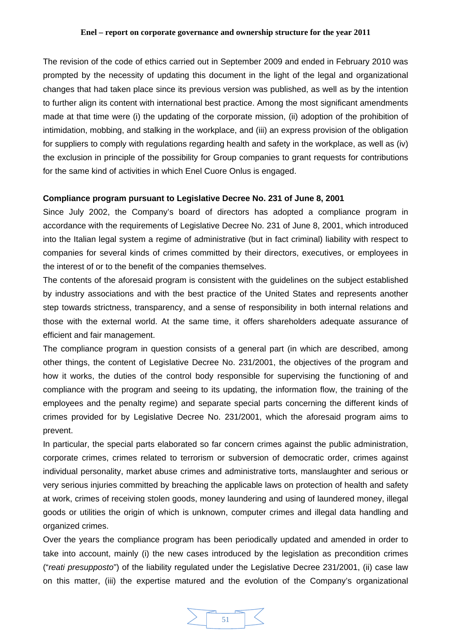<span id="page-50-0"></span>The revision of the code of ethics carried out in September 2009 and ended in February 2010 was prompted by the necessity of updating this document in the light of the legal and organizational changes that had taken place since its previous version was published, as well as by the intention to further align its content with international best practice. Among the most significant amendments made at that time were (i) the updating of the corporate mission, (ii) adoption of the prohibition of intimidation, mobbing, and stalking in the workplace, and (iii) an express provision of the obligation for suppliers to comply with regulations regarding health and safety in the workplace, as well as (iv) the exclusion in principle of the possibility for Group companies to grant requests for contributions for the same kind of activities in which Enel Cuore Onlus is engaged.

### **Compliance program pursuant to Legislative Decree No. 231 of June 8, 2001**

Since July 2002, the Company's board of directors has adopted a compliance program in accordance with the requirements of Legislative Decree No. 231 of June 8, 2001, which introduced into the Italian legal system a regime of administrative (but in fact criminal) liability with respect to companies for several kinds of crimes committed by their directors, executives, or employees in the interest of or to the benefit of the companies themselves.

The contents of the aforesaid program is consistent with the guidelines on the subject established by industry associations and with the best practice of the United States and represents another step towards strictness, transparency, and a sense of responsibility in both internal relations and those with the external world. At the same time, it offers shareholders adequate assurance of efficient and fair management.

The compliance program in question consists of a general part (in which are described, among other things, the content of Legislative Decree No. 231/2001, the objectives of the program and how it works, the duties of the control body responsible for supervising the functioning of and compliance with the program and seeing to its updating, the information flow, the training of the employees and the penalty regime) and separate special parts concerning the different kinds of crimes provided for by Legislative Decree No. 231/2001, which the aforesaid program aims to prevent.

In particular, the special parts elaborated so far concern crimes against the public administration, corporate crimes, crimes related to terrorism or subversion of democratic order, crimes against individual personality, market abuse crimes and administrative torts, manslaughter and serious or very serious injuries committed by breaching the applicable laws on protection of health and safety at work, crimes of receiving stolen goods, money laundering and using of laundered money, illegal goods or utilities the origin of which is unknown, computer crimes and illegal data handling and organized crimes.

Over the years the compliance program has been periodically updated and amended in order to take into account, mainly (i) the new cases introduced by the legislation as precondition crimes ("*reati presupposto*") of the liability regulated under the Legislative Decree 231/2001, (ii) case law on this matter, (iii) the expertise matured and the evolution of the Company's organizational

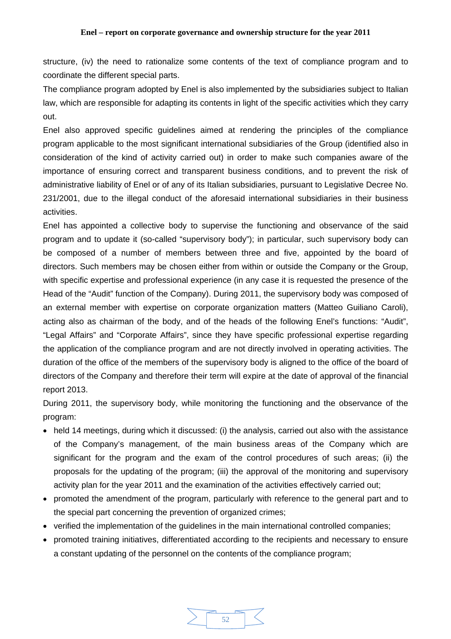structure, (iv) the need to rationalize some contents of the text of compliance program and to coordinate the different special parts.

The compliance program adopted by Enel is also implemented by the subsidiaries subject to Italian law, which are responsible for adapting its contents in light of the specific activities which they carry out.

Enel also approved specific guidelines aimed at rendering the principles of the compliance program applicable to the most significant international subsidiaries of the Group (identified also in consideration of the kind of activity carried out) in order to make such companies aware of the importance of ensuring correct and transparent business conditions, and to prevent the risk of administrative liability of Enel or of any of its Italian subsidiaries, pursuant to Legislative Decree No. 231/2001, due to the illegal conduct of the aforesaid international subsidiaries in their business activities.

Enel has appointed a collective body to supervise the functioning and observance of the said program and to update it (so-called "supervisory body"); in particular, such supervisory body can be composed of a number of members between three and five, appointed by the board of directors. Such members may be chosen either from within or outside the Company or the Group, with specific expertise and professional experience (in any case it is requested the presence of the Head of the "Audit" function of the Company). During 2011, the supervisory body was composed of an external member with expertise on corporate organization matters (Matteo Guiliano Caroli), acting also as chairman of the body, and of the heads of the following Enel's functions: "Audit", "Legal Affairs" and "Corporate Affairs", since they have specific professional expertise regarding the application of the compliance program and are not directly involved in operating activities. The duration of the office of the members of the supervisory body is aligned to the office of the board of directors of the Company and therefore their term will expire at the date of approval of the financial report 2013.

During 2011, the supervisory body, while monitoring the functioning and the observance of the program:

- held 14 meetings, during which it discussed: (i) the analysis, carried out also with the assistance of the Company's management, of the main business areas of the Company which are significant for the program and the exam of the control procedures of such areas; (ii) the proposals for the updating of the program; (iii) the approval of the monitoring and supervisory activity plan for the year 2011 and the examination of the activities effectively carried out;
- promoted the amendment of the program, particularly with reference to the general part and to the special part concerning the prevention of organized crimes;
- verified the implementation of the guidelines in the main international controlled companies;
- promoted training initiatives, differentiated according to the recipients and necessary to ensure a constant updating of the personnel on the contents of the compliance program;

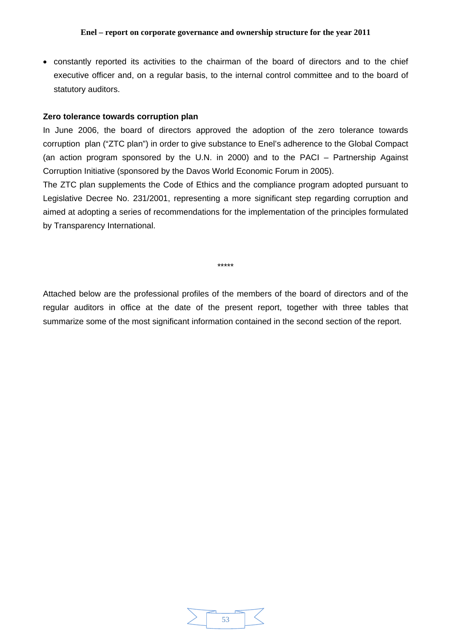<span id="page-52-0"></span>• constantly reported its activities to the chairman of the board of directors and to the chief executive officer and, on a regular basis, to the internal control committee and to the board of statutory auditors.

### **Zero tolerance towards corruption plan**

In June 2006, the board of directors approved the adoption of the zero tolerance towards corruption plan ("ZTC plan") in order to give substance to Enel's adherence to the Global Compact (an action program sponsored by the U.N. in 2000) and to the PACI – Partnership Against Corruption Initiative (sponsored by the Davos World Economic Forum in 2005).

The ZTC plan supplements the Code of Ethics and the compliance program adopted pursuant to Legislative Decree No. 231/2001, representing a more significant step regarding corruption and aimed at adopting a series of recommendations for the implementation of the principles formulated by Transparency International.

\*\*\*\*\*

Attached below are the professional profiles of the members of the board of directors and of the regular auditors in office at the date of the present report, together with three tables that summarize some of the most significant information contained in the second section of the report.

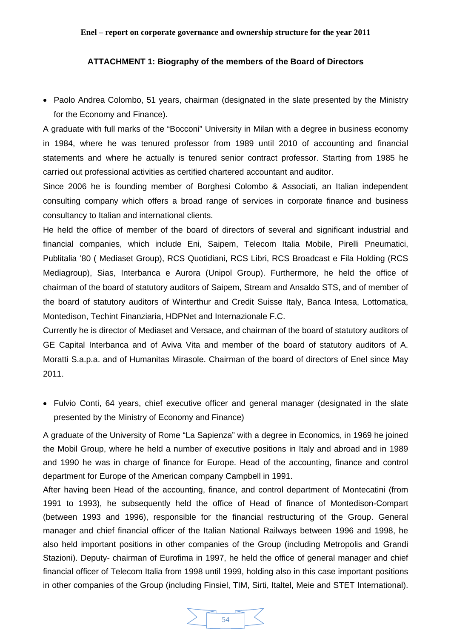### <span id="page-53-0"></span>**ATTACHMENT 1: Biography of the members of the Board of Directors**

• Paolo Andrea Colombo, 51 years, chairman (designated in the slate presented by the Ministry for the Economy and Finance).

A graduate with full marks of the "Bocconi" University in Milan with a degree in business economy in 1984, where he was tenured professor from 1989 until 2010 of accounting and financial statements and where he actually is tenured senior contract professor. Starting from 1985 he carried out professional activities as certified chartered accountant and auditor.

Since 2006 he is founding member of Borghesi Colombo & Associati, an Italian independent consulting company which offers a broad range of services in corporate finance and business consultancy to Italian and international clients.

He held the office of member of the board of directors of several and significant industrial and financial companies, which include Eni, Saipem, Telecom Italia Mobile, Pirelli Pneumatici, Publitalia '80 ( Mediaset Group), RCS Quotidiani, RCS Libri, RCS Broadcast e Fila Holding (RCS Mediagroup), Sias, Interbanca e Aurora (Unipol Group). Furthermore, he held the office of chairman of the board of statutory auditors of Saipem, Stream and Ansaldo STS, and of member of the board of statutory auditors of Winterthur and Credit Suisse Italy, Banca Intesa, Lottomatica, Montedison, Techint Finanziaria, HDPNet and Internazionale F.C.

Currently he is director of Mediaset and Versace, and chairman of the board of statutory auditors of GE Capital Interbanca and of Aviva Vita and member of the board of statutory auditors of A. Moratti S.a.p.a. and of Humanitas Mirasole. Chairman of the board of directors of Enel since May 2011.

• Fulvio Conti, 64 years, chief executive officer and general manager (designated in the slate presented by the Ministry of Economy and Finance)

A graduate of the University of Rome "La Sapienza" with a degree in Economics, in 1969 he joined the Mobil Group, where he held a number of executive positions in Italy and abroad and in 1989 and 1990 he was in charge of finance for Europe. Head of the accounting, finance and control department for Europe of the American company Campbell in 1991.

After having been Head of the accounting, finance, and control department of Montecatini (from 1991 to 1993), he subsequently held the office of Head of finance of Montedison-Compart (between 1993 and 1996), responsible for the financial restructuring of the Group. General manager and chief financial officer of the Italian National Railways between 1996 and 1998, he also held important positions in other companies of the Group (including Metropolis and Grandi Stazioni). Deputy- chairman of Eurofima in 1997, he held the office of general manager and chief financial officer of Telecom Italia from 1998 until 1999, holding also in this case important positions in other companies of the Group (including Finsiel, TIM, Sirti, Italtel, Meie and STET International).

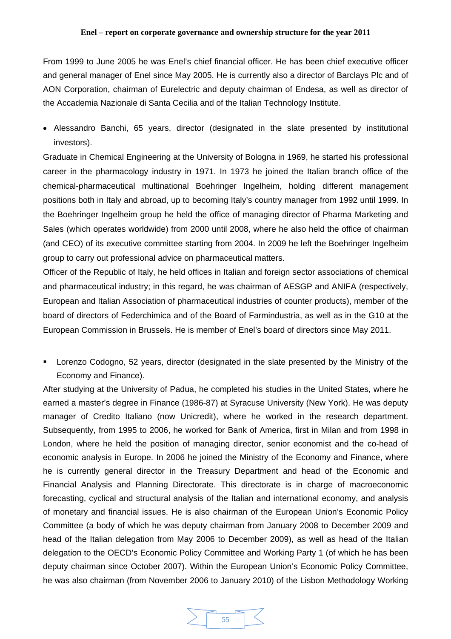From 1999 to June 2005 he was Enel's chief financial officer. He has been chief executive officer and general manager of Enel since May 2005. He is currently also a director of Barclays Plc and of AON Corporation, chairman of Eurelectric and deputy chairman of Endesa, as well as director of the Accademia Nazionale di Santa Cecilia and of the Italian Technology Institute.

• Alessandro Banchi, 65 years, director (designated in the slate presented by institutional investors).

Graduate in Chemical Engineering at the University of Bologna in 1969, he started his professional career in the pharmacology industry in 1971. In 1973 he joined the Italian branch office of the chemical-pharmaceutical multinational Boehringer Ingelheim, holding different management positions both in Italy and abroad, up to becoming Italy's country manager from 1992 until 1999. In the Boehringer Ingelheim group he held the office of managing director of Pharma Marketing and Sales (which operates worldwide) from 2000 until 2008, where he also held the office of chairman (and CEO) of its executive committee starting from 2004. In 2009 he left the Boehringer Ingelheim group to carry out professional advice on pharmaceutical matters.

Officer of the Republic of Italy, he held offices in Italian and foreign sector associations of chemical and pharmaceutical industry; in this regard, he was chairman of AESGP and ANIFA (respectively, European and Italian Association of pharmaceutical industries of counter products), member of the board of directors of Federchimica and of the Board of Farmindustria, as well as in the G10 at the European Commission in Brussels. He is member of Enel's board of directors since May 2011.

 Lorenzo Codogno, 52 years, director (designated in the slate presented by the Ministry of the Economy and Finance).

After studying at the University of Padua, he completed his studies in the United States, where he earned a master's degree in Finance (1986-87) at Syracuse University (New York). He was deputy manager of Credito Italiano (now Unicredit), where he worked in the research department. Subsequently, from 1995 to 2006, he worked for Bank of America, first in Milan and from 1998 in London, where he held the position of managing director, senior economist and the co-head of economic analysis in Europe. In 2006 he joined the Ministry of the Economy and Finance, where he is currently general director in the Treasury Department and head of the Economic and Financial Analysis and Planning Directorate. This directorate is in charge of macroeconomic forecasting, cyclical and structural analysis of the Italian and international economy, and analysis of monetary and financial issues. He is also chairman of the European Union's Economic Policy Committee (a body of which he was deputy chairman from January 2008 to December 2009 and head of the Italian delegation from May 2006 to December 2009), as well as head of the Italian delegation to the OECD's Economic Policy Committee and Working Party 1 (of which he has been deputy chairman since October 2007). Within the European Union's Economic Policy Committee, he was also chairman (from November 2006 to January 2010) of the Lisbon Methodology Working

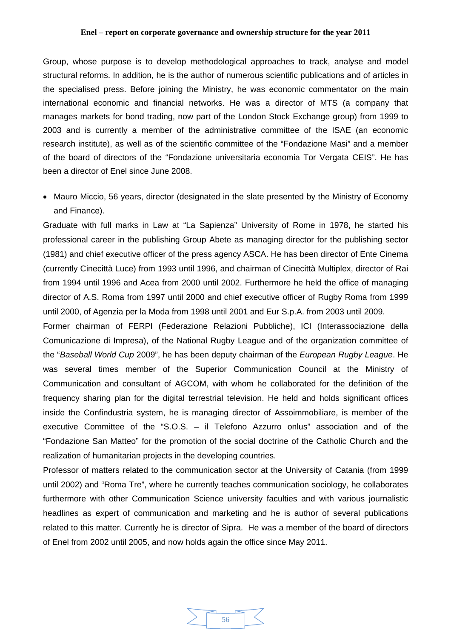Group, whose purpose is to develop methodological approaches to track, analyse and model structural reforms. In addition, he is the author of numerous scientific publications and of articles in the specialised press. Before joining the Ministry, he was economic commentator on the main international economic and financial networks. He was a director of MTS (a company that manages markets for bond trading, now part of the London Stock Exchange group) from 1999 to 2003 and is currently a member of the administrative committee of the ISAE (an economic research institute), as well as of the scientific committee of the "Fondazione Masi" and a member of the board of directors of the "Fondazione universitaria economia Tor Vergata CEIS". He has been a director of Enel since June 2008.

• Mauro Miccio, 56 years, director (designated in the slate presented by the Ministry of Economy and Finance).

Graduate with full marks in Law at "La Sapienza" University of Rome in 1978, he started his professional career in the publishing Group Abete as managing director for the publishing sector (1981) and chief executive officer of the press agency ASCA. He has been director of Ente Cinema (currently Cinecittà Luce) from 1993 until 1996, and chairman of Cinecittà Multiplex, director of Rai from 1994 until 1996 and Acea from 2000 until 2002. Furthermore he held the office of managing director of A.S. Roma from 1997 until 2000 and chief executive officer of Rugby Roma from 1999 until 2000, of Agenzia per la Moda from 1998 until 2001 and Eur S.p.A. from 2003 until 2009.

Former chairman of FERPI (Federazione Relazioni Pubbliche), ICI (Interassociazione della Comunicazione di Impresa), of the National Rugby League and of the organization committee of the "*Baseball World Cup* 2009", he has been deputy chairman of the *European Rugby League*. He was several times member of the Superior Communication Council at the Ministry of Communication and consultant of AGCOM, with whom he collaborated for the definition of the frequency sharing plan for the digital terrestrial television. He held and holds significant offices inside the Confindustria system, he is managing director of Assoimmobiliare, is member of the executive Committee of the "S.O.S. – il Telefono Azzurro onlus" association and of the "Fondazione San Matteo" for the promotion of the social doctrine of the Catholic Church and the realization of humanitarian projects in the developing countries.

Professor of matters related to the communication sector at the University of Catania (from 1999 until 2002) and "Roma Tre", where he currently teaches communication sociology, he collaborates furthermore with other Communication Science university faculties and with various journalistic headlines as expert of communication and marketing and he is author of several publications related to this matter. Currently he is director of Sipra. He was a member of the board of directors of Enel from 2002 until 2005, and now holds again the office since May 2011.

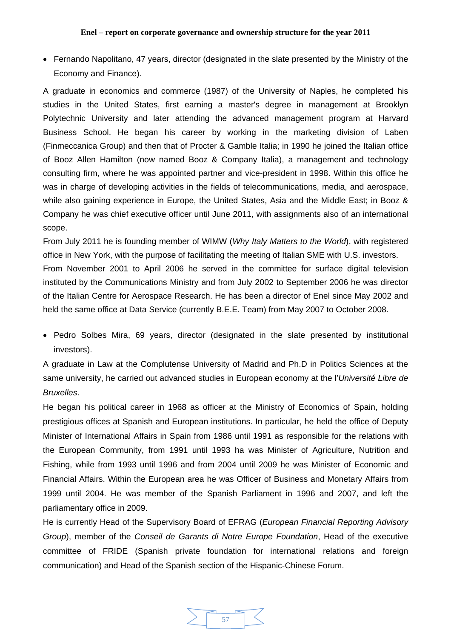• Fernando Napolitano, 47 years, director (designated in the slate presented by the Ministry of the Economy and Finance).

A graduate in economics and commerce (1987) of the University of Naples, he completed his studies in the United States, first earning a master's degree in management at Brooklyn Polytechnic University and later attending the advanced management program at Harvard Business School. He began his career by working in the marketing division of Laben (Finmeccanica Group) and then that of Procter & Gamble Italia; in 1990 he joined the Italian office of Booz Allen Hamilton (now named Booz & Company Italia), a management and technology consulting firm, where he was appointed partner and vice-president in 1998. Within this office he was in charge of developing activities in the fields of telecommunications, media, and aerospace, while also gaining experience in Europe, the United States, Asia and the Middle East; in Booz & Company he was chief executive officer until June 2011, with assignments also of an international scope.

From July 2011 he is founding member of WIMW (*Why Italy Matters to the World*), with registered office in New York, with the purpose of facilitating the meeting of Italian SME with U.S. investors. From November 2001 to April 2006 he served in the committee for surface digital television instituted by the Communications Ministry and from July 2002 to September 2006 he was director of the Italian Centre for Aerospace Research. He has been a director of Enel since May 2002 and held the same office at Data Service (currently B.E.E. Team) from May 2007 to October 2008.

• Pedro Solbes Mira, 69 years, director (designated in the slate presented by institutional investors).

A graduate in Law at the Complutense University of Madrid and Ph.D in Politics Sciences at the same university, he carried out advanced studies in European economy at the l'*Université Libre de Bruxelles*.

He began his political career in 1968 as officer at the Ministry of Economics of Spain, holding prestigious offices at Spanish and European institutions. In particular, he held the office of Deputy Minister of International Affairs in Spain from 1986 until 1991 as responsible for the relations with the European Community, from 1991 until 1993 ha was Minister of Agriculture, Nutrition and Fishing, while from 1993 until 1996 and from 2004 until 2009 he was Minister of Economic and Financial Affairs. Within the European area he was Officer of Business and Monetary Affairs from 1999 until 2004. He was member of the Spanish Parliament in 1996 and 2007, and left the parliamentary office in 2009.

He is currently Head of the Supervisory Board of EFRAG (*European Financial Reporting Advisory Group*), member of the *Conseil de Garants di Notre Europe Foundation*, Head of the executive committee of FRIDE (Spanish private foundation for international relations and foreign communication) and Head of the Spanish section of the Hispanic-Chinese Forum.

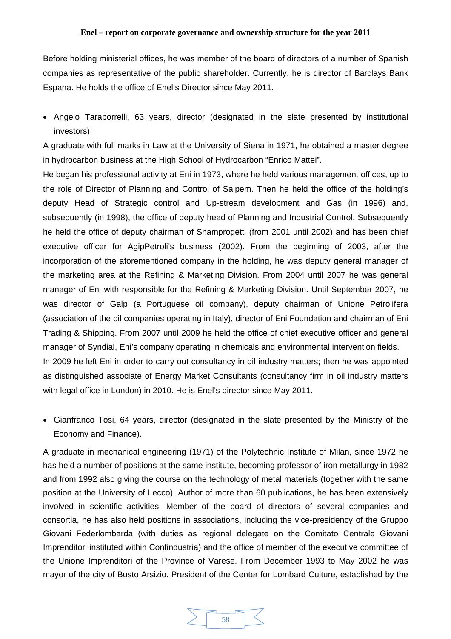Before holding ministerial offices, he was member of the board of directors of a number of Spanish companies as representative of the public shareholder. Currently, he is director of Barclays Bank Espana. He holds the office of Enel's Director since May 2011.

• Angelo Taraborrelli, 63 years, director (designated in the slate presented by institutional investors).

A graduate with full marks in Law at the University of Siena in 1971, he obtained a master degree in hydrocarbon business at the High School of Hydrocarbon "Enrico Mattei".

He began his professional activity at Eni in 1973, where he held various management offices, up to the role of Director of Planning and Control of Saipem. Then he held the office of the holding's deputy Head of Strategic control and Up-stream development and Gas (in 1996) and, subsequently (in 1998), the office of deputy head of Planning and Industrial Control. Subsequently he held the office of deputy chairman of Snamprogetti (from 2001 until 2002) and has been chief executive officer for AgipPetroli's business (2002). From the beginning of 2003, after the incorporation of the aforementioned company in the holding, he was deputy general manager of the marketing area at the Refining & Marketing Division. From 2004 until 2007 he was general manager of Eni with responsible for the Refining & Marketing Division. Until September 2007, he was director of Galp (a Portuguese oil company), deputy chairman of Unione Petrolifera (association of the oil companies operating in Italy), director of Eni Foundation and chairman of Eni Trading & Shipping. From 2007 until 2009 he held the office of chief executive officer and general manager of Syndial, Eni's company operating in chemicals and environmental intervention fields. In 2009 he left Eni in order to carry out consultancy in oil industry matters; then he was appointed

as distinguished associate of Energy Market Consultants (consultancy firm in oil industry matters with legal office in London) in 2010. He is Enel's director since May 2011.

• Gianfranco Tosi, 64 years, director (designated in the slate presented by the Ministry of the Economy and Finance).

A graduate in mechanical engineering (1971) of the Polytechnic Institute of Milan, since 1972 he has held a number of positions at the same institute, becoming professor of iron metallurgy in 1982 and from 1992 also giving the course on the technology of metal materials (together with the same position at the University of Lecco). Author of more than 60 publications, he has been extensively involved in scientific activities. Member of the board of directors of several companies and consortia, he has also held positions in associations, including the vice-presidency of the Gruppo Giovani Federlombarda (with duties as regional delegate on the Comitato Centrale Giovani Imprenditori instituted within Confindustria) and the office of member of the executive committee of the Unione Imprenditori of the Province of Varese. From December 1993 to May 2002 he was mayor of the city of Busto Arsizio. President of the Center for Lombard Culture, established by the

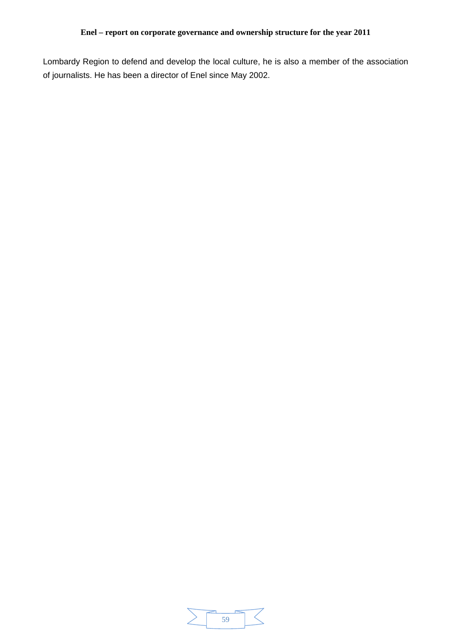Lombardy Region to defend and develop the local culture, he is also a member of the association of journalists. He has been a director of Enel since May 2002.

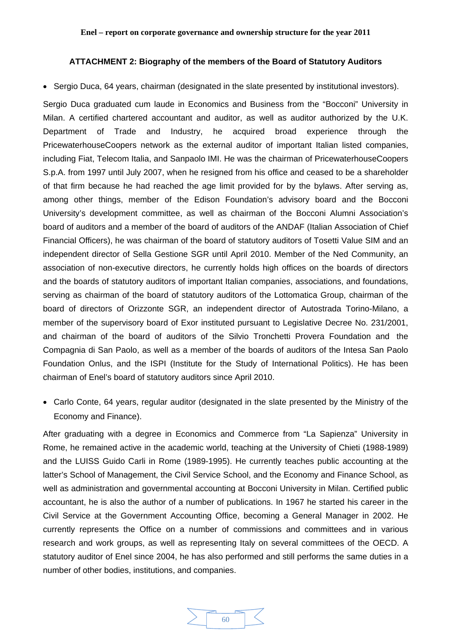### <span id="page-59-0"></span>**ATTACHMENT 2: Biography of the members of the Board of Statutory Auditors**

• Sergio Duca, 64 years, chairman (designated in the slate presented by institutional investors).

Sergio Duca graduated cum laude in Economics and Business from the "Bocconi" University in Milan. A certified chartered accountant and auditor, as well as auditor authorized by the U.K. Department of Trade and Industry, he acquired broad experience through the PricewaterhouseCoopers network as the external auditor of important Italian listed companies, including Fiat, Telecom Italia, and Sanpaolo IMI. He was the chairman of PricewaterhouseCoopers S.p.A. from 1997 until July 2007, when he resigned from his office and ceased to be a shareholder of that firm because he had reached the age limit provided for by the bylaws. After serving as, among other things, member of the Edison Foundation's advisory board and the Bocconi University's development committee, as well as chairman of the Bocconi Alumni Association's board of auditors and a member of the board of auditors of the ANDAF (Italian Association of Chief Financial Officers), he was chairman of the board of statutory auditors of Tosetti Value SIM and an independent director of Sella Gestione SGR until April 2010. Member of the Ned Community, an association of non-executive directors, he currently holds high offices on the boards of directors and the boards of statutory auditors of important Italian companies, associations, and foundations, serving as chairman of the board of statutory auditors of the Lottomatica Group, chairman of the board of directors of Orizzonte SGR, an independent director of Autostrada Torino-Milano, a member of the supervisory board of Exor instituted pursuant to Legislative Decree No. 231/2001, and chairman of the board of auditors of the Silvio Tronchetti Provera Foundation and the Compagnia di San Paolo, as well as a member of the boards of auditors of the Intesa San Paolo Foundation Onlus, and the ISPI (Institute for the Study of International Politics). He has been chairman of Enel's board of statutory auditors since April 2010.

• Carlo Conte, 64 years, regular auditor (designated in the slate presented by the Ministry of the Economy and Finance).

After graduating with a degree in Economics and Commerce from "La Sapienza" University in Rome, he remained active in the academic world, teaching at the University of Chieti (1988-1989) and the LUISS Guido Carli in Rome (1989-1995). He currently teaches public accounting at the latter's School of Management, the Civil Service School, and the Economy and Finance School, as well as administration and governmental accounting at Bocconi University in Milan. Certified public accountant, he is also the author of a number of publications. In 1967 he started his career in the Civil Service at the Government Accounting Office, becoming a General Manager in 2002. He currently represents the Office on a number of commissions and committees and in various research and work groups, as well as representing Italy on several committees of the OECD. A statutory auditor of Enel since 2004, he has also performed and still performs the same duties in a number of other bodies, institutions, and companies.

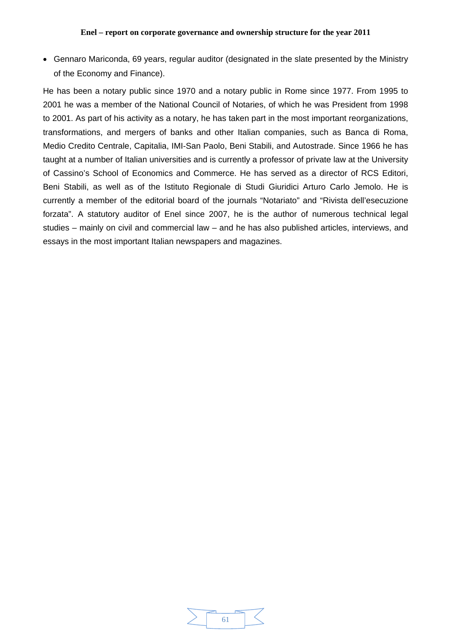• Gennaro Mariconda, 69 years, regular auditor (designated in the slate presented by the Ministry of the Economy and Finance).

He has been a notary public since 1970 and a notary public in Rome since 1977. From 1995 to 2001 he was a member of the National Council of Notaries, of which he was President from 1998 to 2001. As part of his activity as a notary, he has taken part in the most important reorganizations, transformations, and mergers of banks and other Italian companies, such as Banca di Roma, Medio Credito Centrale, Capitalia, IMI-San Paolo, Beni Stabili, and Autostrade. Since 1966 he has taught at a number of Italian universities and is currently a professor of private law at the University of Cassino's School of Economics and Commerce. He has served as a director of RCS Editori, Beni Stabili, as well as of the Istituto Regionale di Studi Giuridici Arturo Carlo Jemolo. He is currently a member of the editorial board of the journals "Notariato" and "Rivista dell'esecuzione forzata". A statutory auditor of Enel since 2007, he is the author of numerous technical legal studies – mainly on civil and commercial law – and he has also published articles, interviews, and essays in the most important Italian newspapers and magazines.

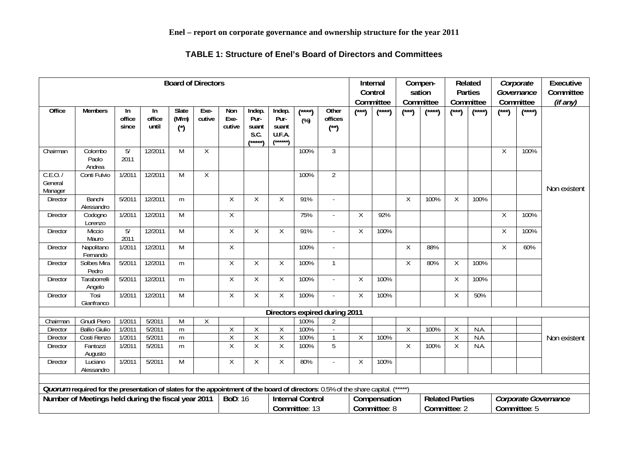### **TABLE 1: Structure of Enel's Board of Directors and Committees**

<span id="page-61-0"></span>

| <b>Board of Directors</b>                           |                                                                                                                                        |                        |                        |                               |                |                                           |                                            |                                                | Internal<br>Control<br>Committee |                               | Compen-<br>sation<br>Committee |          | Related<br><b>Parties</b><br>Committee |                                          | Corporate<br>Governance<br>Committee | <b>Executive</b><br>Committee<br>(if any) |                                      |                                             |              |
|-----------------------------------------------------|----------------------------------------------------------------------------------------------------------------------------------------|------------------------|------------------------|-------------------------------|----------------|-------------------------------------------|--------------------------------------------|------------------------------------------------|----------------------------------|-------------------------------|--------------------------------|----------|----------------------------------------|------------------------------------------|--------------------------------------|-------------------------------------------|--------------------------------------|---------------------------------------------|--------------|
| Office                                              | <b>Members</b>                                                                                                                         | In.<br>office<br>since | In.<br>office<br>until | Slate<br>(M/m)<br>$(\dot{r})$ | Exe-<br>cutive | Non<br>Exe-<br>cutive                     | Indep.<br>Pur-<br>suant<br>S.C.<br>/*****\ | Indep.<br>Pur-<br>suant<br>U.F.A.<br>$(*****`$ | (****<br>$(y_6)$                 | Other<br>offices<br>$(^{**})$ | $(\overline{z^{\ast}})$        | $(***")$ | (***)                                  | $(\overbrace{ }^{\ast \ast \ast \ast })$ | $(\overbrace{ }^{\ast\ast\ast})$     | $(\overbrace{ }^{\ast\ast\ast\ast})$      | $\overline{f^{***}}$                 | $\overline{(\overline{\phantom{a}}^{***})}$ |              |
| Chairman                                            | Colombo<br>Paolo<br>Andrea                                                                                                             | 5/<br>2011             | 12/2011                | M                             | X              |                                           |                                            |                                                | 100%                             | $\overline{3}$                |                                |          |                                        |                                          |                                      |                                           | χ                                    | 100%                                        |              |
| C.E.O.7<br>General<br>Manager                       | Conti Fulvio                                                                                                                           | 1/2011                 | 12/2011                | M                             | X              |                                           |                                            |                                                | 100%                             | $\overline{2}$                |                                |          |                                        |                                          |                                      |                                           |                                      |                                             | Non existent |
| <b>Director</b>                                     | Banchi<br>Alessandro                                                                                                                   | 5/2011                 | 12/2011                | m                             |                | Χ                                         | $\mathsf X$                                | $\mathsf X$                                    | 91%                              | $\sim$                        |                                |          | X                                      | 100%                                     | X                                    | 100%                                      |                                      |                                             |              |
| Director                                            | Codogno<br>Lorenzo                                                                                                                     | 1/2011                 | 12/2011                | M                             |                | $\overline{X}$                            |                                            |                                                | 75%                              | $\mathcal{L}_{\mathcal{A}}$   | X                              | 92%      |                                        |                                          |                                      |                                           | Χ                                    | 100%                                        |              |
| <b>Director</b>                                     | Miccio<br>Mauro                                                                                                                        | 5/<br>2011             | 12/2011                | $\overline{M}$                |                | $\overline{X}$                            | $\mathsf X$                                | $\mathsf X$                                    | 91%                              | $\sim$                        | X                              | 100%     |                                        |                                          |                                      |                                           | χ                                    | 100%                                        |              |
| <b>Director</b>                                     | Napolitano<br>Fernando                                                                                                                 | 1/2011                 | 12/2011                | M                             |                | $\overline{X}$                            |                                            |                                                | 100%                             | $\mathcal{L}$                 |                                |          | X                                      | 88%                                      |                                      |                                           | X                                    | 60%                                         |              |
| Director                                            | Solbes Mira<br>Pedro                                                                                                                   | 5/2011                 | 12/2011                | m                             |                | Χ                                         | $\sf X$                                    | $\sf X$                                        | 100%                             | $\overline{1}$                |                                |          | X                                      | 80%                                      | Χ                                    | 100%                                      |                                      |                                             |              |
| Director                                            | Taraborrelli<br>Angelo                                                                                                                 | 5/2011                 | 12/2011                | m                             |                | X                                         | X                                          | X                                              | 100%                             | $\mathcal{L}$                 | X                              | 100%     |                                        |                                          | X                                    | 100%                                      |                                      |                                             |              |
| Director                                            | Tosi<br>Gianfranco                                                                                                                     | 1/2011                 | 12/2011                | M                             |                | $\overline{X}$                            | $\mathsf X$                                | $\overline{X}$                                 | 100%                             | ÷.                            | Χ                              | 100%     |                                        |                                          | $\overline{X}$                       | 50%                                       |                                      |                                             |              |
|                                                     |                                                                                                                                        |                        |                        |                               |                |                                           |                                            |                                                |                                  | Directors expired during 2011 |                                |          |                                        |                                          |                                      |                                           |                                      |                                             |              |
| Chairman                                            | Gnudi Piero                                                                                                                            | 1/201                  | 5/2011                 | M                             | $\overline{X}$ |                                           |                                            |                                                | 100%                             | $\overline{2}$                |                                |          |                                        |                                          |                                      |                                           |                                      |                                             |              |
| Director                                            | <b>Ballio Giulio</b>                                                                                                                   | 1/2011                 | 5/2011                 | m                             |                | Χ                                         | Χ                                          | $\sf X$                                        | 100%                             | $\mathcal{L}$                 |                                |          | Χ                                      | 100%                                     | X                                    | N.A.                                      |                                      |                                             |              |
| Director                                            | Costi Renzo                                                                                                                            | 1/2011                 | 5/2011                 | m                             |                | $\overline{\mathsf{X}}$<br>$\overline{X}$ | Χ                                          | Χ                                              | 100%                             |                               | X                              | 100%     |                                        |                                          | $\sf X$                              | N.A.<br>N.A.                              |                                      |                                             | Non existent |
| <b>Director</b>                                     | Fantozzi<br>Augusto                                                                                                                    | 1/2011                 | 5/2011                 | m                             |                |                                           | Χ                                          | X                                              | 100%                             | 5                             |                                |          | X                                      | 100%                                     | Χ                                    |                                           |                                      |                                             |              |
| Director                                            | Luciano<br>Alessandro                                                                                                                  | 1/2011                 | 5/2011                 | $\overline{M}$                |                | $\overline{X}$                            | Χ                                          | X                                              | 80%                              | $\mathcal{L}$                 | X                              | 100%     |                                        |                                          |                                      |                                           |                                      |                                             |              |
|                                                     | Quorum required for the presentation of slates for the appointment of the board of directors: 0.5% of the share capital.<br>$(*****")$ |                        |                        |                               |                |                                           |                                            |                                                |                                  |                               |                                |          |                                        |                                          |                                      |                                           |                                      |                                             |              |
| Number of Meetings held during the fiscal year 2011 |                                                                                                                                        |                        |                        |                               | <b>BoD: 16</b> |                                           |                                            |                                                |                                  |                               |                                |          |                                        |                                          |                                      |                                           |                                      |                                             |              |
|                                                     |                                                                                                                                        |                        |                        |                               |                |                                           | <b>Internal Control</b><br>Committee: 13   |                                                |                                  | Compensation<br>Committee: 8  |                                |          |                                        | <b>Related Parties</b><br>Committee: 2   |                                      |                                           | Corporate Governance<br>Committee: 5 |                                             |              |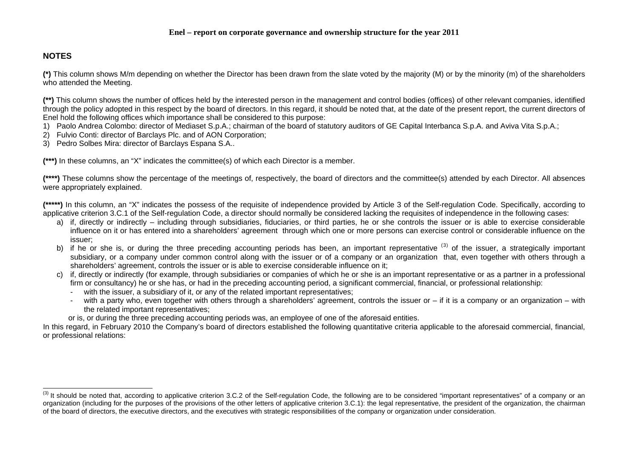# **NOTES**

**(\*)** This column shows M/m depending on whether the Director has been drawn from the slate voted by the majority (M) or by the minority (m) of the shareholders who attended the Meeting.

**(\*\*)** This column shows the number of offices held by the interested person in the management and control bodies (offices) of other relevant companies, identified through the policy adopted in this respect by the board of directors. In this regard, it should be noted that, at the date of the present report, the current directors of Enel hold the following offices which importance shall be considered to this purpose:

- 1) Paolo Andrea Colombo: director of Mediaset S.p.A.; chairman of the board of statutory auditors of GE Capital Interbanca S.p.A. and Aviva Vita S.p.A.;
- 2) Fulvio Conti: director of Barclays Plc. and of AON Corporation;
- 3) Pedro Solbes Mira: director of Barclays Espana S.A..

**(\*\*\*)** In these columns, an "X" indicates the committee(s) of which each Director is a member.

**(\*\*\*\*)** These columns show the percentage of the meetings of, respectively, the board of directors and the committee(s) attended by each Director. All absences were appropriately explained.

**(\*\*\*\*\*)** In this column, an "X" indicates the possess of the requisite of independence provided by Article 3 of the Self-regulation Code. Specifically, according to applicative criterion 3.C.1 of the Self-regulation Code, a director should normally be considered lacking the requisites of independence in the following cases:

- a) if, directly or indirectly including through subsidiaries, fiduciaries, or third parties, he or she controls the issuer or is able to exercise considerable influence on it or has entered into a shareholders' agreement through which one or more persons can exercise control or considerable influence on the issuer;
- b) if he or she is, or during the three preceding accounting periods has been, an important representative ([3](#page-62-0)) of the issuer, a strategically important subsidiary, or a company under common control along with the issuer or of a company or an organization that, even together with others through a shareholders' agreement, controls the issuer or is able to exercise considerable influence on it;
- c) if, directly or indirectly (for example, through subsidiaries or companies of which he or she is an important representative or as a partner in a professional firm or consultancy) he or she has, or had in the preceding accounting period, a significant commercial, financial, or professional relationship:
	- with the issuer, a subsidiary of it, or any of the related important representatives;
	- with a party who, even together with others through a shareholders' agreement, controls the issuer or  $-$  if it is a company or an organization with the related important representatives;
	- or is, or during the three preceding accounting periods was, an employee of one of the aforesaid entities.

In this regard, in February 2010 the Company's board of directors established the following quantitative criteria applicable to the aforesaid commercial, financial, or professional relations:

<span id="page-62-0"></span><sup>(3)</sup> It should be noted that, according to applicative criterion 3.C.2 of the Self-regulation Code, the following are to be considered "important representatives" of a company or an organization (including for the purposes of the provisions of the other letters of applicative criterion 3.C.1): the legal representative, the president of the organization, the chairman of the board of directors, the executive directors, and the executives with strategic responsibilities of the company or organization under consideration.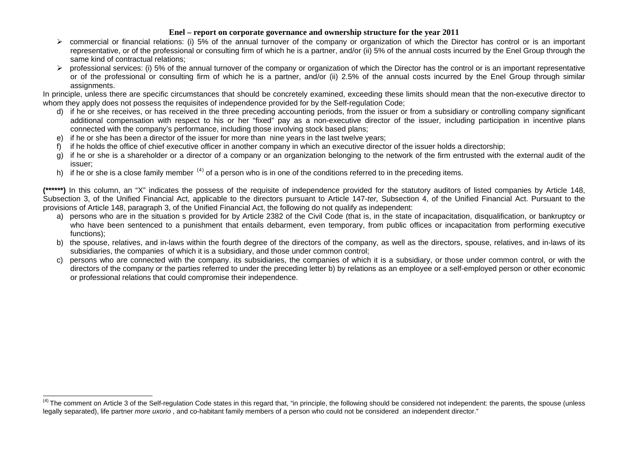- ¾ commercial or financial relations: (i) 5% of the annual turnover of the company or organization of which the Director has control or is an important representative, or of the professional or consulting firm of which he is a partner, and/or (ii) 5% of the annual costs incurred by the Enel Group through the same kind of contractual relations;
- $\triangleright$  professional services: (i) 5% of the annual turnover of the company or organization of which the Director has the control or is an important representative or of the professional or consulting firm of which he is a partner, and/or (ii) 2.5% of the annual costs incurred by the Enel Group through similar assignments.

In principle, unless there are specific circumstances that should be concretely examined, exceeding these limits should mean that the non-executive director to whom they apply does not possess the requisites of independence provided for by the Self-regulation Code;

- d) if he or she receives, or has received in the three preceding accounting periods, from the issuer or from a subsidiary or controlling company significant additional compensation with respect to his or her "fixed" pay as a non-executive director of the issuer, including participation in incentive plans connected with the company's performance, including those involving stock based plans;
- e) if he or she has been a director of the issuer for more than nine years in the last twelve years;
- if he holds the office of chief executive officer in another company in which an executive director of the issuer holds a directorship;
- g) if he or she is a shareholder or a director of a company or an organization belonging to the network of the firm entrusted with the external audit of the issuer;
- h) if he or she is a close family member  $(4)$  $(4)$  $(4)$  of a person who is in one of the conditions referred to in the preceding items.

**(\*\*\*\*\*\*)** In this column, an "X" indicates the possess of the requisite of independence provided for the statutory auditors of listed companies by Article 148, Subsection 3, of the Unified Financial Act, applicable to the directors pursuant to Article 147-*ter,* Subsection 4, of the Unified Financial Act. Pursuant to the provisions of Article 148, paragraph 3, of the Unified Financial Act, the following do not qualify as independent:

- a) persons who are in the situation s provided for by Article 2382 of the Civil Code (that is, in the state of incapacitation, disqualification, or bankruptcy or who have been sentenced to a punishment that entails debarment, even temporary, from public offices or incapacitation from performing executive functions);
- b) the spouse, relatives, and in-laws within the fourth degree of the directors of the company, as well as the directors, spouse, relatives, and in-laws of its subsidiaries, the companies of which it is a subsidiary, and those under common control;
- c) persons who are connected with the company. its subsidiaries, the companies of which it is a subsidiary, or those under common control, or with the directors of the company or the parties referred to under the preceding letter b) by relations as an employee or a self-employed person or other economic or professional relations that could compromise their independence.

<span id="page-63-0"></span><sup>&</sup>lt;sup>(4)</sup> The comment on Article 3 of the Self-regulation Code states in this regard that, "in principle, the following should be considered not independent: the parents, the spouse (unless legally separated), life partner *more uxorio*, and co-habitant family members of a person who could not be considered an independent director."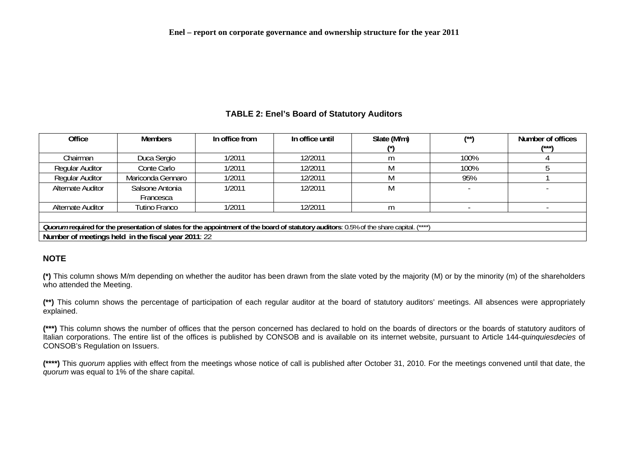### **TABLE 2: Enel's Board of Statutory Auditors**

| Office                                                                                                                                          | <b>Members</b>    | In office from | In office until | Slate (M/m) | $(x*)$ | Number of offices |  |  |  |
|-------------------------------------------------------------------------------------------------------------------------------------------------|-------------------|----------------|-----------------|-------------|--------|-------------------|--|--|--|
|                                                                                                                                                 |                   |                |                 |             |        | /***\             |  |  |  |
| Chairman                                                                                                                                        | Duca Sergio       | 1/2011         | 12/2011         | m           | 100%   |                   |  |  |  |
| <b>Regular Auditor</b>                                                                                                                          | Conte Carlo       | 1/2011         | 12/2011         |             | 100%   |                   |  |  |  |
| <b>Regular Auditor</b>                                                                                                                          | Mariconda Gennaro | 1/2011         | 12/2011         |             | 95%    |                   |  |  |  |
| <b>Alternate Auditor</b>                                                                                                                        | Salsone Antonia   | 1/2011         | 12/2011         |             |        |                   |  |  |  |
|                                                                                                                                                 | Francesca         |                |                 |             |        |                   |  |  |  |
| <b>Alternate Auditor</b>                                                                                                                        | Tutino Franco     | 1/2011         | 12/2011         | m           |        |                   |  |  |  |
|                                                                                                                                                 |                   |                |                 |             |        |                   |  |  |  |
| <i>Quorum</i> required for the presentation of slates for the appointment of the board of statutory auditors: 0.5% of the share capital. (****) |                   |                |                 |             |        |                   |  |  |  |
| Number of meetings held in the fiscal year 2011: 22                                                                                             |                   |                |                 |             |        |                   |  |  |  |

### **NOTE**

**(\*)** This column shows M/m depending on whether the auditor has been drawn from the slate voted by the majority (M) or by the minority (m) of the shareholders who attended the Meeting.

**(\*\*)** This column shows the percentage of participation of each regular auditor at the board of statutory auditors' meetings. All absences were appropriately explained.

**(\*\*\*)** This column shows the number of offices that the person concerned has declared to hold on the boards of directors or the boards of statutory auditors of Italian corporations. The entire list of the offices is published by CONSOB and is available on its internet website, pursuant to Article 144-*quinquiesdecies* of CONSOB's Regulation on Issuers.

<span id="page-64-0"></span>**(\*\*\*\*)** This *quorum* applies with effect from the meetings whose notice of call is published after October 31, 2010. For the meetings convened until that date, the *quorum* was equal to 1% of the share capital.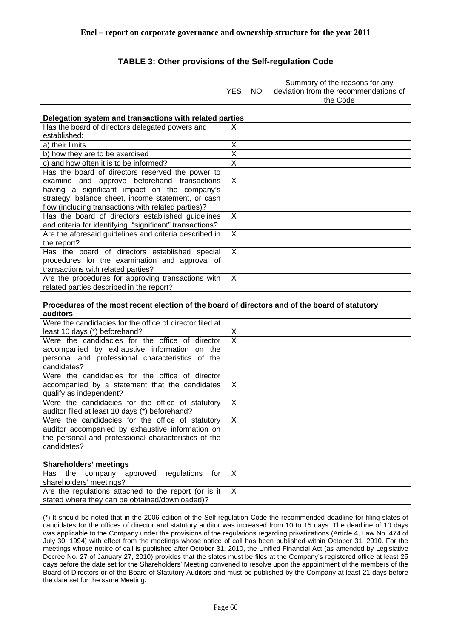# **TABLE 3: Other provisions of the Self-regulation Code**

<span id="page-65-0"></span>

|                                                                                                |                              |     | Summary of the reasons for any        |
|------------------------------------------------------------------------------------------------|------------------------------|-----|---------------------------------------|
|                                                                                                | <b>YES</b>                   | NO. | deviation from the recommendations of |
|                                                                                                |                              |     | the Code                              |
|                                                                                                |                              |     |                                       |
| Delegation system and transactions with related parties                                        |                              |     |                                       |
| Has the board of directors delegated powers and                                                | X                            |     |                                       |
| established:                                                                                   |                              |     |                                       |
| a) their limits                                                                                | Χ                            |     |                                       |
| b) how they are to be exercised                                                                | $\overline{\mathsf{x}}$      |     |                                       |
| c) and how often it is to be informed?                                                         | $\overline{X}$               |     |                                       |
| Has the board of directors reserved the power to                                               |                              |     |                                       |
| examine and approve beforehand transactions                                                    | X                            |     |                                       |
| having a significant impact on the company's                                                   |                              |     |                                       |
| strategy, balance sheet, income statement, or cash                                             |                              |     |                                       |
| flow (including transactions with related parties)?                                            |                              |     |                                       |
| Has the board of directors established guidelines                                              | X                            |     |                                       |
| and criteria for identifying "significant" transactions?                                       |                              |     |                                       |
| Are the aforesaid guidelines and criteria described in                                         | X                            |     |                                       |
| the report?                                                                                    |                              |     |                                       |
| Has the board of directors established special                                                 | X                            |     |                                       |
| procedures for the examination and approval of                                                 |                              |     |                                       |
| transactions with related parties?                                                             |                              |     |                                       |
| Are the procedures for approving transactions with                                             | X                            |     |                                       |
| related parties described in the report?                                                       |                              |     |                                       |
|                                                                                                |                              |     |                                       |
| Procedures of the most recent election of the board of directors and of the board of statutory |                              |     |                                       |
| auditors                                                                                       |                              |     |                                       |
| Were the candidacies for the office of director filed at                                       |                              |     |                                       |
| least 10 days (*) beforehand?                                                                  | X<br>$\overline{\mathsf{x}}$ |     |                                       |
| Were the candidacies for the office of director                                                |                              |     |                                       |
| accompanied by exhaustive information on the                                                   |                              |     |                                       |
| personal and professional characteristics of the                                               |                              |     |                                       |
| candidates?                                                                                    |                              |     |                                       |
| Were the candidacies for the office of director                                                |                              |     |                                       |
| accompanied by a statement that the candidates                                                 | X                            |     |                                       |
| qualify as independent?                                                                        | X                            |     |                                       |
| Were the candidacies for the office of statutory                                               |                              |     |                                       |
| auditor filed at least 10 days (*) beforehand?                                                 |                              |     |                                       |
| Were the candidacies for the office of statutory                                               | X                            |     |                                       |
| auditor accompanied by exhaustive information on                                               |                              |     |                                       |
| the personal and professional characteristics of the<br>candidates?                            |                              |     |                                       |
|                                                                                                |                              |     |                                       |
| <b>Shareholders' meetings</b>                                                                  |                              |     |                                       |
| regulations<br>Has<br>the<br>company approved<br>for                                           | X                            |     |                                       |
| shareholders' meetings?                                                                        |                              |     |                                       |
| Are the regulations attached to the report (or is it                                           | X                            |     |                                       |
| stated where they can be obtained/downloaded)?                                                 |                              |     |                                       |
|                                                                                                |                              |     |                                       |
|                                                                                                |                              |     |                                       |

(\*) It should be noted that in the 2006 edition of the Self-regulation Code the recommended deadline for filing slates of candidates for the offices of director and statutory auditor was increased from 10 to 15 days. The deadline of 10 days was applicable to the Company under the provisions of the regulations regarding privatizations (Article 4, Law No. 474 of July 30, 1994) with effect from the meetings whose notice of call has been published within October 31, 2010. For the meetings whose notice of call is published after October 31, 2010, the Unified Financial Act (as amended by Legislative Decree No. 27 of January 27, 2010) provides that the slates must be files at the Company's registered office at least 25 days before the date set for the Shareholders' Meeting convened to resolve upon the appointment of the members of the Board of Directors or of the Board of Statutory Auditors and must be published by the Company at least 21 days before the date set for the same Meeting.